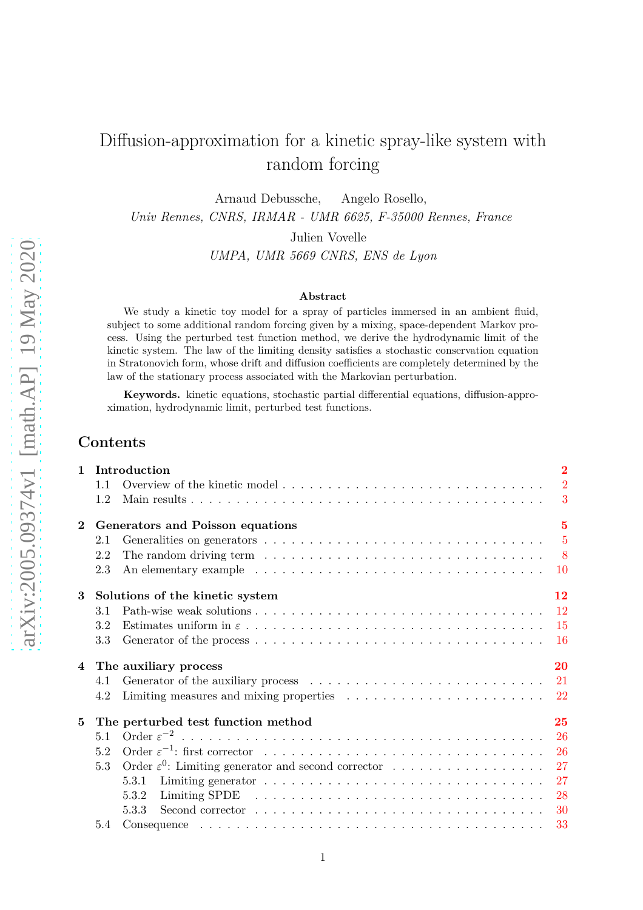# Diffusion-approximation for a kinetic spray-like system with random forcing

Arnaud Debussche, Angelo Rosello,

*Univ Rennes, CNRS, IRMAR - UMR 6625, F-35000 Rennes, France*

Julien Vovelle

*UMPA, UMR 5669 CNRS, ENS de Lyon*

#### **Abstract**

We study a kinetic toy model for a spray of particles immersed in an ambient fluid, subject to some additional random forcing given by a mixing, space-dependent Markov process. Using the perturbed test function method, we derive the hydrodynamic limit of the kinetic system. The law of the limiting density satisfies a stochastic conservation equation in Stratonovich form, whose drift and diffusion coefficients are completely determined by the law of the stationary process associated with the Markovian perturbation.

**Keywords.** kinetic equations, stochastic partial differential equations, diffusion-approximation, hydrodynamic limit, perturbed test functions.

## **Contents**

| $\mathbf{1}$ | Introduction                                                                                                                        | $\overline{2}$ |
|--------------|-------------------------------------------------------------------------------------------------------------------------------------|----------------|
|              | Overview of the kinetic model<br>1.1                                                                                                | $\overline{2}$ |
|              | 1.2                                                                                                                                 | 3              |
| $\mathbf{2}$ | Generators and Poisson equations                                                                                                    | $\overline{5}$ |
|              | Generalities on generators $\dots \dots \dots \dots \dots \dots \dots \dots \dots \dots \dots \dots \dots \dots \dots \dots$<br>2.1 |                |
|              | The random driving term $\dots \dots \dots \dots \dots \dots \dots \dots \dots \dots \dots \dots \dots$<br>2.2                      |                |
|              | An elementary example $\dots \dots \dots \dots \dots \dots \dots \dots \dots \dots \dots \dots \dots$<br>2.3                        | $10\,$         |
| 3            | Solutions of the kinetic system                                                                                                     | 12             |
|              | 3.1                                                                                                                                 | <sup>12</sup>  |
|              | 3.2                                                                                                                                 | 15             |
|              | 3.3                                                                                                                                 | <b>16</b>      |
|              | 4 The auxiliary process                                                                                                             | 20             |
|              | 4.1                                                                                                                                 |                |
|              | Limiting measures and mixing properties $\ldots \ldots \ldots \ldots \ldots \ldots \ldots 22$<br>4.2                                |                |
| 5            | The perturbed test function method                                                                                                  | 25             |
|              | 5.1                                                                                                                                 | 26             |
|              | 5.2                                                                                                                                 | 26             |
|              | Order $\varepsilon^0$ : Limiting generator and second corrector<br>5.3                                                              | 27             |
|              | 5.3.1                                                                                                                               | 27             |
|              | 5.3.2                                                                                                                               | 28             |
|              | 5.3.3                                                                                                                               | 30             |
|              | 5.4                                                                                                                                 | 33             |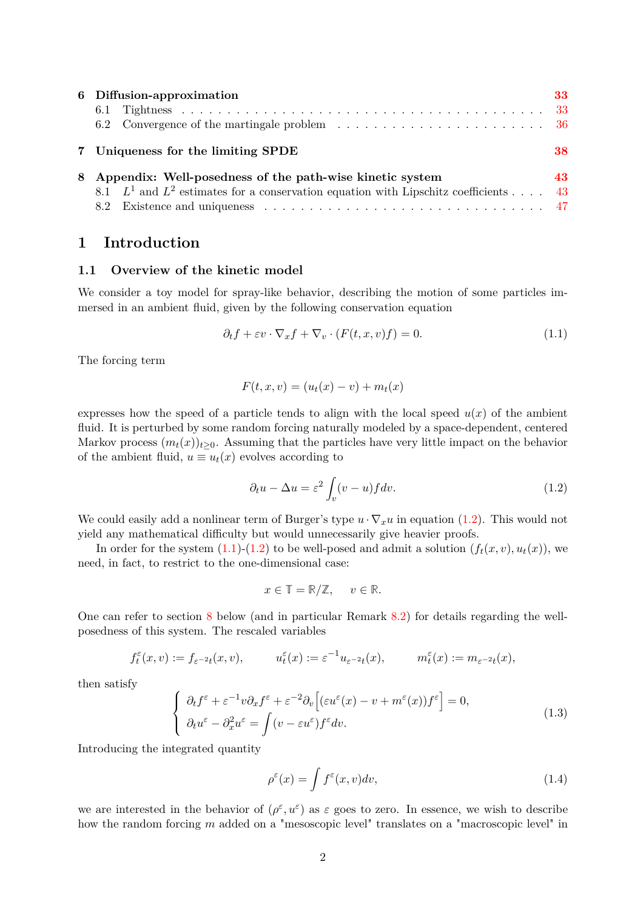| 6 Diffusion-approximation                                                                                                                              | 33  |
|--------------------------------------------------------------------------------------------------------------------------------------------------------|-----|
| 7 Uniqueness for the limiting SPDE                                                                                                                     | 38  |
| 8 Appendix: Well-posedness of the path-wise kinetic system<br>8.1 $L^1$ and $L^2$ estimates for a conservation equation with Lipschitz coefficients 43 | 43. |
|                                                                                                                                                        |     |

## <span id="page-1-1"></span><span id="page-1-0"></span>**1 Introduction**

### **1.1 Overview of the kinetic model**

We consider a toy model for spray-like behavior, describing the motion of some particles immersed in an ambient fluid, given by the following conservation equation

$$
\partial_t f + \varepsilon v \cdot \nabla_x f + \nabla_v \cdot (F(t, x, v)f) = 0. \tag{1.1}
$$

The forcing term

<span id="page-1-3"></span>
$$
F(t, x, v) = (ut(x) - v) + mt(x)
$$

expresses how the speed of a particle tends to align with the local speed  $u(x)$  of the ambient fluid. It is perturbed by some random forcing naturally modeled by a space-dependent, centered Markov process  $(m_t(x))_{t>0}$ . Assuming that the particles have very little impact on the behavior of the ambient fluid,  $u \equiv u_t(x)$  evolves according to

<span id="page-1-2"></span>
$$
\partial_t u - \Delta u = \varepsilon^2 \int_v (v - u) f dv. \tag{1.2}
$$

We could easily add a nonlinear term of Burger's type  $u \cdot \nabla_x u$  in equation [\(1.2\)](#page-1-2). This would not yield any mathematical difficulty but would unnecessarily give heavier proofs.

In order for the system  $(1.1)-(1.2)$  $(1.1)-(1.2)$  to be well-posed and admit a solution  $(f_t(x, v), u_t(x))$ , we need, in fact, to restrict to the one-dimensional case:

$$
x \in \mathbb{T} = \mathbb{R}/\mathbb{Z}, \quad v \in \mathbb{R}.
$$

One can refer to section [8](#page-42-0) below (and in particular Remark [8.2\)](#page-46-1) for details regarding the wellposedness of this system. The rescaled variables

$$
f_t^{\varepsilon}(x,v) := f_{\varepsilon^{-2}t}(x,v), \qquad u_t^{\varepsilon}(x) := \varepsilon^{-1}u_{\varepsilon^{-2}t}(x), \qquad m_t^{\varepsilon}(x) := m_{\varepsilon^{-2}t}(x),
$$

then satisfy

<span id="page-1-4"></span>
$$
\begin{cases}\n\partial_t f^\varepsilon + \varepsilon^{-1} v \partial_x f^\varepsilon + \varepsilon^{-2} \partial_v \left[ (\varepsilon u^\varepsilon(x) - v + m^\varepsilon(x)) f^\varepsilon \right] = 0, \\
\partial_t u^\varepsilon - \partial_x^2 u^\varepsilon = \int (v - \varepsilon u^\varepsilon) f^\varepsilon dv.\n\end{cases}
$$
\n(1.3)

Introducing the integrated quantity

$$
\rho^{\varepsilon}(x) = \int f^{\varepsilon}(x, v) dv,
$$
\n(1.4)

we are interested in the behavior of  $(\rho^{\varepsilon}, u^{\varepsilon})$  as  $\varepsilon$  goes to zero. In essence, we wish to describe how the random forcing *m* added on a "mesoscopic level" translates on a "macroscopic level" in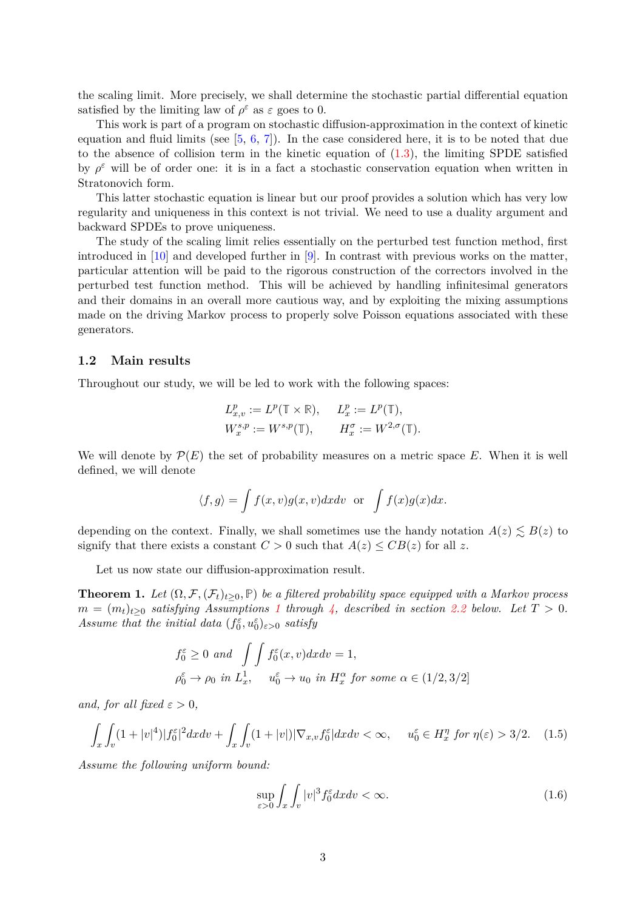the scaling limit. More precisely, we shall determine the stochastic partial differential equation satisfied by the limiting law of  $\rho^{\varepsilon}$  as  $\varepsilon$  goes to 0.

This work is part of a program on stochastic diffusion-approximation in the context of kinetic equation and fluid limits (see  $[5, 6, 7]$  $[5, 6, 7]$  $[5, 6, 7]$  $[5, 6, 7]$ ). In the case considered here, it is to be noted that due to the absence of collision term in the kinetic equation of  $(1.3)$ , the limiting SPDE satisfied by  $\rho^{\varepsilon}$  will be of order one: it is in a fact a stochastic conservation equation when written in Stratonovich form.

This latter stochastic equation is linear but our proof provides a solution which has very low regularity and uniqueness in this context is not trivial. We need to use a duality argument and backward SPDEs to prove uniqueness.

The study of the scaling limit relies essentially on the perturbed test function method, first introduced in [\[10\]](#page-49-3) and developed further in [\[9\]](#page-49-4). In contrast with previous works on the matter, particular attention will be paid to the rigorous construction of the correctors involved in the perturbed test function method. This will be achieved by handling infinitesimal generators and their domains in an overall more cautious way, and by exploiting the mixing assumptions made on the driving Markov process to properly solve Poisson equations associated with these generators.

### <span id="page-2-0"></span>**1.2 Main results**

Throughout our study, we will be led to work with the following spaces:

$$
\begin{aligned} L_{x,v}^p &:= L^p(\mathbb{T}\times\mathbb{R}), \hspace{12pt} L_x^p := L^p(\mathbb{T}),\\ W_x^{s,p} &:= W^{s,p}(\mathbb{T}), \hspace{12pt} H_x^\sigma := W^{2,\sigma}(\mathbb{T}). \end{aligned}
$$

We will denote by  $\mathcal{P}(E)$  the set of probability measures on a metric space E. When it is well defined, we will denote

$$
\langle f, g \rangle = \int f(x, v)g(x, v) dx dv
$$
 or  $\int f(x)g(x) dx$ .

depending on the context. Finally, we shall sometimes use the handy notation  $A(z) \leq B(z)$  to signify that there exists a constant  $C > 0$  such that  $A(z) \leq CB(z)$  for all z.

Let us now state our diffusion-approximation result.

<span id="page-2-2"></span>**Theorem 1.** *Let*  $(\Omega, \mathcal{F}, (\mathcal{F}_t)_{t\geq 0}, \mathbb{P})$  *be a filtered probability space equipped with a Markov process*  $m = (m_t)_{t>0}$  *satisfying Assumptions* [1](#page-7-1) *through* [4,](#page-8-0) described in section [2.2](#page-7-0) below. Let  $T > 0$ . *Assume that the initial data*  $(f_0^{\varepsilon}, u_0^{\varepsilon})_{\varepsilon > 0}$  *satisfy* 

$$
f_0^{\varepsilon} \ge 0 \text{ and } \int \int f_0^{\varepsilon}(x, v) dx dv = 1,
$$
  

$$
\rho_0^{\varepsilon} \to \rho_0 \text{ in } L_x^1, \quad u_0^{\varepsilon} \to u_0 \text{ in } H_x^{\alpha} \text{ for some } \alpha \in (1/2, 3/2]
$$

*and, for all fixed*  $\varepsilon > 0$ *,* 

$$
\int_x \int_v (1+|v|^4)|f_0^{\varepsilon}|^2 dx dv + \int_x \int_v (1+|v|)|\nabla_{x,v} f_0^{\varepsilon}| dx dv < \infty, \quad u_0^{\varepsilon} \in H_x^{\eta} \text{ for } \eta(\varepsilon) > 3/2. \tag{1.5}
$$

*Assume the following uniform bound:*

<span id="page-2-1"></span>
$$
\sup_{\varepsilon>0} \int_x \int_v |v|^3 f_0^{\varepsilon} dx dv < \infty.
$$
\n(1.6)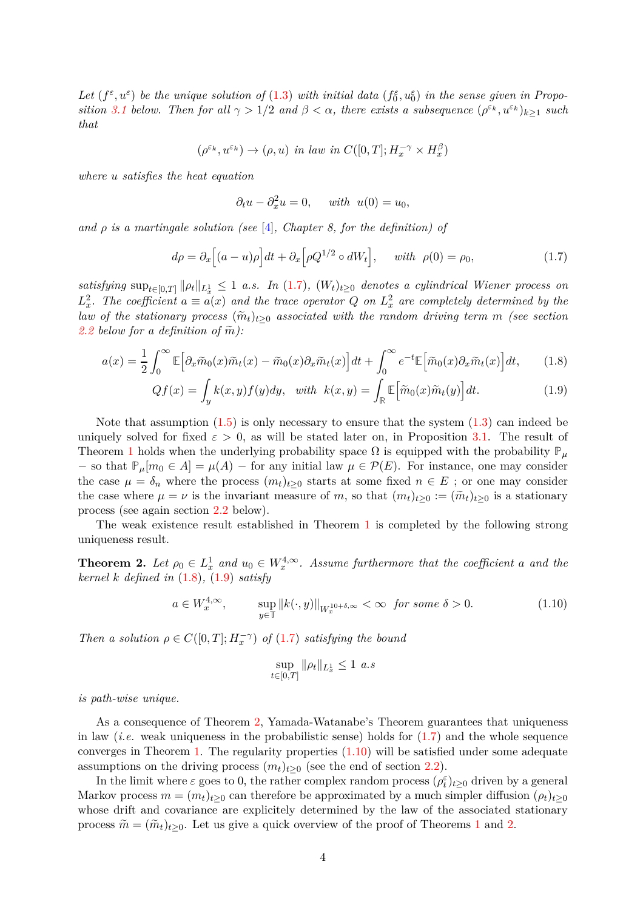Let  $(f^{\varepsilon}, u^{\varepsilon})$  be the unique solution of  $(1.3)$  with initial data  $(f^{\varepsilon}_0, u^{\varepsilon}_0)$  in the sense given in Propo*sition* [3.1](#page-12-0) *below.* Then for all  $\gamma > 1/2$  and  $\beta < \alpha$ , there exists a subsequence  $(\rho^{\varepsilon_k}, u^{\varepsilon_k})_{k \geq 1}$  such *that*

$$
(\rho^{\varepsilon_k}, u^{\varepsilon_k}) \to (\rho, u) \text{ in } law \text{ in } C([0, T]; H_x^{-\gamma} \times H_x^{\beta})
$$

*where u satisfies the heat equation*

<span id="page-3-2"></span><span id="page-3-1"></span><span id="page-3-0"></span>
$$
\partial_t u - \partial_x^2 u = 0, \quad \text{with} \ \ u(0) = u_0,
$$

*and ρ is a martingale solution (see* [\[4\]](#page-49-5)*, Chapter 8, for the definition) of*

$$
d\rho = \partial_x \left[ (a - u)\rho \right] dt + \partial_x \left[ \rho Q^{1/2} \circ dW_t \right], \quad \text{with} \ \rho(0) = \rho_0,\tag{1.7}
$$

 $satisfying \sup_{t \in [0,T]} ||\rho_t||_{L^1_x} \leq 1$  *a.s.* In  $(1.7)$ *,*  $(W_t)_{t \geq 0}$  denotes a cylindrical Wiener process on  $L_x^2$ . The coefficient  $a \equiv a(x)$  and the trace operator Q on  $L_x^2$  are completely determined by the *law of the stationary process*  $(\tilde{m}_t)_{t>0}$  *associated with the random driving term m (see section*) [2.2](#page-7-0) *below for a definition of*  $\tilde{m}$ *)*:

$$
a(x) = \frac{1}{2} \int_0^\infty \mathbb{E} \Big[ \partial_x \widetilde{m}_0(x) \widetilde{m}_t(x) - \widetilde{m}_0(x) \partial_x \widetilde{m}_t(x) \Big] dt + \int_0^\infty e^{-t} \mathbb{E} \Big[ \widetilde{m}_0(x) \partial_x \widetilde{m}_t(x) \Big] dt, \tag{1.8}
$$

$$
Qf(x) = \int_{y} k(x, y) f(y) dy, \quad with \quad k(x, y) = \int_{\mathbb{R}} \mathbb{E} \Big[ \tilde{m}_0(x) \tilde{m}_t(y) \Big] dt. \tag{1.9}
$$

Note that assumption  $(1.5)$  is only necessary to ensure that the system  $(1.3)$  can indeed be uniquely solved for fixed  $\varepsilon > 0$ , as will be stated later on, in Proposition [3.1.](#page-12-0) The result of Theorem [1](#page-2-2) holds when the underlying probability space  $\Omega$  is equipped with the probability  $\mathbb{P}_{\mu}$ − so that  $\mathbb{P}_{\mu}[m_0 \in A] = \mu(A)$  − for any initial law  $\mu \in \mathcal{P}(E)$ . For instance, one may consider the case  $\mu = \delta_n$  where the process  $(m_t)_{t \geq 0}$  starts at some fixed  $n \in E$ ; or one may consider the case where  $\mu = \nu$  is the invariant measure of *m*, so that  $(m_t)_{t \geq 0} := (\widetilde{m}_t)_{t \geq 0}$  is a stationary process (see again section [2.2](#page-7-0) below).

The weak existence result established in Theorem [1](#page-2-2) is completed by the following strong uniqueness result.

<span id="page-3-3"></span>**Theorem 2.** Let  $\rho_0 \in L^1_x$  and  $u_0 \in W_x^{4,\infty}$ . Assume furthermore that the coefficient a and the *kernel k defined in* [\(1.8\)](#page-3-1)*,* [\(1.9\)](#page-3-2) *satisfy*

$$
a \in W_x^{4,\infty}, \qquad \sup_{y \in \mathbb{T}} \|k(\cdot,y)\|_{W_x^{10+\delta,\infty}} < \infty \quad \text{for some } \delta > 0. \tag{1.10}
$$

*Then a solution*  $\rho \in C([0, T]; H_x^{-\gamma})$  *of* [\(1.7\)](#page-3-0) *satisfying the bound* 

<span id="page-3-4"></span>
$$
\sup_{t \in [0,T]} \|\rho_t\|_{L^1_x} \le 1 \ a.s
$$

*is path-wise unique.*

As a consequence of Theorem [2,](#page-3-3) Yamada-Watanabe's Theorem guarantees that uniqueness in law (*i.e.* weak uniqueness in the probabilistic sense) holds for  $(1.7)$  and the whole sequence converges in Theorem [1.](#page-2-2) The regularity properties  $(1.10)$  will be satisfied under some adequate assumptions on the driving process  $(m_t)_{t>0}$  (see the end of section [2.2\)](#page-7-0).

In the limit where  $\varepsilon$  goes to 0, the rather complex random process  $(\rho_t^{\varepsilon})_{t\geq0}$  driven by a general Markov process  $m = (m_t)_{t>0}$  can therefore be approximated by a much simpler diffusion  $(\rho_t)_{t>0}$ whose drift and covariance are explicitely determined by the law of the associated stationary process  $\tilde{m} = (\tilde{m}_t)_{t>0}$ . Let us give a quick overview of the proof of Theorems [1](#page-2-2) and [2.](#page-3-3)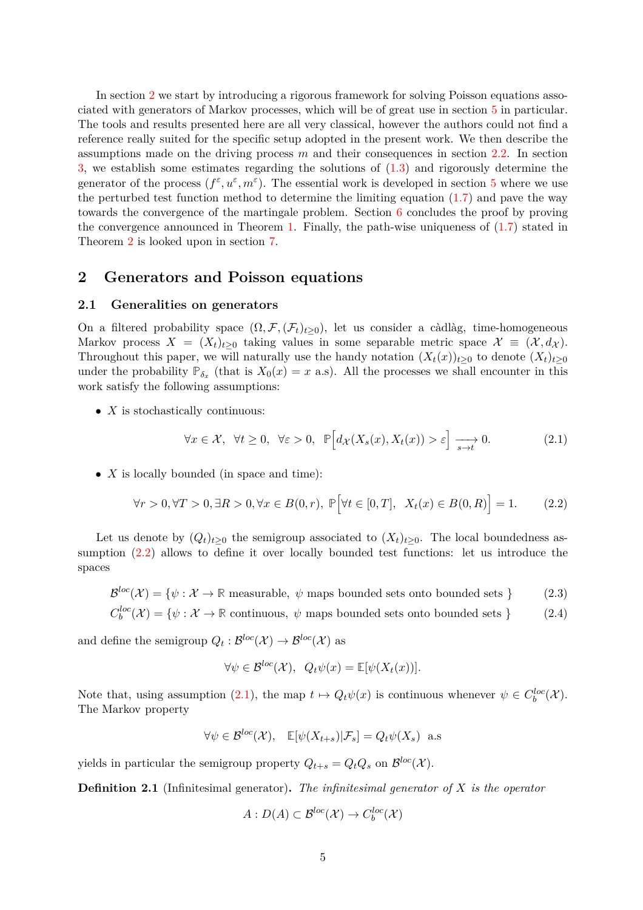In section [2](#page-4-0) we start by introducing a rigorous framework for solving Poisson equations associated with generators of Markov processes, which will be of great use in section [5](#page-24-0) in particular. The tools and results presented here are all very classical, however the authors could not find a reference really suited for the specific setup adopted in the present work. We then describe the assumptions made on the driving process *m* and their consequences in section [2.2.](#page-7-0) In section [3,](#page-11-0) we establish some estimates regarding the solutions of [\(1.3\)](#page-1-4) and rigorously determine the generator of the process  $(f^{\varepsilon}, u^{\varepsilon}, m^{\varepsilon})$ . The essential work is developed in section [5](#page-24-0) where we use the perturbed test function method to determine the limiting equation [\(1.7\)](#page-3-0) and pave the way towards the convergence of the martingale problem. Section [6](#page-32-1) concludes the proof by proving the convergence announced in Theorem [1.](#page-2-2) Finally, the path-wise uniqueness of [\(1.7\)](#page-3-0) stated in Theorem [2](#page-3-3) is looked upon in section [7.](#page-37-0)

## <span id="page-4-1"></span><span id="page-4-0"></span>**2 Generators and Poisson equations**

### **2.1 Generalities on generators**

On a filtered probability space  $(\Omega, \mathcal{F}, (\mathcal{F}_t)_{t>0})$ , let us consider a càdlàg, time-homogeneous Markov process  $X = (X_t)_{t>0}$  taking values in some separable metric space  $\mathcal{X} \equiv (\mathcal{X}, d_{\mathcal{X}})$ . Throughout this paper, we will naturally use the handy notation  $(X_t(x))_{t>0}$  to denote  $(X_t)_{t>0}$ under the probability  $\mathbb{P}_{\delta_x}$  (that is  $X_0(x) = x$  a.s). All the processes we shall encounter in this work satisfy the following assumptions:

• *X* is stochastically continuous:

<span id="page-4-3"></span>
$$
\forall x \in \mathcal{X}, \ \forall t \ge 0, \ \forall \varepsilon > 0, \ \mathbb{P}\Big[d_{\mathcal{X}}(X_s(x), X_t(x)) > \varepsilon\Big] \xrightarrow[s \to t]{} 0. \tag{2.1}
$$

• *X* is locally bounded (in space and time):

$$
\forall r > 0, \forall T > 0, \exists R > 0, \forall x \in B(0, r), \ \mathbb{P}\Big[\forall t \in [0, T], \ X_t(x) \in B(0, R)\Big] = 1. \tag{2.2}
$$

Let us denote by  $(Q_t)_{t>0}$  the semigroup associated to  $(X_t)_{t>0}$ . The local boundedness assumption [\(2.2\)](#page-4-2) allows to define it over locally bounded test functions: let us introduce the spaces

$$
\mathcal{B}^{loc}(\mathcal{X}) = \{ \psi : \mathcal{X} \to \mathbb{R} \text{ measurable}, \psi \text{ maps bounded sets onto bounded sets} \}
$$
 (2.3)

$$
C_b^{loc}(\mathcal{X}) = \{ \psi : \mathcal{X} \to \mathbb{R} \text{ continuous}, \ \psi \text{ maps bounded sets onto bounded sets} \}
$$
 (2.4)

and define the semigroup  $Q_t: \mathcal{B}^{loc}(\mathcal{X}) \to \mathcal{B}^{loc}(\mathcal{X})$  as

<span id="page-4-2"></span>
$$
\forall \psi \in \mathcal{B}^{loc}(\mathcal{X}), \ Q_t \psi(x) = \mathbb{E}[\psi(X_t(x))].
$$

Note that, using assumption [\(2.1\)](#page-4-3), the map  $t \mapsto Q_t \psi(x)$  is continuous whenever  $\psi \in C_b^{loc}(\mathcal{X})$ . The Markov property

$$
\forall \psi \in \mathcal{B}^{loc}(\mathcal{X}), \quad \mathbb{E}[\psi(X_{t+s})|\mathcal{F}_s] = Q_t \psi(X_s) \quad \text{a.s}
$$

yields in particular the semigroup property  $Q_{t+s} = Q_t Q_s$  on  $\mathcal{B}^{loc}(\mathcal{X})$ .

**Definition 2.1** (Infinitesimal generator)**.** *The infinitesimal generator of X is the operator*

$$
A: D(A) \subset \mathcal{B}^{loc}(\mathcal{X}) \to C_b^{loc}(\mathcal{X})
$$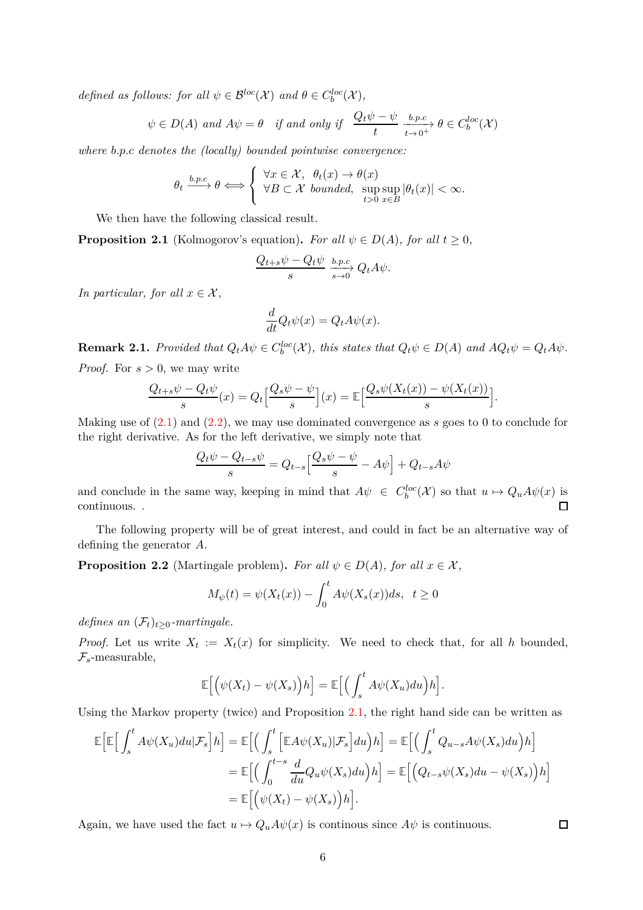*defined as follows: for all*  $\psi \in \mathcal{B}^{loc}(\mathcal{X})$  *and*  $\theta \in C_b^{loc}(\mathcal{X})$ *,* 

$$
\psi \in D(A)
$$
 and  $A\psi = \theta$  if and only if  $\frac{Q_t\psi - \psi}{t} \xrightarrow[t \to 0^+]{} b.p.c$   $\theta \in C_b^{loc}(\mathcal{X})$ 

*where b.p.c denotes the (locally) bounded pointwise convergence:*

$$
\theta_t \xrightarrow{b.p.c} \theta \Longleftrightarrow \left\{ \begin{array}{l} \forall x \in \mathcal{X}, \ \theta_t(x) \to \theta(x) \\ \forall B \subset \mathcal{X} \ \text{bounded}, \ \sup_{t > 0} \sup_{x \in B} |\theta_t(x)| < \infty. \end{array} \right.
$$

We then have the following classical result.

<span id="page-5-0"></span>**Proposition 2.1** (Kolmogorov's equation). For all  $\psi \in D(A)$ , for all  $t \geq 0$ ,

$$
\frac{Q_{t+s}\psi - Q_t\psi}{s} \xrightarrow[s \to 0]{} Q_t A \psi.
$$

*In particular, for all*  $x \in \mathcal{X}$ *,* 

$$
\frac{d}{dt}Q_t\psi(x) = Q_t A \psi(x).
$$

**Remark 2.1.** Provided that  $Q_t A \psi \in C_b^{loc}(\mathcal{X})$ , this states that  $Q_t \psi \in D(A)$  and  $A Q_t \psi = Q_t A \psi$ . *Proof.* For *s >* 0, we may write

$$
\frac{Q_{t+s}\psi - Q_t\psi}{s}(x) = Q_t \Big[\frac{Q_s\psi - \psi}{s}\Big](x) = \mathbb{E}\Big[\frac{Q_s\psi(X_t(x)) - \psi(X_t(x))}{s}\Big].
$$

Making use of [\(2.1\)](#page-4-3) and [\(2.2\)](#page-4-2), we may use dominated convergence as *s* goes to 0 to conclude for the right derivative. As for the left derivative, we simply note that

$$
\frac{Q_t\psi - Q_{t-s}\psi}{s} = Q_{t-s} \left[ \frac{Q_s\psi - \psi}{s} - A\psi \right] + Q_{t-s}A\psi
$$

and conclude in the same way, keeping in mind that  $A\psi \in C_b^{loc}(\mathcal{X})$  so that  $u \mapsto Q_u A \psi(x)$  is continuous. .  $\Box$ 

The following property will be of great interest, and could in fact be an alternative way of defining the generator *A*.

**Proposition 2.2** (Martingale problem). *For all*  $\psi \in D(A)$ *, for all*  $x \in \mathcal{X}$ *,* 

$$
M_{\psi}(t) = \psi(X_t(x)) - \int_0^t A\psi(X_s(x))ds, \quad t \ge 0
$$

*defines an*  $(\mathcal{F}_t)_{t>0}$ *-martingale.* 

*Proof.* Let us write  $X_t := X_t(x)$  for simplicity. We need to check that, for all *h* bounded,  $\mathcal{F}_s$ -measurable,

$$
\mathbb{E}\Big[\Big(\psi(X_t)-\psi(X_s)\Big)h\Big]=\mathbb{E}\Big[\Big(\int_s^t A\psi(X_u)du\Big)h\Big].
$$

Using the Markov property (twice) and Proposition [2.1,](#page-5-0) the right hand side can be written as

$$
\mathbb{E}\Big[\mathbb{E}\Big[\int_{s}^{t} A\psi(X_{u}) du | \mathcal{F}_{s}\Big] h\Big] = \mathbb{E}\Big[\Big(\int_{s}^{t} \Big[\mathbb{E}A\psi(X_{u}) | \mathcal{F}_{s}\Big] du\Big) h\Big] = \mathbb{E}\Big[\Big(\int_{s}^{t} Q_{u-s} A\psi(X_{s}) du\Big) h\Big]
$$
  

$$
= \mathbb{E}\Big[\Big(\int_{0}^{t-s} \frac{d}{du} Q_{u} \psi(X_{s}) du\Big) h\Big] = \mathbb{E}\Big[\Big(Q_{t-s} \psi(X_{s}) du - \psi(X_{s})\Big) h\Big]
$$
  

$$
= \mathbb{E}\Big[\Big(\psi(X_{t}) - \psi(X_{s})\Big) h\Big].
$$

Again, we have used the fact  $u \mapsto Q_u A \psi(x)$  is continuous since  $A\psi$  is continuous.

 $\Box$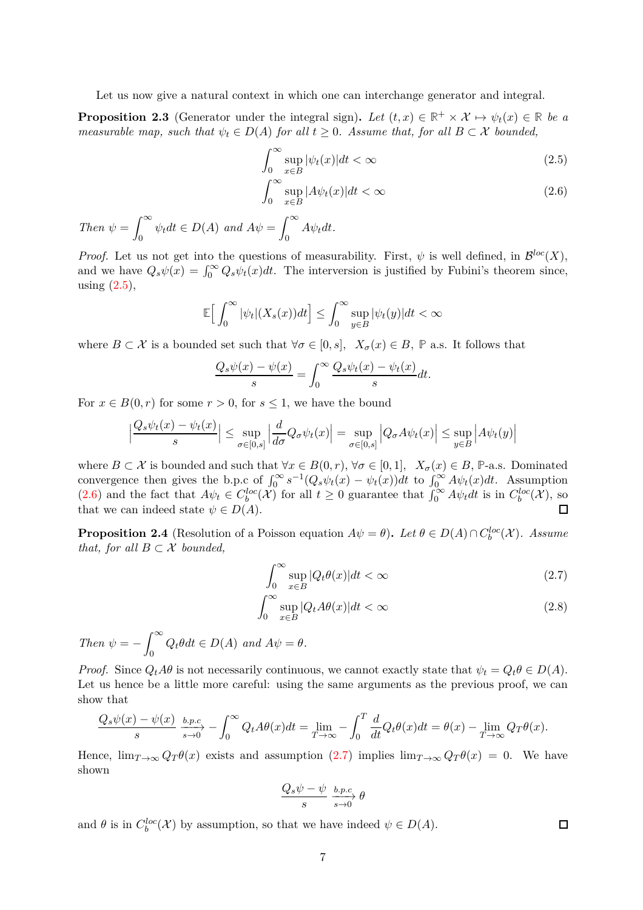Let us now give a natural context in which one can interchange generator and integral.

**Proposition 2.3** (Generator under the integral sign). Let  $(t, x) \in \mathbb{R}^+ \times \mathcal{X} \mapsto \psi_t(x) \in \mathbb{R}$  be a *measurable map, such that*  $\psi_t \in D(A)$  *for all*  $t \geq 0$ *. Assume that, for all*  $B \subset \mathcal{X}$  *bounded,* 

<span id="page-6-0"></span>
$$
\int_{0}^{\infty} \sup_{x \in B} |\psi_t(x)| dt < \infty
$$
\n(2.5)

<span id="page-6-1"></span>
$$
\int_0^\infty \sup_{x \in B} |A\psi_t(x)| dt < \infty \tag{2.6}
$$

*Then*  $\psi =$  $\int_0^\infty$  $\psi_t dt \in D(A)$  and  $A\psi =$  $\int_0^\infty$  $\int_{0}^{t} A\psi_t dt.$ 

*Proof.* Let us not get into the questions of measurability. First,  $\psi$  is well defined, in  $\mathcal{B}^{loc}(X)$ , and we have  $Q_s\psi(x) = \int_0^\infty Q_s\psi_t(x)dt$ . The interversion is justified by Fubini's theorem since, using  $(2.5)$ ,

$$
\mathbb{E}\Big[\int_0^\infty |\psi_t|(X_s(x))dt\Big] \leq \int_0^\infty \sup_{y\in B} |\psi_t(y)|dt < \infty
$$

where  $B \subset \mathcal{X}$  is a bounded set such that  $\forall \sigma \in [0, s]$ ,  $X_{\sigma}(x) \in B$ ,  $\mathbb{P}$  a.s. It follows that

$$
\frac{Q_s\psi(x) - \psi(x)}{s} = \int_0^\infty \frac{Q_s\psi_t(x) - \psi_t(x)}{s} dt.
$$

For  $x \in B(0,r)$  for some  $r > 0$ , for  $s \leq 1$ , we have the bound

$$
\left|\frac{Q_s\psi_t(x) - \psi_t(x)}{s}\right| \le \sup_{\sigma \in [0,s]} \left|\frac{d}{d\sigma}Q_\sigma\psi_t(x)\right| = \sup_{\sigma \in [0,s]} \left|Q_\sigma A\psi_t(x)\right| \le \sup_{y \in B} \left|A\psi_t(y)\right|
$$

where  $B \subset \mathcal{X}$  is bounded and such that  $\forall x \in B(0,r)$ ,  $\forall \sigma \in [0,1]$ ,  $X_{\sigma}(x) \in B$ , **P**-a.s. Dominated convergence then gives the b.p.c of  $\int_0^\infty s^{-1} (Q_s \psi_t(x) - \psi_t(x)) dt$  to  $\int_0^\infty A \psi_t(x) dt$ . Assumption [\(2.6\)](#page-6-1) and the fact that  $A\psi_t \in C_b^{loc}(\mathcal{X})$  for all  $t \geq 0$  guarantee that  $\int_0^\infty A\psi_t dt$  is in  $C_b^{loc}(\mathcal{X})$ , so that we can indeed state  $\psi \in D(A)$ .  $\Box$ 

<span id="page-6-4"></span>**Proposition 2.4** (Resolution of a Poisson equation  $A\psi = \theta$ ). Let  $\theta \in D(A) \cap C_b^{loc}(\mathcal{X})$ . Assume *that, for all*  $B \subset \mathcal{X}$  *bounded,* 

$$
\int_0^\infty \sup_{x \in B} |Q_t \theta(x)| dt < \infty \tag{2.7}
$$

$$
\int_0^\infty \sup_{x \in B} |Q_t A \theta(x)| dt < \infty \tag{2.8}
$$

<span id="page-6-3"></span><span id="page-6-2"></span> $\Box$ 

*Then*  $\psi = \int^{\infty}$  $Q_t \theta dt \in D(A)$  and  $A\psi = \theta$ .

*Proof.* Since  $Q_t A\theta$  is not necessarily continuous, we cannot exactly state that  $\psi_t = Q_t \theta \in D(A)$ . Let us hence be a little more careful: using the same arguments as the previous proof, we can show that

$$
\frac{Q_s\psi(x) - \psi(x)}{s} \xrightarrow{s \to 0} \frac{b.p.c}{s \to 0} - \int_0^\infty Q_t A \theta(x) dt = \lim_{T \to \infty} - \int_0^T \frac{d}{dt} Q_t \theta(x) dt = \theta(x) - \lim_{T \to \infty} Q_T \theta(x).
$$

Hence,  $\lim_{T\to\infty} Q_T \theta(x)$  exists and assumption [\(2.7\)](#page-6-2) implies  $\lim_{T\to\infty} Q_T \theta(x) = 0$ . We have shown

$$
\frac{Q_s\psi-\psi}{s}\xrightarrow[s\to 0]{b.p.c}\\
\theta
$$

and  $\theta$  is in  $C_b^{loc}(\mathcal{X})$  by assumption, so that we have indeed  $\psi \in D(A)$ .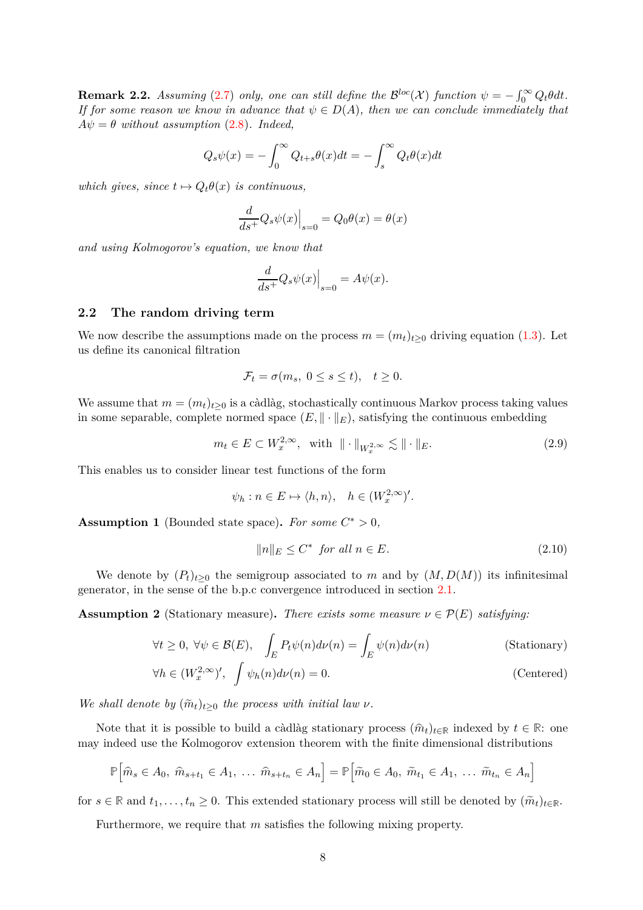<span id="page-7-2"></span>**Remark 2.2.** *Assuming* [\(2.7\)](#page-6-2) *only, one can still define the*  $\mathcal{B}^{loc}(\mathcal{X})$  *function*  $\psi = -\int_0^\infty Q_t \theta dt$ . *If for some reason we know in advance that*  $\psi \in D(A)$ *, then we can conclude immediately that*  $A\psi = \theta$  *without assumption* [\(2.8\)](#page-6-3)*. Indeed,* 

$$
Q_s \psi(x) = -\int_0^\infty Q_{t+s} \theta(x) dt = -\int_s^\infty Q_t \theta(x) dt
$$

*which gives, since*  $t \mapsto Q_t \theta(x)$  *is continuous,* 

$$
\frac{d}{ds^{+}}Q_{s}\psi(x)\Big|_{s=0} = Q_{0}\theta(x) = \theta(x)
$$

*and using Kolmogorov's equation, we know that*

$$
\frac{d}{ds^{+}}Q_{s}\psi(x)\Big|_{s=0} = A\psi(x).
$$

### <span id="page-7-0"></span>**2.2 The random driving term**

We now describe the assumptions made on the process  $m = (m_t)_{t>0}$  driving equation [\(1.3\)](#page-1-4). Let us define its canonical filtration

$$
\mathcal{F}_t = \sigma(m_s, \ 0 \le s \le t), \quad t \ge 0.
$$

We assume that  $m = (m_t)_{t \geq 0}$  is a càdlàg, stochastically continuous Markov process taking values in some separable, complete normed space  $(E, \|\cdot\|_E)$ , satisfying the continuous embedding

$$
m_t \in E \subset W_x^{2,\infty}, \quad \text{with} \quad \|\cdot\|_{W_x^{2,\infty}} \lesssim \|\cdot\|_E. \tag{2.9}
$$

This enables us to consider linear test functions of the form

$$
\psi_h : n \in E \mapsto \langle h, n \rangle, \quad h \in (W_x^{2,\infty})'.
$$

<span id="page-7-1"></span>**Assumption 1** (Bounded state space). For some  $C^* > 0$ ,

$$
||n||_E \le C^* \quad \text{for all } n \in E. \tag{2.10}
$$

We denote by  $(P_t)_{t>0}$  the semigroup associated to *m* and by  $(M, D(M))$  its infinitesimal generator, in the sense of the b.p.c convergence introduced in section [2.1.](#page-4-1)

<span id="page-7-3"></span>**Assumption 2** (Stationary measure). *There exists some measure*  $\nu \in \mathcal{P}(E)$  *satisfying:* 

$$
\forall t \ge 0, \ \forall \psi \in \mathcal{B}(E), \quad \int_{E} P_t \psi(n) d\nu(n) = \int_{E} \psi(n) d\nu(n)
$$
 (Stationary)

$$
\forall h \in (W_x^{2,\infty})', \quad \int \psi_h(n) d\nu(n) = 0.
$$
\n(Centered)

*We shall denote by*  $(\widetilde{m}_t)_{t>0}$  *the process with initial law*  $\nu$ *.* 

Note that it is possible to build a càdlàg stationary process  $(\hat{m}_t)_{t \in \mathbb{R}}$  indexed by  $t \in \mathbb{R}$ : one may indeed use the Kolmogorov extension theorem with the finite dimensional distributions

$$
\mathbb{P}\Big[\widehat{m}_s \in A_0, \ \widehat{m}_{s+t_1} \in A_1, \ \ldots \ \widehat{m}_{s+t_n} \in A_n\Big] = \mathbb{P}\Big[\widetilde{m}_0 \in A_0, \ \widetilde{m}_{t_1} \in A_1, \ \ldots \ \widetilde{m}_{t_n} \in A_n\Big]
$$

for  $s \in \mathbb{R}$  and  $t_1, \ldots, t_n \geq 0$ . This extended stationary process will still be denoted by  $(\widetilde{m}_t)_{t \in \mathbb{R}}$ .

Furthermore, we require that *m* satisfies the following mixing property.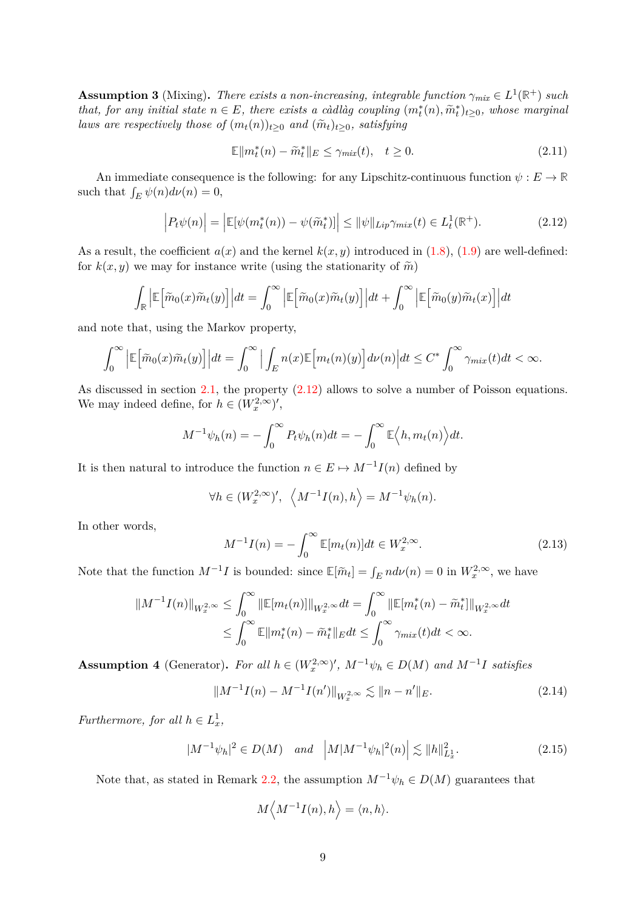<span id="page-8-4"></span>**Assumption 3** (Mixing). There exists a non-increasing, integrable function  $\gamma_{mix} \in L^1(\mathbb{R}^+)$  such *that, for any initial state*  $n \in E$ *, there exists a càdlàg coupling*  $(m_t^*(n), \tilde{m}_t^*)_{t \geq 0}$ *, whose marginal laws are respectively those of*  $(m_t(n))_{t>0}$  *and*  $(\widetilde{m}_t)_{t>0}$ *, satisfying* 

<span id="page-8-3"></span>
$$
\mathbb{E} \|m_t^*(n) - \tilde{m}_t^*\|_E \le \gamma_{mix}(t), \quad t \ge 0. \tag{2.11}
$$

An immediate consequence is the following: for any Lipschitz-continuous function  $\psi : E \to \mathbb{R}$ such that  $\int_E \psi(n) d\nu(n) = 0$ ,

<span id="page-8-1"></span>
$$
\left| P_t \psi(n) \right| = \left| \mathbb{E}[\psi(m_t^*(n)) - \psi(\tilde{m}_t^*)] \right| \leq \|\psi\|_{Lip} \gamma_{mix}(t) \in L_t^1(\mathbb{R}^+). \tag{2.12}
$$

As a result, the coefficient  $a(x)$  and the kernel  $k(x, y)$  introduced in [\(1.8\)](#page-3-1), [\(1.9\)](#page-3-2) are well-defined: for  $k(x, y)$  we may for instance write (using the stationarity of  $\tilde{m}$ )

$$
\int_{\mathbb{R}} \left| \mathbb{E} \left[ \tilde{m}_0(x) \tilde{m}_t(y) \right] \right| dt = \int_0^{\infty} \left| \mathbb{E} \left[ \tilde{m}_0(x) \tilde{m}_t(y) \right] \right| dt + \int_0^{\infty} \left| \mathbb{E} \left[ \tilde{m}_0(y) \tilde{m}_t(x) \right] \right| dt
$$

and note that, using the Markov property,

$$
\int_0^\infty \left| \mathbb{E} \left[ \tilde{m}_0(x) \tilde{m}_t(y) \right] \right| dt = \int_0^\infty \left| \int_E n(x) \mathbb{E} \left[ m_t(n)(y) \right] d\nu(n) \right| dt \le C^* \int_0^\infty \gamma_{mix}(t) dt < \infty.
$$

As discussed in section [2.1,](#page-4-1) the property  $(2.12)$  allows to solve a number of Poisson equations. We may indeed define, for  $h \in (W_x^{2,\infty})'$ ,

$$
M^{-1}\psi_h(n) = -\int_0^\infty P_t \psi_h(n) dt = -\int_0^\infty \mathbb{E}\Big\langle h, m_t(n)\Big\rangle dt.
$$

It is then natural to introduce the function  $n \in E \mapsto M^{-1}I(n)$  defined by

$$
\forall h \in (W_x^{2,\infty})', \ \left\langle M^{-1}I(n), h \right\rangle = M^{-1}\psi_h(n).
$$

In other words,

<span id="page-8-5"></span>
$$
M^{-1}I(n) = -\int_0^\infty \mathbb{E}[m_t(n)]dt \in W_x^{2,\infty}.
$$
 (2.13)

Note that the function  $M^{-1}I$  is bounded: since  $\mathbb{E}[\tilde{m}_t] = \int_E n d\nu(n) = 0$  in  $W_x^{2,\infty}$ , we have

$$
||M^{-1}I(n)||_{W_x^{2,\infty}} \le \int_0^{\infty} ||\mathbb{E}[m_t(n)]||_{W_x^{2,\infty}} dt = \int_0^{\infty} ||\mathbb{E}[m_t^*(n) - \tilde{m}_t^*||_{W_x^{2,\infty}} dt
$$
  

$$
\le \int_0^{\infty} \mathbb{E}[m_t^*(n) - \tilde{m}_t^*||_{Ed} dt \le \int_0^{\infty} \gamma_{mix}(t) dt < \infty.
$$

<span id="page-8-0"></span>**Assumption 4** (Generator). For all  $h \in (W_x^{2,\infty})'$ ,  $M^{-1}\psi_h \in D(M)$  and  $M^{-1}I$  satisfies

$$
||M^{-1}I(n) - M^{-1}I(n')||_{W_x^{2,\infty}} \lesssim ||n - n'||_E.
$$
\n(2.14)

*Furthermore, for all*  $h \in L_x^1$ ,

$$
|M^{-1}\psi_h|^2 \in D(M) \quad \text{and} \quad \left| M|M^{-1}\psi_h|^2(n) \right| \lesssim \|h\|_{L_x^1}^2. \tag{2.15}
$$

Note that, as stated in Remark [2.2,](#page-7-2) the assumption  $M^{-1}\psi_h \in D(M)$  guarantees that

<span id="page-8-6"></span><span id="page-8-2"></span>
$$
M\left\langle M^{-1}I(n),h\right\rangle = \langle n,h\rangle.
$$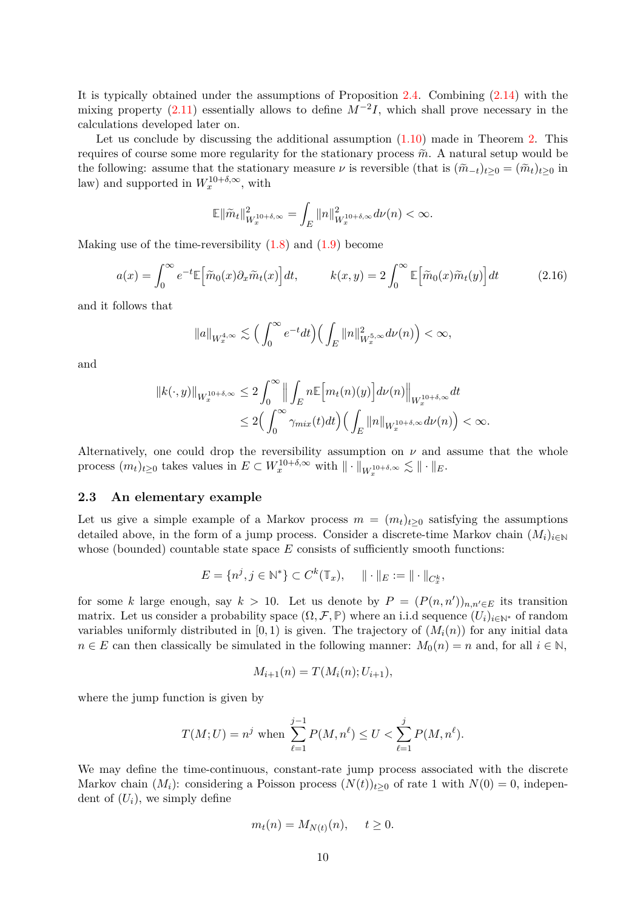It is typically obtained under the assumptions of Proposition [2.4.](#page-6-4) Combining [\(2.14\)](#page-8-2) with the mixing property [\(2.11\)](#page-8-3) essentially allows to define *M*−<sup>2</sup> *I*, which shall prove necessary in the calculations developed later on.

Let us conclude by discussing the additional assumption  $(1.10)$  made in Theorem [2.](#page-3-3) This requires of course some more regularity for the stationary process  $\tilde{m}$ . A natural setup would be the following: assume that the stationary measure  $\nu$  is reversible (that is  $(\tilde{m}_{-t})_{t\geq 0} = (\tilde{m}_t)_{t\geq 0}$  in law) and supported in  $W_x^{10+\delta,\infty}$ , with

$$
\mathbb{E} \|\tilde{m}_t\|_{W_x^{10+\delta,\infty}}^2 = \int_E \|n\|_{W_x^{10+\delta,\infty}}^2 d\nu(n) < \infty.
$$

Making use of the time-reversibility  $(1.8)$  and  $(1.9)$  become

$$
a(x) = \int_0^\infty e^{-t} \mathbb{E} \left[ \tilde{m}_0(x) \partial_x \tilde{m}_t(x) \right] dt, \qquad k(x, y) = 2 \int_0^\infty \mathbb{E} \left[ \tilde{m}_0(x) \tilde{m}_t(y) \right] dt \tag{2.16}
$$

and it follows that

$$
\|a\|_{W_x^{4,\infty}} \lesssim \Big(\int_0^\infty e^{-t}dt\Big) \Big(\int_E \|n\|_{W_x^{5,\infty}}^2 d\nu(n)\Big) < \infty,
$$

and

$$
||k(\cdot,y)||_{W_x^{10+\delta,\infty}} \leq 2 \int_0^\infty \Big\| \int_E n \mathbb{E} \Big[ m_t(n)(y) \Big] d\nu(n) \Big\|_{W_x^{10+\delta,\infty}} dt
$$
  

$$
\leq 2 \Big( \int_0^\infty \gamma_{mix}(t) dt \Big) \Big( \int_E ||n||_{W_x^{10+\delta,\infty}} d\nu(n) \Big) < \infty.
$$

Alternatively, one could drop the reversibility assumption on  $\nu$  and assume that the whole process  $(m_t)_{t\geq 0}$  takes values in  $E \subset W_x^{10+\delta,\infty}$  with  $\|\cdot\|_{W_x^{10+\delta,\infty}} \lesssim \|\cdot\|_E$ .

### <span id="page-9-0"></span>**2.3 An elementary example**

Let us give a simple example of a Markov process  $m = (m_t)_{t>0}$  satisfying the assumptions detailed above, in the form of a jump process. Consider a discrete-time Markov chain  $(M_i)_{i\in\mathbb{N}}$ whose (bounded) countable state space *E* consists of sufficiently smooth functions:

$$
E = \{n^j, j \in \mathbb{N}^*\} \subset C^k(\mathbb{T}_x), \quad || \cdot ||_E := || \cdot ||_{C_x^k},
$$

for some *k* large enough, say  $k > 10$ . Let us denote by  $P = (P(n, n'))_{n,n' \in E}$  its transition matrix. Let us consider a probability space  $(\Omega, \mathcal{F}, \mathbb{P})$  where an i.i.d sequence  $(U_i)_{i \in \mathbb{N}^*}$  of random variables uniformly distributed in  $[0, 1)$  is given. The trajectory of  $(M<sub>i</sub>(n))$  for any initial data  $n \in E$  can then classically be simulated in the following manner:  $M_0(n) = n$  and, for all  $i \in \mathbb{N}$ ,

$$
M_{i+1}(n) = T(M_i(n); U_{i+1}),
$$

where the jump function is given by

$$
T(M;U) = n^j
$$
 when  $\sum_{\ell=1}^{j-1} P(M,n^{\ell}) \le U < \sum_{\ell=1}^{j} P(M,n^{\ell}).$ 

We may define the time-continuous, constant-rate jump process associated with the discrete Markov chain  $(M_i)$ : considering a Poisson process  $(N(t))_{t>0}$  of rate 1 with  $N(0) = 0$ , independent of  $(U_i)$ , we simply define

$$
m_t(n) = M_{N(t)}(n), \quad t \ge 0.
$$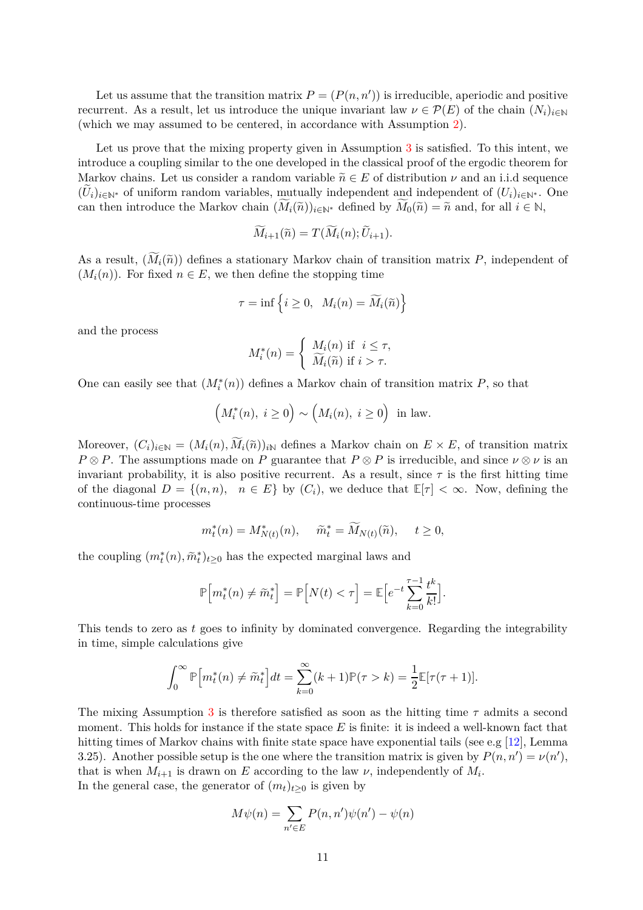Let us assume that the transition matrix  $P = (P(n, n'))$  is irreducible, aperiodic and positive recurrent. As a result, let us introduce the unique invariant law  $\nu \in \mathcal{P}(E)$  of the chain  $(N_i)_{i\in\mathbb{N}}$ (which we may assumed to be centered, in accordance with Assumption [2\)](#page-7-3).

Let us prove that the mixing property given in Assumption [3](#page-8-4) is satisfied. To this intent, we introduce a coupling similar to the one developed in the classical proof of the ergodic theorem for Markov chains. Let us consider a random variable  $\tilde{n} \in E$  of distribution  $\nu$  and an i.i.d sequence  $(U_i)_{i\in\mathbb{N}^*}$  of uniform random variables, mutually independent and independent of  $(U_i)_{i\in\mathbb{N}^*}$ . One can then introduce the Markov chain  $(M_i(\tilde{n}))_{i\in\mathbb{N}^*}$  defined by  $M_0(\tilde{n}) = \tilde{n}$  and, for all  $i \in \mathbb{N}$ ,

$$
M_{i+1}(\widetilde{n}) = T(M_i(n); U_{i+1}).
$$

As a result,  $(M_i(\tilde{n}))$  defines a stationary Markov chain of transition matrix *P*, independent of  $(M_i(n))$ . For fixed  $n \in E$ , we then define the stopping time

$$
\tau=\inf\left\{i\geq 0,\;\;M_i(n)=\widetilde{M}_i(\widetilde{n})\right\}
$$

and the process

$$
M_i^*(n) = \begin{cases} M_i(n) & \text{if } i \le \tau, \\ \widetilde{M}_i(\widetilde{n}) & \text{if } i > \tau. \end{cases}
$$

One can easily see that  $(M_i^*(n))$  defines a Markov chain of transition matrix  $P$ , so that

$$
(M_i^*(n), i \ge 0) \sim (M_i(n), i \ge 0) \text{ in law.}
$$

Moreover,  $(C_i)_{i\in\mathbb{N}} = (M_i(n), \widetilde{M}_i(\widetilde{n}))_{i\mathbb{N}}$  defines a Markov chain on  $E \times E$ , of transition matrix  $P \otimes P$ . The assumptions made on *P* guarantee that  $P \otimes P$  is irreducible, and since  $\nu \otimes \nu$  is an invariant probability, it is also positive recurrent. As a result, since  $\tau$  is the first hitting time of the diagonal  $D = \{(n, n), n \in E\}$  by  $(C_i)$ , we deduce that  $\mathbb{E}[\tau] < \infty$ . Now, defining the continuous-time processes

$$
m_t^*(n) = M_{N(t)}^*(n), \quad \tilde{m}_t^* = \widetilde{M}_{N(t)}(\tilde{n}), \quad t \ge 0,
$$

the coupling  $(m_t^*(n), \tilde{m}_t^*)_{t \geq 0}$  has the expected marginal laws and

$$
\mathbb{P}\Big[m_t^*(n) \neq \widetilde{m}_t^*\Big] = \mathbb{P}\Big[N(t) < \tau\Big] = \mathbb{E}\Big[e^{-t}\sum_{k=0}^{\tau-1} \frac{t^k}{k!}\Big].
$$

This tends to zero as *t* goes to infinity by dominated convergence. Regarding the integrability in time, simple calculations give

$$
\int_0^\infty \mathbb{P}\Big[m_t^*(n) \neq \widetilde{m}_t^*\Big]dt = \sum_{k=0}^\infty (k+1)\mathbb{P}(\tau > k) = \frac{1}{2}\mathbb{E}[\tau(\tau+1)].
$$

The mixing Assumption [3](#page-8-4) is therefore satisfied as soon as the hitting time *τ* admits a second moment. This holds for instance if the state space *E* is finite: it is indeed a well-known fact that hitting times of Markov chains with finite state space have exponential tails (see e.g [\[12\]](#page-49-6), Lemma 3.25). Another possible setup is the one where the transition matrix is given by  $P(n, n') = \nu(n')$ , that is when  $M_{i+1}$  is drawn on *E* according to the law  $\nu$ , independently of  $M_i$ . In the general case, the generator of  $(m_t)_{t>0}$  is given by

$$
M\psi(n) = \sum_{n' \in E} P(n, n')\psi(n') - \psi(n)
$$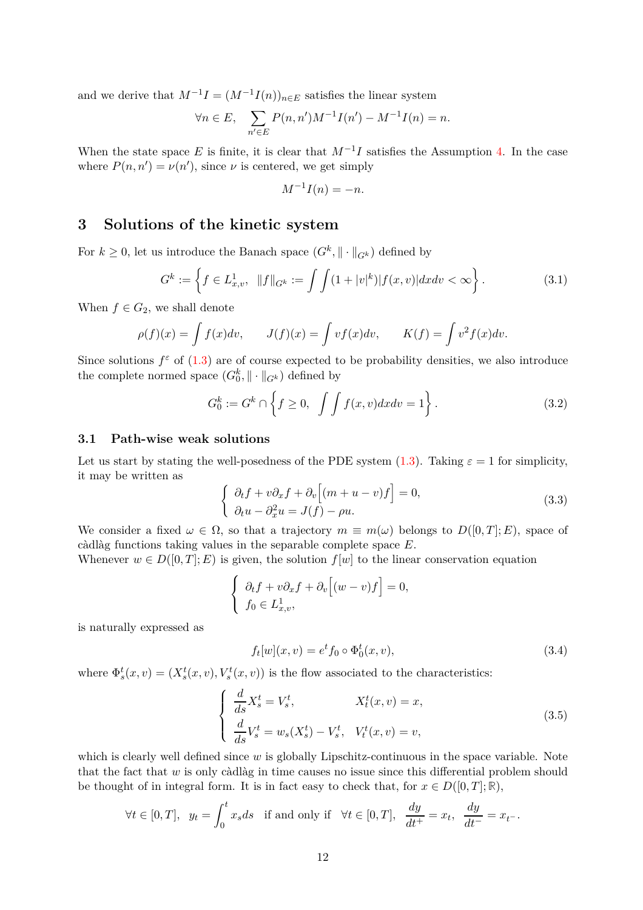and we derive that  $M^{-1}I = (M^{-1}I(n))_{n \in E}$  satisfies the linear system

$$
\forall n \in E, \quad \sum_{n' \in E} P(n, n')M^{-1}I(n') - M^{-1}I(n) = n.
$$

When the state space  $E$  is finite, it is clear that  $M^{-1}I$  satisfies the Assumption [4.](#page-8-0) In the case where  $P(n, n') = \nu(n')$ , since  $\nu$  is centered, we get simply

$$
M^{-1}I(n) = -n.
$$

## <span id="page-11-0"></span>**3 Solutions of the kinetic system**

For  $k \geq 0$ , let us introduce the Banach space  $(G^k, \|\cdot\|_{G^k})$  defined by

$$
G^k := \left\{ f \in L^1_{x,v}, \ \|f\|_{G^k} := \int \int (1+|v|^k) |f(x,v)| dx dv < \infty \right\}.
$$
 (3.1)

When  $f \in G_2$ , we shall denote

$$
\rho(f)(x) = \int f(x)dv, \qquad J(f)(x) = \int vf(x)dv, \qquad K(f) = \int v^2 f(x)dv.
$$

Since solutions  $f^{\varepsilon}$  of [\(1.3\)](#page-1-4) are of course expected to be probability densities, we also introduce the complete normed space  $(G_0^k, \|\cdot\|_{G^k})$  defined by

$$
G_0^k := G^k \cap \left\{ f \ge 0, \int \int f(x, v) dx dv = 1 \right\}.
$$
 (3.2)

### <span id="page-11-1"></span>**3.1 Path-wise weak solutions**

Let us start by stating the well-posedness of the PDE system  $(1.3)$ . Taking  $\varepsilon = 1$  for simplicity, it may be written as

<span id="page-11-5"></span><span id="page-11-2"></span>
$$
\begin{cases}\n\partial_t f + v \partial_x f + \partial_v [(m+u-v)f] = 0, \\
\partial_t u - \partial_x^2 u = J(f) - \rho u.\n\end{cases}
$$
\n(3.3)

We consider a fixed  $\omega \in \Omega$ , so that a trajectory  $m \equiv m(\omega)$  belongs to  $D([0,T]; E)$ , space of càdlàg functions taking values in the separable complete space *E*.

Whenever  $w \in D([0, T]; E)$  is given, the solution  $f[w]$  to the linear conservation equation

$$
\begin{cases} \partial_t f + v \partial_x f + \partial_v [(w - v) f] = 0, \\ f_0 \in L^1_{x,v}, \end{cases}
$$

is naturally expressed as

<span id="page-11-3"></span>
$$
f_t[w](x,v) = e^t f_0 \circ \Phi_0^t(x,v), \qquad (3.4)
$$

where  $\Phi_s^t(x, v) = (X_s^t(x, v), V_s^t(x, v))$  is the flow associated to the characteristics:

<span id="page-11-4"></span>
$$
\begin{cases}\n\frac{d}{ds}X_s^t = V_s^t, & X_t^t(x,v) = x, \\
\frac{d}{ds}V_s^t = w_s(X_s^t) - V_s^t, & V_t^t(x,v) = v,\n\end{cases}
$$
\n(3.5)

which is clearly well defined since *w* is globally Lipschitz-continuous in the space variable. Note that the fact that *w* is only càdlàg in time causes no issue since this differential problem should be thought of in integral form. It is in fact easy to check that, for  $x \in D([0, T]; \mathbb{R})$ ,

$$
\forall t \in [0, T], y_t = \int_0^t x_s ds \quad \text{if and only if} \quad \forall t \in [0, T], \frac{dy}{dt^+} = x_t, \frac{dy}{dt^-} = x_{t^-}.
$$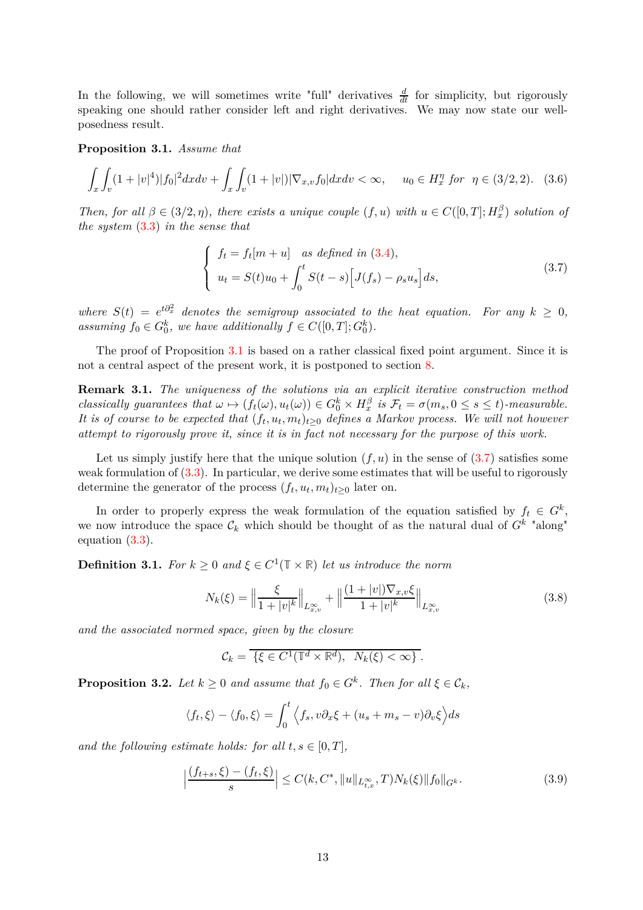In the following, we will sometimes write "full" derivatives  $\frac{d}{dt}$  for simplicity, but rigorously speaking one should rather consider left and right derivatives. We may now state our wellposedness result.

<span id="page-12-0"></span>**Proposition 3.1.** *Assume that*

$$
\int_{x} \int_{v} (1+|v|^4) |f_0|^2 dx dv + \int_{x} \int_{v} (1+|v|) |\nabla_{x,v} f_0| dx dv < \infty, \quad u_0 \in H_x^{\eta} \text{ for } \eta \in (3/2, 2). \quad (3.6)
$$

*Then, for all*  $\beta \in (3/2, \eta)$ *, there exists a unique couple*  $(f, u)$  *with*  $u \in C([0, T]; H_x^{\beta})$  *solution of the system* [\(3.3\)](#page-11-2) *in the sense that*

<span id="page-12-4"></span><span id="page-12-1"></span>
$$
\begin{cases}\nf_t = f_t[m+u] \quad \text{as defined in (3.4)},\\ \nu_t = S(t)u_0 + \int_0^t S(t-s) \Big[ J(f_s) - \rho_s u_s \Big] ds,\n\end{cases} \tag{3.7}
$$

*where*  $S(t) = e^{t\partial_x^2}$  *denotes the semigroup associated to the heat equation. For any*  $k \geq 0$ , assuming  $f_0 \in G_0^k$ , we have additionally  $f \in C([0, T]; G_0^k)$ .

The proof of Proposition [3.1](#page-12-0) is based on a rather classical fixed point argument. Since it is not a central aspect of the present work, it is postponed to section [8.](#page-42-0)

<span id="page-12-3"></span>**Remark 3.1.** *The uniqueness of the solutions via an explicit iterative construction method* classically guarantees that  $\omega \mapsto (f_t(\omega), u_t(\omega)) \in G_0^k \times H_x^\beta$  is  $\mathcal{F}_t = \sigma(m_s, 0 \le s \le t)$ -measurable. *It is of course to be expected that*  $(f_t, u_t, m_t)_{t \geq 0}$  *defines a Markov process. We will not however attempt to rigorously prove it, since it is in fact not necessary for the purpose of this work.*

Let us simply justify here that the unique solution  $(f, u)$  in the sense of  $(3.7)$  satisfies some weak formulation of [\(3.3\)](#page-11-2). In particular, we derive some estimates that will be useful to rigorously determine the generator of the process  $(f_t, u_t, m_t)_{t \geq 0}$  later on.

In order to properly express the weak formulation of the equation satisfied by  $f_t \in G^k$ , we now introduce the space  $\mathcal{C}_k$  which should be thought of as the natural dual of  $G^k$  "along" equation [\(3.3\)](#page-11-2).

<span id="page-12-2"></span>**Definition 3.1.** *For*  $k \geq 0$  *and*  $\xi \in C^1(\mathbb{T} \times \mathbb{R})$  *let us introduce the norm* 

$$
N_k(\xi) = \left\| \frac{\xi}{1 + |v|^k} \right\|_{L^{\infty}_{x,v}} + \left\| \frac{(1 + |v|) \nabla_{x,v} \xi}{1 + |v|^k} \right\|_{L^{\infty}_{x,v}} \tag{3.8}
$$

*and the associated normed space, given by the closure*

$$
\mathcal{C}_k = \overline{\{\xi \in C^1(\mathbb{T}^d \times \mathbb{R}^d), N_k(\xi) < \infty\}}.
$$

<span id="page-12-5"></span>**Proposition 3.2.** *Let*  $k \geq 0$  *and assume that*  $f_0 \in G^k$ *. Then for all*  $\xi \in \mathcal{C}_k$ *,* 

$$
\langle f_t, \xi \rangle - \langle f_0, \xi \rangle = \int_0^t \langle f_s, v \partial_x \xi + (u_s + m_s - v) \partial_v \xi \rangle ds
$$

*and the following estimate holds: for all*  $t, s \in [0, T]$ ,

$$
\left| \frac{(f_{t+s}, \xi) - (f_t, \xi)}{s} \right| \le C(k, C^*, \|u\|_{L^{\infty}_{t,x}}, T) N_k(\xi) \|f_0\|_{G^k}.
$$
 (3.9)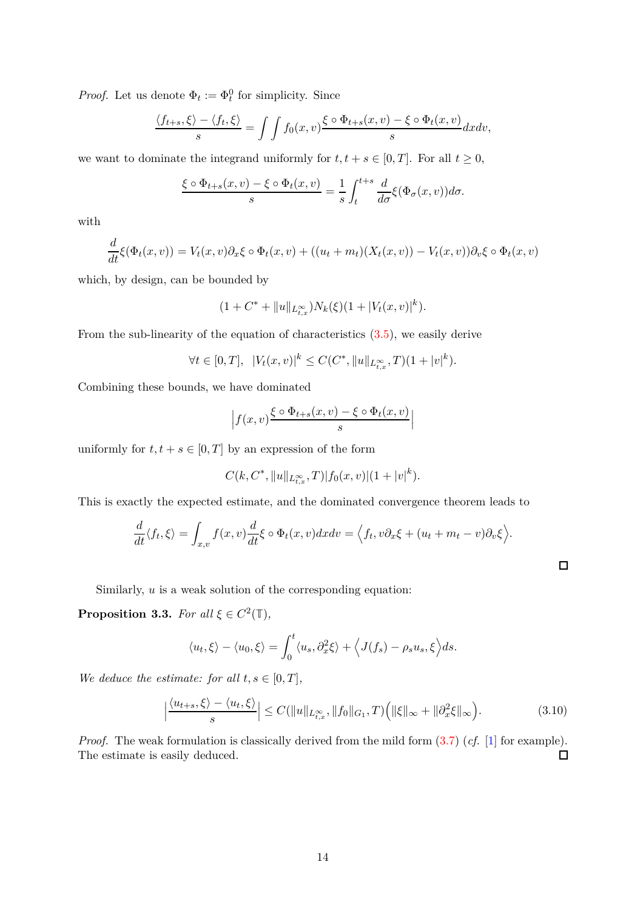*Proof.* Let us denote  $\Phi_t := \Phi_t^0$  for simplicity. Since

$$
\frac{\langle f_{t+s}, \xi \rangle - \langle f_t, \xi \rangle}{s} = \int \int f_0(x, v) \frac{\xi \circ \Phi_{t+s}(x, v) - \xi \circ \Phi_t(x, v)}{s} dx dv,
$$

we want to dominate the integrand uniformly for  $t, t + s \in [0, T]$ . For all  $t \geq 0$ ,

$$
\frac{\xi \circ \Phi_{t+s}(x,v) - \xi \circ \Phi_t(x,v)}{s} = \frac{1}{s} \int_t^{t+s} \frac{d}{d\sigma} \xi(\Phi_\sigma(x,v)) d\sigma.
$$

with

$$
\frac{d}{dt}\xi(\Phi_t(x,v)) = V_t(x,v)\partial_x\xi \circ \Phi_t(x,v) + ((u_t + m_t)(X_t(x,v)) - V_t(x,v))\partial_v\xi \circ \Phi_t(x,v)
$$

which, by design, can be bounded by

$$
(1 + C^* + ||u||_{L^{\infty}_{t,x}})N_k(\xi)(1 + |V_t(x,v)|^k).
$$

From the sub-linearity of the equation of characteristics  $(3.5)$ , we easily derive

$$
\forall t \in [0, T], \ |V_t(x, v)|^k \le C(C^*, \|u\|_{L_{t,x}^{\infty}}, T)(1+|v|^k).
$$

Combining these bounds, we have dominated

$$
\left| f(x,v) \frac{\xi \circ \Phi_{t+s}(x,v) - \xi \circ \Phi_t(x,v)}{s} \right|
$$

uniformly for  $t, t + s \in [0, T]$  by an expression of the form

$$
C(k, C^*, \|u\|_{L^\infty_{t,x}}, T)|f_0(x,v)|(1+|v|^k).
$$

This is exactly the expected estimate, and the dominated convergence theorem leads to

$$
\frac{d}{dt}\langle f_t, \xi \rangle = \int_{x,v} f(x,v) \frac{d}{dt} \xi \circ \Phi_t(x,v) dx dv = \Big\langle f_t, v \partial_x \xi + (u_t + m_t - v) \partial_v \xi \Big\rangle.
$$

Similarly, *u* is a weak solution of the corresponding equation:

<span id="page-13-0"></span>**Proposition 3.3.** *For all*  $\xi \in C^2(\mathbb{T})$ *,* 

$$
\langle u_t, \xi \rangle - \langle u_0, \xi \rangle = \int_0^t \langle u_s, \partial_x^2 \xi \rangle + \langle J(f_s) - \rho_s u_s, \xi \rangle ds.
$$

*We deduce the estimate: for all*  $t, s \in [0, T]$ *,* 

$$
\left|\frac{\langle u_{t+s},\xi\rangle-\langle u_t,\xi\rangle}{s}\right| \le C(\|u\|_{L^{\infty}_{t,x}},\|f_0\|_{G_1},T)\Big(\|\xi\|_{\infty}+\|\partial_x^2\xi\|_{\infty}\Big). \tag{3.10}
$$

 $\Box$ 

*Proof.* The weak formulation is classically derived from the mild form  $(3.7)$  (*cf.* [\[1\]](#page-49-7) for example). The estimate is easily deduced.  $\Box$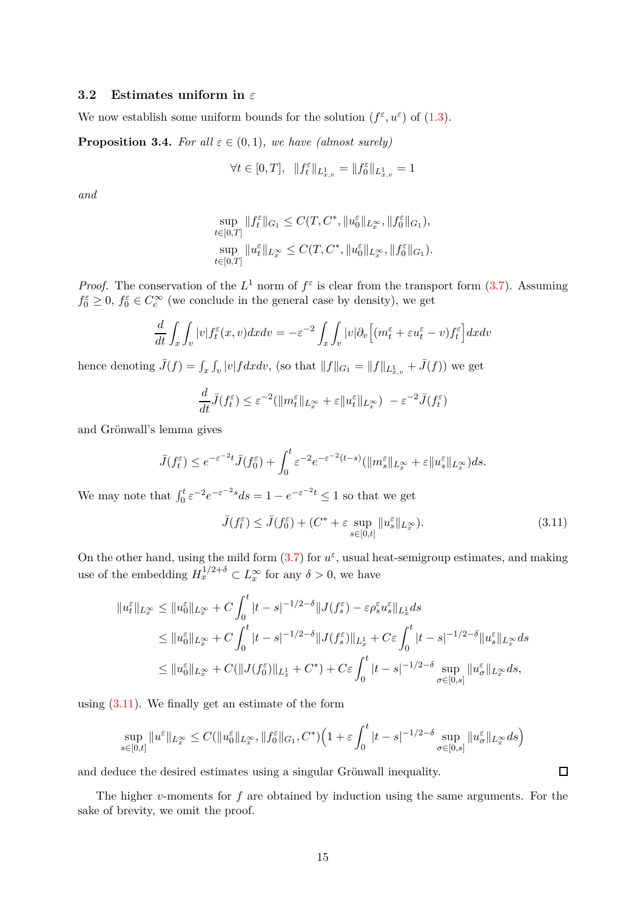### <span id="page-14-0"></span>**3.2 Estimates uniform in** *ε*

We now establish some uniform bounds for the solution  $(f^{\varepsilon}, u^{\varepsilon})$  of  $(1.3)$ .

<span id="page-14-2"></span>**Proposition 3.4.** *For all*  $\varepsilon \in (0,1)$ *, we have (almost surely)* 

$$
\forall t \in [0,T], \;\; \|f^\varepsilon_t\|_{L^1_{x,v}} = \|f^\varepsilon_0\|_{L^1_{x,v}} = 1
$$

*and*

$$
\sup_{t\in[0,T]}\|f_t^\varepsilon\|_{G_1}\leq C(T,C^*,\|u_0^\varepsilon\|_{L^\infty_x},\|f_0^\varepsilon\|_{G_1}),
$$
  
\n
$$
\sup_{t\in[0,T]}\|u_t^\varepsilon\|_{L^\infty_x}\leq C(T,C^*,\|u_0^\varepsilon\|_{L^\infty_x},\|f_0^\varepsilon\|_{G_1}).
$$

*Proof.* The conservation of the  $L^1$  norm of  $f^{\varepsilon}$  is clear from the transport form [\(3.7\)](#page-12-1). Assuming  $f_0^{\varepsilon} \geq 0$ ,  $f_0^{\varepsilon} \in C_c^{\infty}$  (we conclude in the general case by density), we get

$$
\frac{d}{dt} \int_x \int_v |v| f_t^{\varepsilon}(x, v) dx dv = -\varepsilon^{-2} \int_x \int_v |v| \partial_v \Big[ (m_t^{\varepsilon} + \varepsilon u_t^{\varepsilon} - v) f_t^{\varepsilon} \Big] dx dv
$$

hence denoting  $\bar{J}(f) = \int_x \int_v |v| f dx dv$ , (so that  $||f||_{G_1} = ||f||_{L^1_{x,v}} + \bar{J}(f)$ ) we get

$$
\frac{d}{dt}\bar{J}(f_t^{\varepsilon}) \leq \varepsilon^{-2}(\|m_t^{\varepsilon}\|_{L_x^{\infty}} + \varepsilon\|u_t^{\varepsilon}\|_{L_x^{\infty}}) - \varepsilon^{-2}\bar{J}(f_t^{\varepsilon})
$$

and Grönwall's lemma gives

$$
\bar{J}(f_t^{\varepsilon}) \le e^{-\varepsilon^{-2}t} \bar{J}(f_0^{\varepsilon}) + \int_0^t \varepsilon^{-2} e^{-\varepsilon^{-2}(t-s)} (\|m_s^{\varepsilon}\|_{L_x^{\infty}} + \varepsilon \|u_s^{\varepsilon}\|_{L_x^{\infty}}) ds.
$$

We may note that  $\int_0^t \varepsilon^{-2} e^{-\varepsilon^{-2}s} ds = 1 - e^{-\varepsilon^{-2}t} \leq 1$  so that we get

$$
\bar{J}(f_t^{\varepsilon}) \le \bar{J}(f_0^{\varepsilon}) + (C^* + \varepsilon \sup_{s \in [0,t]} ||u_s^{\varepsilon}||_{L_x^{\infty}}). \tag{3.11}
$$

On the other hand, using the mild form  $(3.7)$  for  $u^{\varepsilon}$ , usual heat-semigroup estimates, and making use of the embedding  $H_x^{1/2+\delta} \subset L_x^{\infty}$  for any  $\delta > 0$ , we have

$$
\|u_t^{\varepsilon}\|_{L_x^{\infty}} \le \|u_0^{\varepsilon}\|_{L_x^{\infty}} + C \int_0^t |t - s|^{-1/2-\delta} \|J(f_s^{\varepsilon}) - \varepsilon \rho_s^{\varepsilon} u_s^{\varepsilon}\|_{L_x^1} ds
$$
  
\n
$$
\le \|u_0^{\varepsilon}\|_{L_x^{\infty}} + C \int_0^t |t - s|^{-1/2-\delta} \|J(f_s^{\varepsilon})\|_{L_x^1} + C\varepsilon \int_0^t |t - s|^{-1/2-\delta} \|u_s^{\varepsilon}\|_{L_x^{\infty}} ds
$$
  
\n
$$
\le \|u_0^{\varepsilon}\|_{L_x^{\infty}} + C (\|J(f_0^{\varepsilon})\|_{L_x^1} + C^*) + C\varepsilon \int_0^t |t - s|^{-1/2-\delta} \sup_{\sigma \in [0, s]} \|u_\sigma^{\varepsilon}\|_{L_x^{\infty}} ds,
$$

using [\(3.11\)](#page-14-1). We finally get an estimate of the form

$$
\sup_{s\in[0,t]}\|u^\varepsilon\|_{L^\infty_x}\leq C(\|u_0^\varepsilon\|_{L^\infty_x},\|f_0^\varepsilon\|_{G_1},C^*)\Big(1+\varepsilon\int_0^t|t-s|^{-1/2-\delta}\sup_{\sigma\in[0,s]}\|u^\varepsilon_\sigma\|_{L^\infty_x}ds\Big)
$$

and deduce the desired estimates using a singular Grönwall inequality.

The higher *v*-moments for *f* are obtained by induction using the same arguments. For the sake of brevity, we omit the proof.

<span id="page-14-1"></span> $\Box$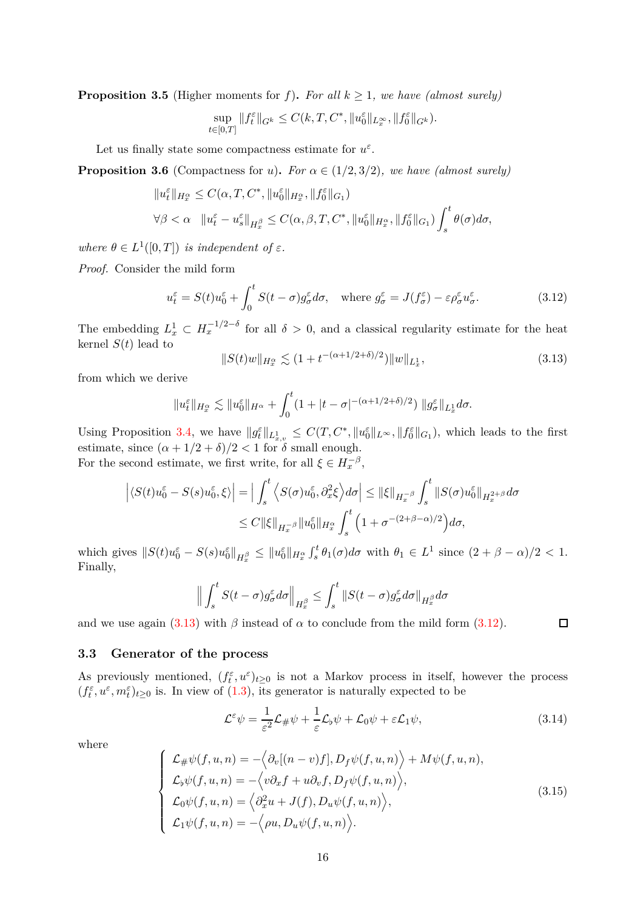**Proposition 3.5** (Higher moments for *f*). For all  $k \geq 1$ , we have (almost surely)

$$
\sup_{t\in[0,T]}\|f^\varepsilon_t\|_{G^k}\leq C(k,T,C^*,\|u^\varepsilon_0\|_{L^\infty_x},\|f^\varepsilon_0\|_{G^k}).
$$

Let us finally state some compactness estimate for  $u^{\varepsilon}$ .

<span id="page-15-4"></span>**Proposition 3.6** (Compactness for *u*). *For*  $\alpha \in (1/2, 3/2)$ *, we have (almost surely)* 

$$
\begin{aligned} &\|u_t^{\varepsilon}\|_{H_x^{\alpha}} \leq C(\alpha, T, C^*, \|u_0^{\varepsilon}\|_{H_x^{\alpha}}, \|f_0^{\varepsilon}\|_{G_1})\\ &\forall \beta < \alpha \quad \|u_t^{\varepsilon} - u_s^{\varepsilon}\|_{H_x^{\beta}} \leq C(\alpha, \beta, T, C^*, \|u_0^{\varepsilon}\|_{H_x^{\alpha}}, \|f_0^{\varepsilon}\|_{G_1}) \int_s^t \theta(\sigma) d\sigma, \end{aligned}
$$

*where*  $\theta \in L^1([0,T])$  *is independent of*  $\varepsilon$ *.* 

*Proof.* Consider the mild form

$$
u_t^{\varepsilon} = S(t)u_0^{\varepsilon} + \int_0^t S(t-\sigma)g_{\sigma}^{\varepsilon}d\sigma, \quad \text{where } g_{\sigma}^{\varepsilon} = J(f_{\sigma}^{\varepsilon}) - \varepsilon \rho_{\sigma}^{\varepsilon}u_{\sigma}^{\varepsilon}.
$$
 (3.12)

The embedding  $L_x^1 \subset H_x^{-1/2-\delta}$  for all  $\delta > 0$ , and a classical regularity estimate for the heat kernel  $S(t)$  lead to

<span id="page-15-2"></span><span id="page-15-1"></span>
$$
||S(t)w||_{H_x^{\alpha}} \lesssim (1 + t^{-(\alpha + 1/2 + \delta)/2}) ||w||_{L_x^1},
$$
\n(3.13)

from which we derive

$$
||u_t^{\varepsilon}||_{H_x^{\alpha}} \lesssim ||u_0^{\varepsilon}||_{H^{\alpha}} + \int_0^t (1+|t-\sigma|^{-(\alpha+1/2+\delta)/2}) ||g_{\sigma}^{\varepsilon}||_{L_x^1} d\sigma.
$$

Using Proposition [3.4,](#page-14-2) we have  $||g_t^{\varepsilon}||_{L^1_{x,v}} \leq C(T, C^*, ||u_0^{\varepsilon}||_{L^{\infty}}, ||f_0^{\varepsilon}||_{G_1}),$  which leads to the first estimate, since  $(\alpha + 1/2 + \delta)/2 < 1$  for  $\delta$  small enough. For the second estimate, we first write, for all  $\xi \in H_x^{-\beta}$ ,

$$
\left| \langle S(t)u_0^{\varepsilon} - S(s)u_0^{\varepsilon}, \xi \rangle \right| = \Big| \int_s^t \left\langle S(\sigma)u_0^{\varepsilon}, \partial_x^2 \xi \right\rangle d\sigma \Big| \leq \|\xi\|_{H_x^{-\beta}} \int_s^t \|S(\sigma)u_0^{\varepsilon}\|_{H_x^{2+\beta}} d\sigma
$$
  

$$
\leq C \|\xi\|_{H_x^{-\beta}} \|u_0^{\varepsilon}\|_{H_x^{\alpha}} \int_s^t \left(1 + \sigma^{-(2+\beta-\alpha)/2}\right) d\sigma,
$$

which gives  $||S(t)u_0^{\varepsilon} - S(s)u_0^{\varepsilon}||_{H_x^{\beta}} \leq ||u_0^{\varepsilon}||_{H_x^{\alpha}} \int_s^t \theta_1(\sigma) d\sigma$  with  $\theta_1 \in L^1$  since  $(2 + \beta - \alpha)/2 < 1$ . Finally,

$$
\Big\|\int_s^t S(t-\sigma)g_\sigma^\varepsilon d\sigma\Big\|_{H_x^\beta}\leq \int_s^t \|S(t-\sigma)g_\sigma^\varepsilon d\sigma\|_{H_x^\beta} d\sigma
$$

and we use again  $(3.13)$  with  $\beta$  instead of  $\alpha$  to conclude from the mild form  $(3.12)$ .

### <span id="page-15-0"></span>**3.3 Generator of the process**

As previously mentioned,  $(f_t^{\varepsilon}, u^{\varepsilon})_{t \geq 0}$  is not a Markov process in itself, however the process  $(f_t^{\varepsilon}, u^{\varepsilon}, m_t^{\varepsilon})_{t\geq 0}$  is. In view of [\(1.3\)](#page-1-4), its generator is naturally expected to be

$$
\mathcal{L}^{\varepsilon}\psi = \frac{1}{\varepsilon^{2}}\mathcal{L}_{\#}\psi + \frac{1}{\varepsilon}\mathcal{L}_{\flat}\psi + \mathcal{L}_{0}\psi + \varepsilon\mathcal{L}_{1}\psi,
$$
\n(3.14)

 $\Box$ 

where

<span id="page-15-3"></span>
$$
\begin{cases}\n\mathcal{L}_{\#}\psi(f, u, n) = -\langle \partial_{v}[(n-v)f], D_{f}\psi(f, u, n) \rangle + M\psi(f, u, n), \\
\mathcal{L}_{\flat}\psi(f, u, n) = -\langle v\partial_{x}f + u\partial_{v}f, D_{f}\psi(f, u, n) \rangle, \\
\mathcal{L}_{0}\psi(f, u, n) = \langle \partial_{x}^{2}u + J(f), D_{u}\psi(f, u, n) \rangle, \\
\mathcal{L}_{1}\psi(f, u, n) = -\langle \rho u, D_{u}\psi(f, u, n) \rangle.\n\end{cases}
$$
\n(3.15)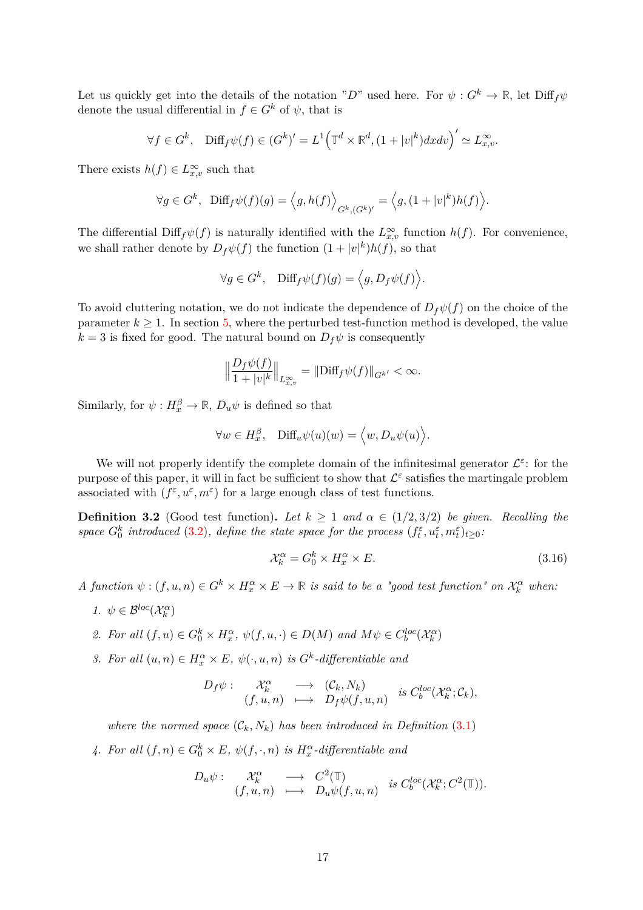Let us quickly get into the details of the notation "*D*" used here. For  $\psi: G^k \to \mathbb{R}$ , let  $\text{Diff}_f \psi$ denote the usual differential in  $f \in G^k$  of  $\psi$ , that is

$$
\forall f \in G^k, \quad \text{Diff}_f \psi(f) \in (G^k)' = L^1 \Big( \mathbb{T}^d \times \mathbb{R}^d, (1+|v|^k) dx dv \Big)' \simeq L_{x,v}^{\infty}.
$$

There exists  $h(f) \in L^{\infty}_{x,v}$  such that

$$
\forall g \in G^k, \ \ \mathrm{Diff}_f \psi(f)(g) = \left\langle g, h(f) \right\rangle_{G^k, (G^k)'} = \left\langle g, (1+|v|^k)h(f) \right\rangle.
$$

The differential  $\text{Diff}_f\psi(f)$  is naturally identified with the  $L^{\infty}_{x,v}$  function  $h(f)$ . For convenience, we shall rather denote by  $D_f \psi(f)$  the function  $(1+|v|^k)h(f)$ , so that

$$
\forall g \in G^k, \quad \text{Diff}_f \psi(f)(g) = \langle g, D_f \psi(f) \rangle.
$$

To avoid cluttering notation, we do not indicate the dependence of  $D_f\psi(f)$  on the choice of the parameter  $k \geq 1$ . In section [5,](#page-24-0) where the perturbed test-function method is developed, the value  $k = 3$  is fixed for good. The natural bound on  $D_f \psi$  is consequently

$$
\left\|\frac{D_f\psi(f)}{1+|v|^k}\right\|_{L^{\infty}_{x,v}} = \left\|\text{Diff}_f\psi(f)\right\|_{G^{k'}} < \infty.
$$

Similarly, for  $\psi: H_x^{\beta} \to \mathbb{R}$ ,  $D_u \psi$  is defined so that

$$
\forall w \in H_x^{\beta}, \quad \text{Diff}_u \psi(u)(w) = \langle w, D_u \psi(u) \rangle.
$$

We will not properly identify the complete domain of the infinitesimal generator  $\mathcal{L}^{\varepsilon}$ : for the purpose of this paper, it will in fact be sufficient to show that  $\mathcal{L}^{\varepsilon}$  satisfies the martingale problem associated with  $(f^{\varepsilon}, u^{\varepsilon}, m^{\varepsilon})$  for a large enough class of test functions.

**Definition 3.2** (Good test function). Let  $k \geq 1$  and  $\alpha \in (1/2, 3/2)$  be given. Recalling the *space*  $G_0^k$  *introduced* [\(3.2\)](#page-11-5)*, define the state space for the process*  $(f_t^{\varepsilon}, u_t^{\varepsilon}, m_t^{\varepsilon})_{t \geq 0}$ .

$$
\mathcal{X}_k^{\alpha} = G_0^k \times H_x^{\alpha} \times E. \tag{3.16}
$$

- $A$  function  $\psi$  :  $(f, u, n) \in G^k \times H_x^{\alpha} \times E \to \mathbb{R}$  is said to be a "good test function" on  $\mathcal{X}_k^{\alpha}$  when:
	- *1.*  $\psi \in \mathcal{B}^{loc}(\mathcal{X}_k^{\alpha})$
	- 2. For all  $(f, u) \in G_0^k \times H_x^{\alpha}, \psi(f, u, \cdot) \in D(M)$  and  $M\psi \in C_b^{loc}(\mathcal{X}_k^{\alpha})$
	- *3. For all*  $(u, n) \in H_x^{\alpha} \times E$ ,  $\psi(\cdot, u, n)$  *is*  $G^k$ -differentiable and

$$
D_f \psi: \begin{array}{ccc} \mathcal{X}_k^{\alpha} & \longrightarrow & (\mathcal{C}_k, N_k) \\ (f, u, n) & \longmapsto & D_f \psi(f, u, n) \end{array} \text{ is } C_b^{loc}(\mathcal{X}_k^{\alpha}; \mathcal{C}_k),
$$

*where the normed space*  $(C_k, N_k)$  *has been introduced in Definition* [\(3.1\)](#page-12-2)

<span id="page-16-0"></span>4. For all  $(f, n) \in G_0^k \times E$ ,  $\psi(f, \cdot, n)$  *is*  $H_x^{\alpha}$ -differentiable and

$$
D_u \psi: \begin{array}{ccc} \mathcal{X}_k^{\alpha} & \longrightarrow & C^2(\mathbb{T}) \\ (f, u, n) & \longmapsto & D_u \psi(f, u, n) \end{array} \text{ is } C_b^{loc}(\mathcal{X}_k^{\alpha}; C^2(\mathbb{T})).
$$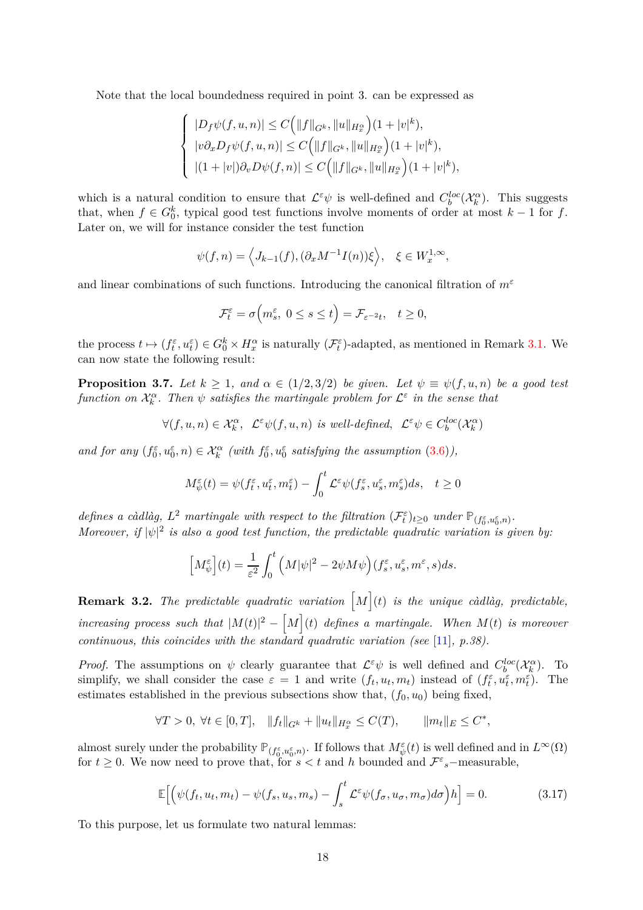Note that the local boundedness required in point 3. can be expressed as

$$
\left\{\begin{array}{l} |D_f\psi(f,u,n)|\leq C\Big(\|f\|_{G^k},\|u\|_{H_x^\alpha}\Big)(1+|v|^k),\\ |v\partial_x D_f\psi(f,u,n)|\leq C\Big(\|f\|_{G^k},\|u\|_{H_x^\alpha}\Big)(1+|v|^k),\\ |(1+|v|)\partial_v D\psi(f,n)|\leq C\Big(\|f\|_{G^k},\|u\|_{H_x^\alpha}\Big)(1+|v|^k), \end{array}\right.
$$

which is a natural condition to ensure that  $\mathcal{L}^{\varepsilon}\psi$  is well-defined and  $C_b^{loc}(\mathcal{X}_k^{\alpha})$ . This suggests that, when  $f \in G_0^k$ , typical good test functions involve moments of order at most  $k-1$  for  $f$ . Later on, we will for instance consider the test function

$$
\psi(f,n) = \left\langle J_{k-1}(f), (\partial_x M^{-1} I(n))\xi \right\rangle, \quad \xi \in W_x^{1,\infty},
$$

and linear combinations of such functions. Introducing the canonical filtration of *m<sup>ε</sup>*

$$
\mathcal{F}_t^{\varepsilon} = \sigma\Big(m_s^{\varepsilon}, \ 0 \le s \le t\Big) = \mathcal{F}_{\varepsilon^{-2}t}, \quad t \ge 0,
$$

the process  $t \mapsto (f_t^{\varepsilon}, u_t^{\varepsilon}) \in G_0^k \times H_x^{\alpha}$  is naturally  $(\mathcal{F}_t^{\varepsilon})$ -adapted, as mentioned in Remark [3.1.](#page-12-3) We can now state the following result:

<span id="page-17-1"></span>**Proposition 3.7.** *Let*  $k \geq 1$ *, and*  $\alpha \in (1/2, 3/2)$  *be given. Let*  $\psi \equiv \psi(f, u, n)$  *be a good test function on*  $\mathcal{X}_k^{\alpha}$ . Then  $\psi$  *satisfies the martingale problem for*  $\mathcal{L}^{\varepsilon}$  *in the sense that* 

$$
\forall (f,u,n) \in \mathcal{X}^\alpha_k, \ \mathcal{L}^\varepsilon \psi(f,u,n) \ \text{is well-defined}, \ \ \mathcal{L}^\varepsilon \psi \in C_b^{loc}(\mathcal{X}^\alpha_k)
$$

*and for any*  $(f_0^{\varepsilon}, u_0^{\varepsilon}, n) \in \mathcal{X}_k^{\alpha}$  (with  $f_0^{\varepsilon}, u_0^{\varepsilon}$  satisfying the assumption  $(3.6)$ ),

$$
M^{\varepsilon}_{\psi}(t) = \psi(f^{\varepsilon}_t, u^{\varepsilon}_t, m^{\varepsilon}_t) - \int_0^t \mathcal{L}^{\varepsilon} \psi(f^{\varepsilon}_s, u^{\varepsilon}_s, m^{\varepsilon}_s) ds, \quad t \ge 0
$$

*defines a càdlàg,*  $L^2$  *martingale with respect to the filtration*  $(\mathcal{F}_t^{\varepsilon})_{t\geq0}$  *under*  $\mathbb{P}_{(f_0^{\varepsilon}, u_0^{\varepsilon}, n)}$ . *Moreover, if*  $|\psi|^2$  *is also a good test function, the predictable quadratic variation is given by:* 

$$
\left[M_{\psi}^{\varepsilon}\right](t) = \frac{1}{\varepsilon^2} \int_0^t \left(M|\psi|^2 - 2\psi M\psi\right) (f_s^{\varepsilon}, u_s^{\varepsilon}, m^{\varepsilon}, s) ds.
$$

**Remark 3.2.** The predictable quadratic variation  $\lceil M \rceil$  (t) is the unique càdlàg, predictable,  $\int$ *increasing process such that*  $|M(t)|^2 - \left[M\right](t)$  *defines a martingale. When*  $M(t)$  *is moreover continuous, this coincides with the standard quadratic variation (see* [\[11\]](#page-49-8)*, p.38).*

*Proof.* The assumptions on  $\psi$  clearly guarantee that  $\mathcal{L}^{\varepsilon}\psi$  is well defined and  $C_b^{loc}(\mathcal{X}_k^{\alpha})$ . To simplify, we shall consider the case  $\varepsilon = 1$  and write  $(f_t, u_t, m_t)$  instead of  $(f_t^{\varepsilon}, u_t^{\varepsilon}, m_t^{\varepsilon})$ . The estimates established in the previous subsections show that,  $(f_0, u_0)$  being fixed,

$$
\forall T > 0, \ \forall t \in [0, T], \quad \|f_t\|_{G^k} + \|u_t\|_{H_x^{\alpha}} \le C(T), \qquad \|m_t\|_E \le C^*,
$$

almost surely under the probability  $\mathbb{P}_{(f_0^{\varepsilon}, u_0^{\varepsilon}, n)}$ . If follows that  $M_{\psi}^{\varepsilon}(t)$  is well defined and in  $L^{\infty}(\Omega)$ for  $t \geq 0$ . We now need to prove that, for  $s < t$  and h bounded and  $\mathcal{F}^{\varepsilon}$ <sub>s</sub>-measurable,

<span id="page-17-0"></span>
$$
\mathbb{E}\Big[\Big(\psi(f_t, u_t, m_t) - \psi(f_s, u_s, m_s) - \int_s^t \mathcal{L}^\varepsilon \psi(f_\sigma, u_\sigma, m_\sigma) d\sigma\Big) h\Big] = 0. \tag{3.17}
$$

To this purpose, let us formulate two natural lemmas: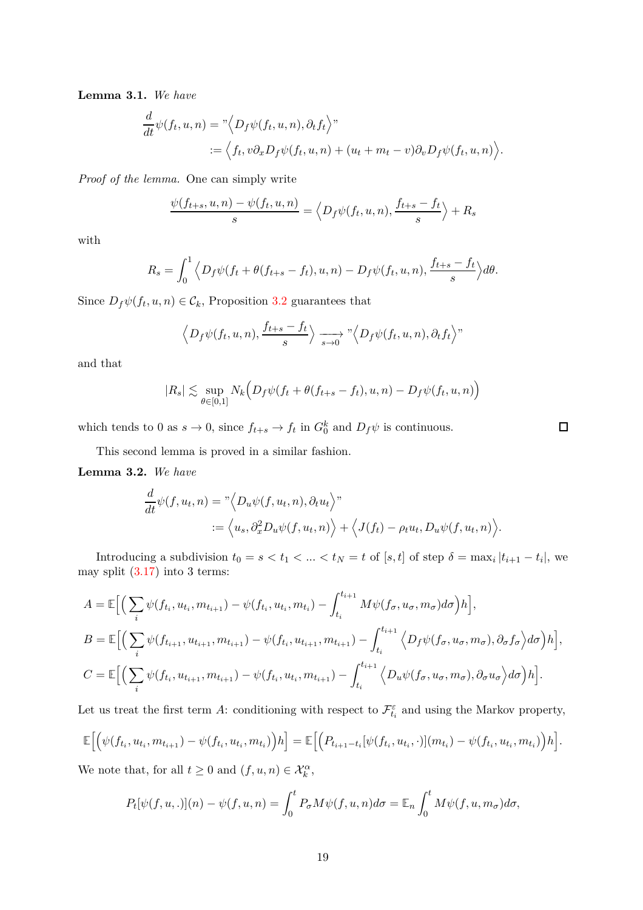<span id="page-18-0"></span>**Lemma 3.1.** *We have*

$$
\frac{d}{dt}\psi(f_t, u, n) = "\langle D_f\psi(f_t, u, n), \partial_t f_t \rangle"\n := \langle f_t, v\partial_x D_f\psi(f_t, u, n) + (u_t + m_t - v)\partial_v D_f\psi(f_t, u, n) \rangle.
$$

*Proof of the lemma.* One can simply write

$$
\frac{\psi(f_{t+s}, u, n) - \psi(f_t, u, n)}{s} = \left\langle D_f \psi(f_t, u, n), \frac{f_{t+s} - f_t}{s} \right\rangle + R_s
$$

with

$$
R_s = \int_0^1 \left\langle D_f \psi(f_t + \theta(f_{t+s} - f_t), u, n) - D_f \psi(f_t, u, n), \frac{f_{t+s} - f_t}{s} \right\rangle d\theta.
$$

Since  $D_f \psi(f_t, u, n) \in \mathcal{C}_k$ , Proposition [3.2](#page-12-5) guarantees that

$$
\langle D_f \psi(f_t, u, n), \frac{f_{t+s} - f_t}{s} \rangle \longrightarrow_{s \to 0}^{\infty} \langle D_f \psi(f_t, u, n), \partial_t f_t \rangle
$$

and that

$$
|R_s| \lesssim \sup_{\theta \in [0,1]} N_k \Big(D_f \psi(f_t + \theta(f_{t+s} - f_t), u, n) - D_f \psi(f_t, u, n)\Big)
$$

which tends to 0 as  $s \to 0$ , since  $f_{t+s} \to f_t$  in  $G_0^k$  and  $D_f \psi$  is continuous.

This second lemma is proved in a similar fashion.

**Lemma 3.2.** *We have*

$$
\frac{d}{dt}\psi(f, u_t, n) = "\langle D_u \psi(f, u_t, n), \partial_t u_t \rangle"\n\n:= \langle u_s, \partial_x^2 D_u \psi(f, u_t, n) \rangle + \langle J(f_t) - \rho_t u_t, D_u \psi(f, u_t, n) \rangle.
$$

Introducing a subdivision  $t_0 = s < t_1 < ... < t_N = t$  of  $[s, t]$  of step  $\delta = \max_i |t_{i+1} - t_i|$ , we may split [\(3.17\)](#page-17-0) into 3 terms:

$$
A = \mathbb{E}\Big[\Big(\sum_{i}\psi(f_{t_i}, u_{t_i}, m_{t_{i+1}}) - \psi(f_{t_i}, u_{t_i}, m_{t_i}) - \int_{t_i}^{t_{i+1}} M\psi(f_{\sigma}, u_{\sigma}, m_{\sigma}) d\sigma\Big)h\Big],
$$
  
\n
$$
B = \mathbb{E}\Big[\Big(\sum_{i}\psi(f_{t_{i+1}}, u_{t_{i+1}}, m_{t_{i+1}}) - \psi(f_{t_i}, u_{t_{i+1}}, m_{t_{i+1}}) - \int_{t_i}^{t_{i+1}} \Big\langle D_f\psi(f_{\sigma}, u_{\sigma}, m_{\sigma}), \partial_{\sigma}f_{\sigma}\Big\rangle d\sigma\Big)h\Big],
$$
  
\n
$$
C = \mathbb{E}\Big[\Big(\sum_{i}\psi(f_{t_i}, u_{t_{i+1}}, m_{t_{i+1}}) - \psi(f_{t_i}, u_{t_i}, m_{t_{i+1}}) - \int_{t_i}^{t_{i+1}} \Big\langle D_u\psi(f_{\sigma}, u_{\sigma}, m_{\sigma}), \partial_{\sigma}u_{\sigma}\Big\rangle d\sigma\Big)h\Big].
$$

Let us treat the first term *A*: conditioning with respect to  $\mathcal{F}^{\varepsilon}_{t_i}$  and using the Markov property,

$$
\mathbb{E}\Big[\Big(\psi(f_{t_i}, u_{t_i}, m_{t_{i+1}}) - \psi(f_{t_i}, u_{t_i}, m_{t_i})\Big)h\Big] = \mathbb{E}\Big[\Big(P_{t_{i+1}-t_i}[\psi(f_{t_i}, u_{t_i}, \cdot)](m_{t_i}) - \psi(f_{t_i}, u_{t_i}, m_{t_i})\Big)h\Big].
$$

We note that, for all  $t \geq 0$  and  $(f, u, n) \in \mathcal{X}_k^{\alpha}$ ,

$$
P_t[\psi(f, u, .)](n) - \psi(f, u, n) = \int_0^t P_\sigma M \psi(f, u, n) d\sigma = \mathbb{E}_n \int_0^t M \psi(f, u, m_\sigma) d\sigma,
$$

 $\Box$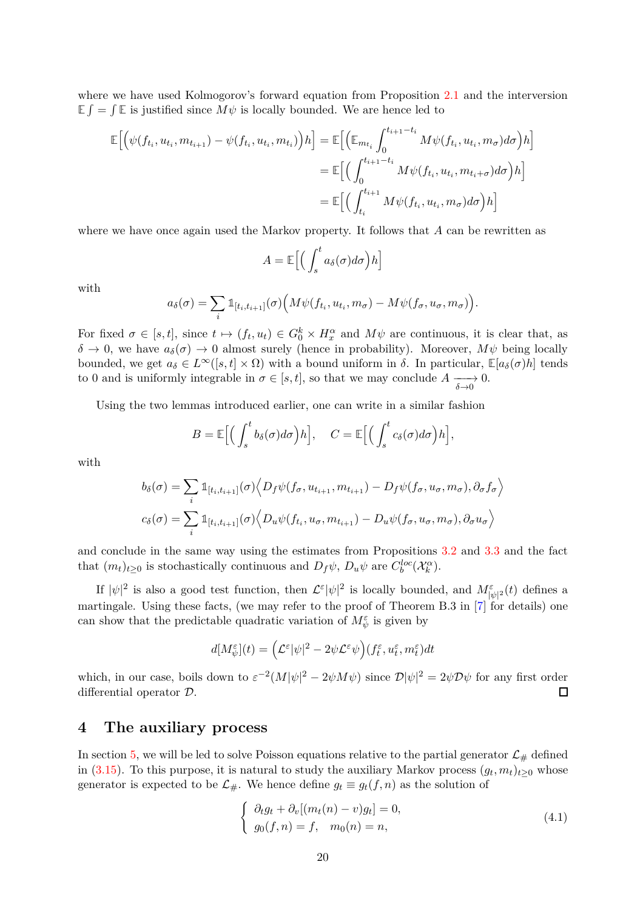where we have used Kolmogorov's forward equation from Proposition [2.1](#page-5-0) and the interversion  $E \int = \int E$  is justified since  $M\psi$  is locally bounded. We are hence led to

$$
\mathbb{E}\Big[\Big(\psi(f_{t_i}, u_{t_i}, m_{t_{i+1}}) - \psi(f_{t_i}, u_{t_i}, m_{t_i})\Big)h\Big] = \mathbb{E}\Big[\Big(\mathbb{E}_{m_{t_i}} \int_0^{t_{i+1}-t_i} M\psi(f_{t_i}, u_{t_i}, m_{\sigma}) d\sigma\Big)h\Big]
$$
  

$$
= \mathbb{E}\Big[\Big(\int_0^{t_{i+1}-t_i} M\psi(f_{t_i}, u_{t_i}, m_{t_i+\sigma}) d\sigma\Big)h\Big]
$$
  

$$
= \mathbb{E}\Big[\Big(\int_{t_i}^{t_{i+1}} M\psi(f_{t_i}, u_{t_i}, m_{\sigma}) d\sigma\Big)h\Big]
$$

where we have once again used the Markov property. It follows that *A* can be rewritten as

$$
A = \mathbb{E}\Big[\Big(\int_s^t a_\delta(\sigma)d\sigma\Big)h\Big]
$$

with

$$
a_{\delta}(\sigma) = \sum_{i} \mathbb{1}_{[t_i, t_{i+1}]}(\sigma) \Big( M \psi(f_{t_i}, u_{t_i}, m_{\sigma}) - M \psi(f_{\sigma}, u_{\sigma}, m_{\sigma}) \Big).
$$

For fixed  $\sigma \in [s, t]$ , since  $t \mapsto (f_t, u_t) \in G_0^k \times H_x^{\alpha}$  and  $M\psi$  are continuous, it is clear that, as  $\delta \to 0$ , we have  $a_{\delta}(\sigma) \to 0$  almost surely (hence in probability). Moreover,  $M\psi$  being locally bounded, we get  $a_{\delta} \in L^{\infty}([s,t] \times \Omega)$  with a bound uniform in  $\delta$ . In particular,  $\mathbb{E}[a_{\delta}(\sigma)h]$  tends to 0 and is uniformly integrable in  $\sigma \in [s, t]$ , so that we may conclude  $A \longrightarrow 0$ .

Using the two lemmas introduced earlier, one can write in a similar fashion

$$
B = \mathbb{E}\Big[\Big(\int_s^t b_\delta(\sigma)d\sigma\Big)h\Big], \quad C = \mathbb{E}\Big[\Big(\int_s^t c_\delta(\sigma)d\sigma\Big)h\Big],
$$

with

$$
b_{\delta}(\sigma) = \sum_{i} \mathbb{1}_{[t_i, t_{i+1}]}(\sigma) \Big\langle D_f \psi(f_{\sigma}, u_{t_{i+1}}, m_{t_{i+1}}) - D_f \psi(f_{\sigma}, u_{\sigma}, m_{\sigma}), \partial_{\sigma} f_{\sigma} \Big\rangle
$$
  

$$
c_{\delta}(\sigma) = \sum_{i} \mathbb{1}_{[t_i, t_{i+1}]}(\sigma) \Big\langle D_u \psi(f_{t_i}, u_{\sigma}, m_{t_{i+1}}) - D_u \psi(f_{\sigma}, u_{\sigma}, m_{\sigma}), \partial_{\sigma} u_{\sigma} \Big\rangle
$$

and conclude in the same way using the estimates from Propositions [3.2](#page-12-5) and [3.3](#page-13-0) and the fact that  $(m_t)_{t\geq 0}$  is stochastically continuous and  $D_f\psi$ ,  $D_u\psi$  are  $C_b^{loc}(\mathcal{X}_k^{\alpha})$ .

If  $|\psi|^2$  is also a good test function, then  $\mathcal{L}^{\varepsilon}|\psi|^2$  is locally bounded, and  $M^{\varepsilon}_{|\psi|^2}(t)$  defines a martingale. Using these facts, (we may refer to the proof of Theorem B.3 in [\[7\]](#page-49-2) for details) one can show that the predictable quadratic variation of  $M_{\psi}^{\varepsilon}$  is given by

$$
d[M^{\varepsilon}_{\psi}](t) = \Big(\mathcal{L}^{\varepsilon}|\psi|^2 - 2\psi \mathcal{L}^{\varepsilon}\psi\Big)(f^{\varepsilon}_t, u^{\varepsilon}_t, m^{\varepsilon}_t)dt
$$

which, in our case, boils down to  $\varepsilon^{-2}(M|\psi|^2 - 2\psi M\psi)$  since  $\mathcal{D}|\psi|^2 = 2\psi \mathcal{D}\psi$  for any first order differential operator D.  $\Box$ 

### <span id="page-19-0"></span>**4 The auxiliary process**

In section [5,](#page-24-0) we will be led to solve Poisson equations relative to the partial generator  $\mathcal{L}_{\#}$  defined in [\(3.15\)](#page-15-3). To this purpose, it is natural to study the auxiliary Markov process  $(g_t, m_t)_{t \geq 0}$  whose generator is expected to be  $\mathcal{L}_{\#}$ . We hence define  $g_t \equiv g_t(f, n)$  as the solution of

<span id="page-19-1"></span>
$$
\begin{cases}\n\partial_t g_t + \partial_v [(m_t(n) - v)g_t] = 0, \\
g_0(f, n) = f, \quad m_0(n) = n,\n\end{cases}
$$
\n(4.1)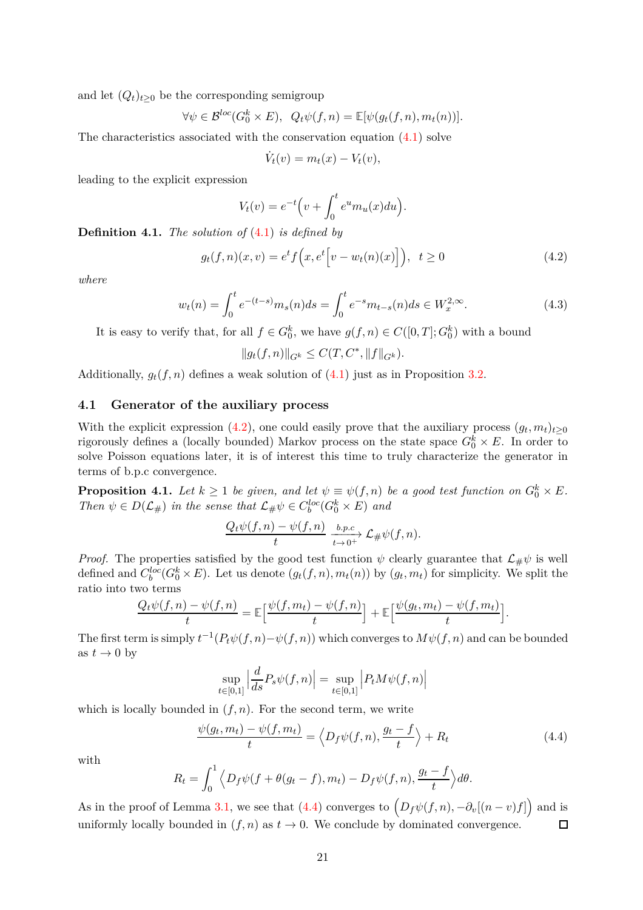and let  $(Q_t)_{t>0}$  be the corresponding semigroup

$$
\forall \psi \in \mathcal{B}^{loc}(G_0^k \times E), \ \ Q_t \psi(f, n) = \mathbb{E}[\psi(g_t(f, n), m_t(n))].
$$

The characteristics associated with the conservation equation [\(4.1\)](#page-19-1) solve

<span id="page-20-1"></span>
$$
\dot{V}_t(v) = m_t(x) - V_t(v),
$$

leading to the explicit expression

$$
V_t(v) = e^{-t} \Big( v + \int_0^t e^u m_u(x) du \Big).
$$

**Definition 4.1.** *The solution of* (4*.*[1\)](#page-19-1) *is defined by*

$$
g_t(f, n)(x, v) = e^t f(x, e^t \Big[ v - w_t(n)(x) \Big] \Big), \ \ t \ge 0 \tag{4.2}
$$

*where*

$$
w_t(n) = \int_0^t e^{-(t-s)} m_s(n) ds = \int_0^t e^{-s} m_{t-s}(n) ds \in W_x^{2,\infty}.
$$
 (4.3)

It is easy to verify that, for all  $f \in G_0^k$ , we have  $g(f, n) \in C([0, T]; G_0^k)$  with a bound

<span id="page-20-3"></span>
$$
||g_t(f, n)||_{G^k} \leq C(T, C^*, ||f||_{G^k}).
$$

Additionally,  $g_t(f, n)$  defines a weak solution of  $(4.1)$  just as in Proposition [3.2.](#page-12-5)

### <span id="page-20-0"></span>**4.1 Generator of the auxiliary process**

With the explicit expression [\(4.2\)](#page-20-1), one could easily prove that the auxiliary process  $(g_t, m_t)_{t \geq 0}$ rigorously defines a (locally bounded) Markov process on the state space  $G_0^k \times E$ . In order to solve Poisson equations later, it is of interest this time to truly characterize the generator in terms of b.p.c convergence.

<span id="page-20-4"></span>**Proposition 4.1.** Let  $k \geq 1$  be given, and let  $\psi \equiv \psi(f, n)$  be a good test function on  $G_0^k \times E$ . *Then*  $\psi \in D(\mathcal{L}_{\#})$  *in the sense that*  $\mathcal{L}_{\#}\psi \in C_b^{loc}(G_0^k \times E)$  *and* 

$$
\frac{Q_t\psi(f,n)-\psi(f,n)}{t}\xrightarrow[t\to 0^+]{b.p.c}\mathcal{L}_{\#}\psi(f,n).
$$

*Proof.* The properties satisfied by the good test function  $\psi$  clearly guarantee that  $\mathcal{L}_{\#}\psi$  is well defined and  $C_b^{loc}(G_0^k \times E)$ . Let us denote  $(g_t(f, n), m_t(n))$  by  $(g_t, m_t)$  for simplicity. We split the ratio into two terms

$$
\frac{Q_t\psi(f,n)-\psi(f,n)}{t}=\mathbb{E}\Big[\frac{\psi(f,m_t)-\psi(f,n)}{t}\Big]+\mathbb{E}\Big[\frac{\psi(g_t,m_t)-\psi(f,m_t)}{t}\Big].
$$

The first term is simply  $t^{-1}(P_t\psi(f,n)-\psi(f,n))$  which converges to  $M\psi(f,n)$  and can be bounded as  $t \to 0$  by

$$
\sup_{t \in [0,1]} \left| \frac{d}{ds} P_s \psi(f,n) \right| = \sup_{t \in [0,1]} \left| P_t M \psi(f,n) \right|
$$

which is locally bounded in  $(f, n)$ . For the second term, we write

<span id="page-20-2"></span>
$$
\frac{\psi(g_t, m_t) - \psi(f, m_t)}{t} = \left\langle D_f \psi(f, n), \frac{g_t - f}{t} \right\rangle + R_t \tag{4.4}
$$

with

$$
R_t = \int_0^1 \left\langle D_f \psi(f + \theta(g_t - f), m_t) - D_f \psi(f, n), \frac{g_t - f}{t} \right\rangle d\theta.
$$

As in the proof of Lemma [3.1,](#page-18-0) we see that  $(4.4)$  converges to  $(D_f\psi(f,n), -\partial_v[(n-v)f])$  and is uniformly locally bounded in  $(f, n)$  as  $t \to 0$ . We conclude by dominated convergence.  $\Box$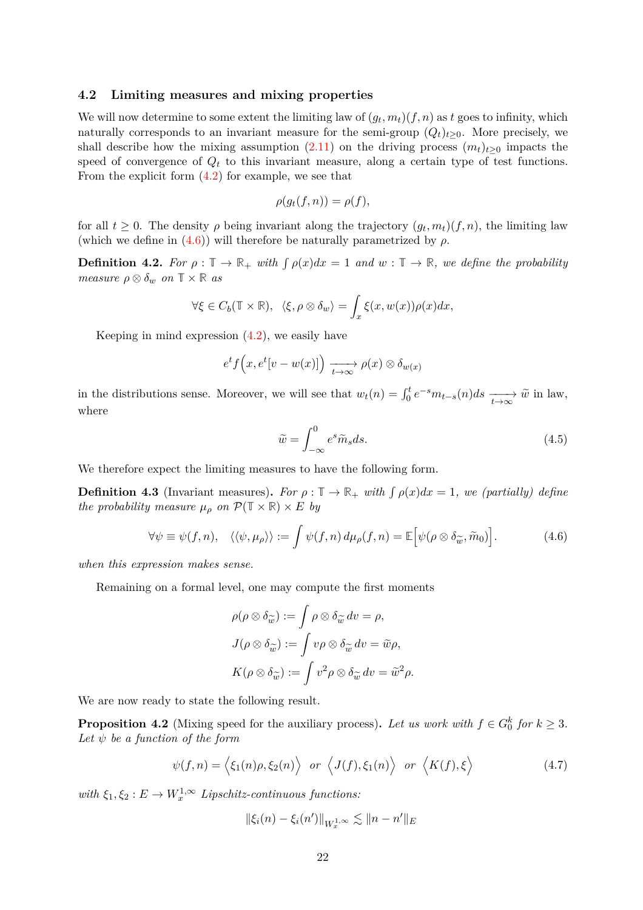### <span id="page-21-0"></span>**4.2 Limiting measures and mixing properties**

We will now determine to some extent the limiting law of  $(g_t, m_t)(f, n)$  as  $t$  goes to infinity, which naturally corresponds to an invariant measure for the semi-group  $(Q_t)_{t>0}$ . More precisely, we shall describe how the mixing assumption  $(2.11)$  on the driving process  $(m_t)_{t>0}$  impacts the speed of convergence of  $Q_t$  to this invariant measure, along a certain type of test functions. From the explicit form  $(4.2)$  for example, we see that

$$
\rho(g_t(f, n)) = \rho(f),
$$

for all  $t \geq 0$ . The density  $\rho$  being invariant along the trajectory  $(g_t, m_t)(f, n)$ , the limiting law (which we define in  $(4.6)$ ) will therefore be naturally parametrized by  $\rho$ .

**Definition 4.2.** For  $\rho : \mathbb{T} \to \mathbb{R}_+$  with  $\int \rho(x) dx = 1$  and  $w : \mathbb{T} \to \mathbb{R}$ , we define the probability *measure*  $\rho \otimes \delta_w$  *on*  $\mathbb{T} \times \mathbb{R}$  *as* 

$$
\forall \xi \in C_b(\mathbb{T} \times \mathbb{R}), \ \langle \xi, \rho \otimes \delta_w \rangle = \int_x \xi(x, w(x)) \rho(x) dx,
$$

Keeping in mind expression  $(4.2)$ , we easily have

$$
e^{t} f(x, e^{t}[v-w(x)]) \xrightarrow[t \to \infty]{} \rho(x) \otimes \delta_{w(x)}
$$

in the distributions sense. Moreover, we will see that  $w_t(n) = \int_0^t e^{-s} m_{t-s}(n) ds \xrightarrow[t \to \infty]{} \widetilde{w}$  in law, where

<span id="page-21-2"></span><span id="page-21-1"></span>
$$
\widetilde{w} = \int_{-\infty}^{0} e^s \widetilde{m}_s ds. \tag{4.5}
$$

We therefore expect the limiting measures to have the following form.

**Definition 4.3** (Invariant measures). For  $\rho : \mathbb{T} \to \mathbb{R}_+$  with  $\int \rho(x) dx = 1$ , we (partially) define *the probability measure*  $\mu_{\rho}$  *on*  $\mathcal{P}(\mathbb{T} \times \mathbb{R}) \times E$  *by* 

$$
\forall \psi \equiv \psi(f, n), \quad \langle \langle \psi, \mu_{\rho} \rangle \rangle := \int \psi(f, n) \, d\mu_{\rho}(f, n) = \mathbb{E} \Big[ \psi(\rho \otimes \delta_{\widetilde{\omega}}, \widetilde{m}_0) \Big]. \tag{4.6}
$$

*when this expression makes sense.*

Remaining on a formal level, one may compute the first moments

$$
\rho(\rho \otimes \delta_{\widetilde{w}}) := \int \rho \otimes \delta_{\widetilde{w}} dv = \rho,
$$
  

$$
J(\rho \otimes \delta_{\widetilde{w}}) := \int v\rho \otimes \delta_{\widetilde{w}} dv = \widetilde{w}\rho,
$$
  

$$
K(\rho \otimes \delta_{\widetilde{w}}) := \int v^2\rho \otimes \delta_{\widetilde{w}} dv = \widetilde{w}^2\rho.
$$

We are now ready to state the following result.

<span id="page-21-3"></span>**Proposition 4.2** (Mixing speed for the auxiliary process). Let us work with  $f \in G_0^k$  for  $k \geq 3$ . *Let*  $\psi$  *be a function of the form* 

$$
\psi(f,n) = \langle \xi_1(n)\rho, \xi_2(n) \rangle \quad \text{or} \quad \langle J(f), \xi_1(n) \rangle \quad \text{or} \quad \langle K(f), \xi \rangle \tag{4.7}
$$

 $with \xi_1, \xi_2: E \to W_x^{1,\infty}$  *Lipschitz-continuous functions:* 

$$
\|\xi_i(n) - \xi_i(n')\|_{W_x^{1,\infty}} \lesssim \|n - n'\|_E
$$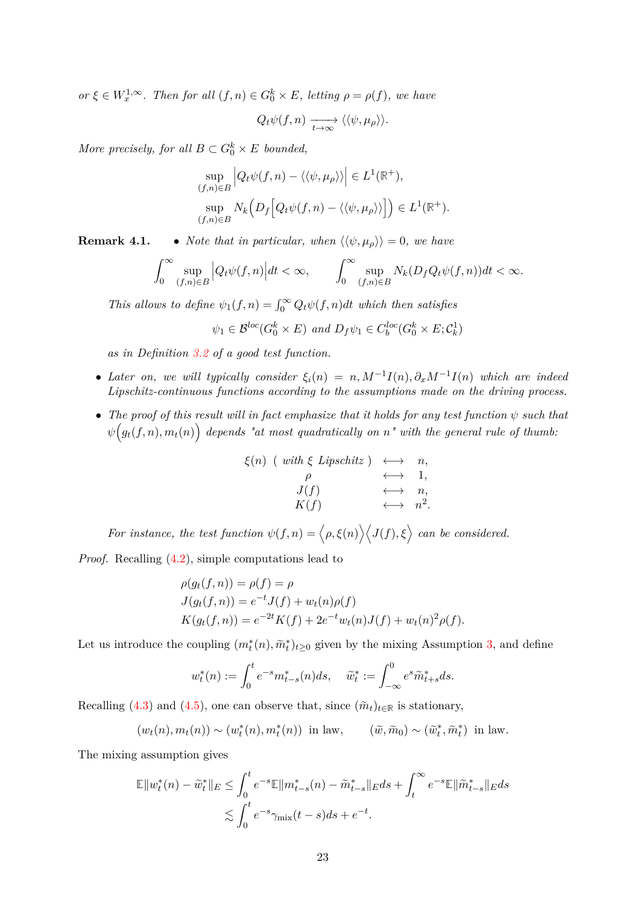$or \xi \in W_x^{1,\infty}$ . Then for all  $(f, n) \in G_0^k \times E$ , letting  $\rho = \rho(f)$ , we have

$$
Q_t\psi(f,n)\xrightarrow[t\to\infty]{}\langle\langle\psi,\mu_\rho\rangle\rangle.
$$

*More precisely, for all*  $B \subset G_0^k \times E$  *bounded,* 

$$
\sup_{(f,n)\in B} \left| Q_t \psi(f,n) - \langle \langle \psi, \mu_\rho \rangle \rangle \right| \in L^1(\mathbb{R}^+),
$$
  

$$
\sup_{(f,n)\in B} N_k \Big( D_f \Big[ Q_t \psi(f,n) - \langle \langle \psi, \mu_\rho \rangle \rangle \Big] \Big) \in L^1(\mathbb{R}^+).
$$

**Remark 4.1.** • *Note that in particular, when*  $\langle \langle \psi, \mu_{\rho} \rangle \rangle = 0$ *, we have* 

$$
\int_0^\infty \sup_{(f,n)\in B} \Big| Q_t \psi(f,n) \Big| dt < \infty, \qquad \int_0^\infty \sup_{(f,n)\in B} N_k(D_f Q_t \psi(f,n)) dt < \infty.
$$

*This allows to define*  $\psi_1(f, n) = \int_0^\infty Q_t \psi(f, n) dt$  *which then satisfies* 

$$
\psi_1 \in \mathcal{B}^{loc}(G_0^k \times E)
$$
 and  $D_f \psi_1 \in C_b^{loc}(G_0^k \times E; C_k^1)$ 

*as in Definition [3.2](#page-16-0) of a good test function.*

- *Later on, we will typically consider*  $\xi_i(n) = n$ ,  $M^{-1}I(n)$ ,  $\partial_x M^{-1}I(n)$  *which are indeed Lipschitz-continuous functions according to the assumptions made on the driving process.*
- The proof of this result will in fact emphasize that it holds for any test function  $\psi$  such that  $\psi\big(g_t(f, n), m_t(n)\big)$  depends "at most quadratically on  $n$ " with the general rule of thumb:

$$
\xi(n) \quad (\text{ with } \xi \text{ Lipschitz}) \quad \longleftrightarrow \quad n, \n\rho \quad \longleftrightarrow \quad 1, \nJ(f) \quad \longleftrightarrow \quad n, \nK(f) \quad \longleftrightarrow \quad n^2.
$$

*For instance, the test function*  $\psi(f, n) = \langle \rho, \xi(n) \rangle \langle J(f), \xi \rangle$  can be considered.

*Proof.* Recalling [\(4.2\)](#page-20-1), simple computations lead to

$$
\rho(g_t(f, n)) = \rho(f) = \rho
$$
  
\n
$$
J(g_t(f, n)) = e^{-t}J(f) + w_t(n)\rho(f)
$$
  
\n
$$
K(g_t(f, n)) = e^{-2t}K(f) + 2e^{-t}w_t(n)J(f) + w_t(n)^2\rho(f).
$$

Let us introduce the coupling  $(m_t^*(n), \tilde{m}_t^*)_{t \geq 0}$  given by the mixing Assumption [3,](#page-8-4) and define

$$
w_t^*(n) := \int_0^t e^{-s} m_{t-s}^*(n) ds, \quad \tilde{w}_t^* := \int_{-\infty}^0 e^{s} \tilde{m}_{t+s}^* ds.
$$

Recalling [\(4.3\)](#page-20-3) and [\(4.5\)](#page-21-2), one can observe that, since  $(\tilde{m}_t)_{t \in \mathbb{R}}$  is stationary,

$$
(w_t(n), m_t(n)) \sim (w_t^*(n), m_t^*(n)) \text{ in law}, \qquad (\tilde{w}, \tilde{m}_0) \sim (\tilde{w}_t^*, \tilde{m}_t^*) \text{ in law}.
$$

The mixing assumption gives

$$
\mathbb{E} \|w_t^*(n) - \tilde{w}_t^*\|_E \le \int_0^t e^{-s} \mathbb{E} \|m_{t-s}^*(n) - \tilde{m}_{t-s}^*\|_E ds + \int_t^\infty e^{-s} \mathbb{E} \|\tilde{m}_{t-s}^*\|_E ds
$$
  

$$
\lesssim \int_0^t e^{-s} \gamma_{\text{mix}}(t-s) ds + e^{-t}.
$$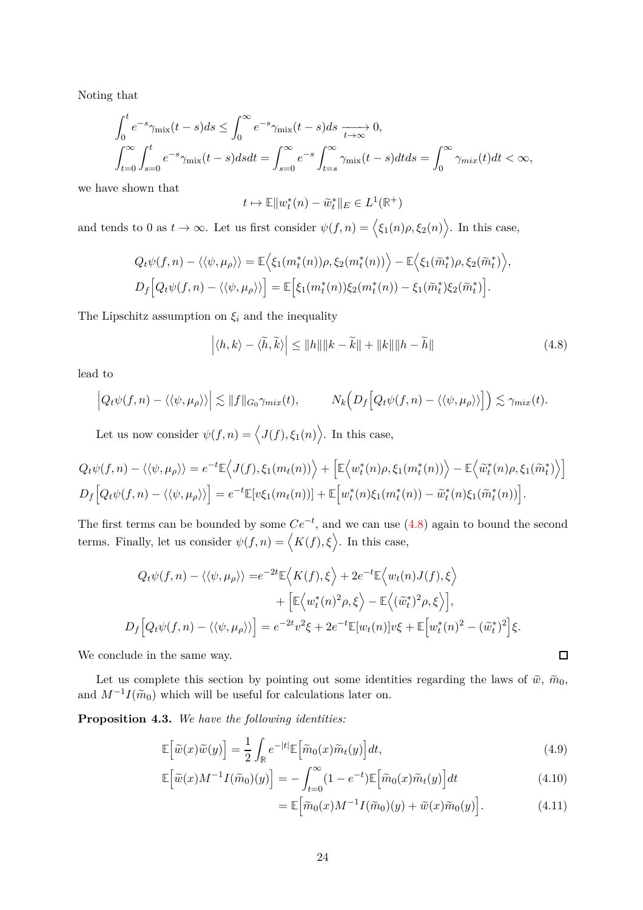Noting that

$$
\int_0^t e^{-s} \gamma_{\text{mix}}(t-s) ds \le \int_0^\infty e^{-s} \gamma_{\text{mix}}(t-s) ds \xrightarrow[t \to \infty]{} 0,
$$
  

$$
\int_{t=0}^\infty \int_{s=0}^t e^{-s} \gamma_{\text{mix}}(t-s) ds dt = \int_{s=0}^\infty e^{-s} \int_{t=s}^\infty \gamma_{\text{mix}}(t-s) dt ds = \int_0^\infty \gamma_{\text{mix}}(t) dt < \infty,
$$

we have shown that

$$
t\mapsto \mathbb{E}\|w_t^*(n)-\tilde w_t^*\|_E\in L^1(\mathbb{R}^+)
$$

and tends to 0 as  $t \to \infty$ . Let us first consider  $\psi(f, n) = \langle \xi_1(n)\rho, \xi_2(n) \rangle$ . In this case,

$$
Q_t\psi(f,n) - \langle\langle\psi,\mu_\rho\rangle\rangle = \mathbb{E}\Big\langle\xi_1(m_t^*(n))\rho,\xi_2(m_t^*(n))\Big\rangle - \mathbb{E}\Big\langle\xi_1(\widetilde{m}_t^*)\rho,\xi_2(\widetilde{m}_t^*)\Big\rangle,
$$
  

$$
D_f\Big[Q_t\psi(f,n) - \langle\langle\psi,\mu_\rho\rangle\rangle\Big] = \mathbb{E}\Big[\xi_1(m_t^*(n))\xi_2(m_t^*(n)) - \xi_1(\widetilde{m}_t^*)\xi_2(\widetilde{m}_t^*)\Big].
$$

The Lipschitz assumption on  $\xi_i$  and the inequality

$$
\left| \langle h, k \rangle - \langle \tilde{h}, \tilde{k} \rangle \right| \le ||h|| ||k - \tilde{k}|| + ||k|| ||h - \tilde{h}|| \tag{4.8}
$$

lead to

$$
\left| Q_t \psi(f,n) - \langle \langle \psi, \mu_\rho \rangle \rangle \right| \lesssim \|f\|_{G_0} \gamma_{mix}(t), \qquad N_k \Big( D_f \Big[ Q_t \psi(f,n) - \langle \langle \psi, \mu_\rho \rangle \rangle \Big] \Big) \lesssim \gamma_{mix}(t).
$$

Let us now consider  $\psi(f, n) = \langle J(f), \xi_1(n) \rangle$ . In this case,

$$
Q_t\psi(f,n) - \langle\langle\psi,\mu_\rho\rangle\rangle = e^{-t}\mathbb{E}\Big\langle J(f),\xi_1(m_t(n))\Big\rangle + \Big[\mathbb{E}\Big\langle w_t^*(n)\rho,\xi_1(m_t^*(n))\Big\rangle - \mathbb{E}\Big\langle \tilde{w}_t^*(n)\rho,\xi_1(\tilde{m}_t^*)\Big\rangle\Big]
$$

$$
D_f\Big[Q_t\psi(f,n) - \langle\langle\psi,\mu_\rho\rangle\rangle\Big] = e^{-t}\mathbb{E}[v\xi_1(m_t(n))] + \mathbb{E}\Big[w_t^*(n)\xi_1(m_t^*(n)) - \tilde{w}_t^*(n)\xi_1(\tilde{m}_t^*(n))\Big].
$$

The first terms can be bounded by some  $Ce^{-t}$ , and we can use  $(4.8)$  again to bound the second terms. Finally, let us consider  $\psi(f, n) = \langle K(f), \xi \rangle$ . In this case,

$$
Q_t \psi(f, n) - \langle \langle \psi, \mu_\rho \rangle \rangle = e^{-2t} \mathbb{E} \langle K(f), \xi \rangle + 2e^{-t} \mathbb{E} \langle w_t(n) J(f), \xi \rangle
$$
  
+ 
$$
\left[ \mathbb{E} \langle w_t^*(n)^2 \rho, \xi \rangle - \mathbb{E} \langle (\tilde{w}_t^*)^2 \rho, \xi \rangle \right],
$$
  

$$
D_f \left[ Q_t \psi(f, n) - \langle \langle \psi, \mu_\rho \rangle \rangle \right] = e^{-2t} v^2 \xi + 2e^{-t} \mathbb{E} [w_t(n)] v \xi + \mathbb{E} \left[ w_t^*(n)^2 - (\tilde{w}_t^*)^2 \right] \xi.
$$

We conclude in the same way.

Let us complete this section by pointing out some identities regarding the laws of  $\tilde{w}, \tilde{m}_0$ , and  $M^{-1}I(\tilde{m}_0)$  which will be useful for calculations later on.

<span id="page-23-4"></span>**Proposition 4.3.** *We have the following identities:*

$$
\mathbb{E}\left[\tilde{w}(x)\tilde{w}(y)\right] = \frac{1}{2} \int_{\mathbb{R}} e^{-|t|} \mathbb{E}\left[\tilde{m}_0(x)\tilde{m}_t(y)\right] dt,\tag{4.9}
$$

$$
\mathbb{E}\left[\tilde{w}(x)M^{-1}I(\tilde{m}_0)(y)\right] = -\int_{t=0}^{\infty} (1 - e^{-t})\mathbb{E}\left[\tilde{m}_0(x)\tilde{m}_t(y)\right]dt\tag{4.10}
$$

$$
= \mathbb{E}\Big[\tilde{m}_0(x)M^{-1}I(\tilde{m}_0)(y) + \tilde{w}(x)\tilde{m}_0(y)\Big].\tag{4.11}
$$

<span id="page-23-3"></span><span id="page-23-2"></span><span id="page-23-1"></span><span id="page-23-0"></span> $\Box$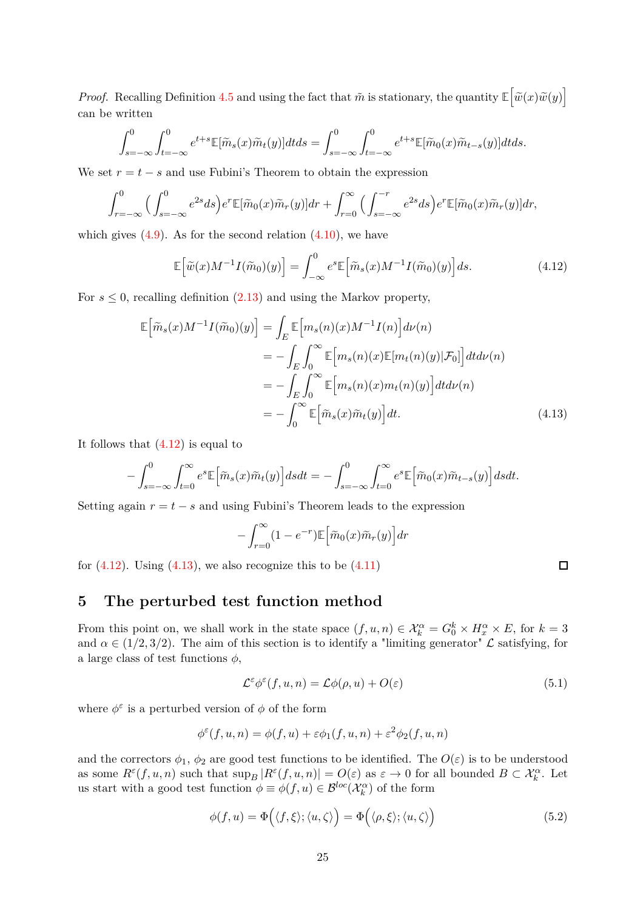*Proof.* Recalling Definition [4.5](#page-21-2) and using the fact that  $\tilde{m}$  is stationary, the quantity  $\mathbb{E}\left[\tilde{w}(x)\tilde{w}(y)\right]$ can be written

$$
\int_{s=-\infty}^{0} \int_{t=-\infty}^{0} e^{t+s} \mathbb{E}[\widetilde{m}_s(x)\widetilde{m}_t(y)]dt ds = \int_{s=-\infty}^{0} \int_{t=-\infty}^{0} e^{t+s} \mathbb{E}[\widetilde{m}_0(x)\widetilde{m}_{t-s}(y)]dt ds.
$$

We set  $r = t - s$  and use Fubini's Theorem to obtain the expression

$$
\int_{r=-\infty}^{0} \Big(\int_{s=-\infty}^{0} e^{2s} ds\Big) e^{r} \mathbb{E}[\widetilde{m}_0(x)\widetilde{m}_r(y)] dr + \int_{r=0}^{\infty} \Big(\int_{s=-\infty}^{-r} e^{2s} ds\Big) e^{r} \mathbb{E}[\widetilde{m}_0(x)\widetilde{m}_r(y)] dr,
$$

which gives  $(4.9)$ . As for the second relation  $(4.10)$ , we have

$$
\mathbb{E}\left[\tilde{w}(x)M^{-1}I(\tilde{m}_0)(y)\right] = \int_{-\infty}^0 e^s \mathbb{E}\left[\tilde{m}_s(x)M^{-1}I(\tilde{m}_0)(y)\right]ds.
$$
 (4.12)

For  $s \leq 0$ , recalling definition  $(2.13)$  and using the Markov property,

$$
\mathbb{E}\left[\widetilde{m}_s(x)M^{-1}I(\widetilde{m}_0)(y)\right] = \int_E \mathbb{E}\left[m_s(n)(x)M^{-1}I(n)\right]d\nu(n)
$$
  
\n
$$
= -\int_E \int_0^\infty \mathbb{E}\left[m_s(n)(x)\mathbb{E}[m_t(n)(y)|\mathcal{F}_0]\right]dt d\nu(n)
$$
  
\n
$$
= -\int_E \int_0^\infty \mathbb{E}\left[m_s(n)(x)m_t(n)(y)\right]dt d\nu(n)
$$
  
\n
$$
= -\int_0^\infty \mathbb{E}\left[\widetilde{m}_s(x)\widetilde{m}_t(y)\right]dt.
$$
\n(4.13)

It follows that  $(4.12)$  is equal to

$$
-\int_{s=-\infty}^{0} \int_{t=0}^{\infty} e^{s} \mathbb{E} \Big[ \tilde{m}_s(x) \tilde{m}_t(y) \Big] ds dt = -\int_{s=-\infty}^{0} \int_{t=0}^{\infty} e^{s} \mathbb{E} \Big[ \tilde{m}_0(x) \tilde{m}_{t-s}(y) \Big] ds dt.
$$

Setting again  $r = t - s$  and using Fubini's Theorem leads to the expression

$$
-\int_{r=0}^{\infty} (1 - e^{-r}) \mathbb{E} \left[ \tilde{m}_0(x) \tilde{m}_r(y) \right] dr
$$

for  $(4.12)$ . Using  $(4.13)$ , we also recognize this to be  $(4.11)$ 

## <span id="page-24-0"></span>**5 The perturbed test function method**

From this point on, we shall work in the state space  $(f, u, n) \in \mathcal{X}_k^{\alpha} = G_0^k \times H_x^{\alpha} \times E$ , for  $k = 3$ and  $\alpha \in (1/2, 3/2)$ . The aim of this section is to identify a "limiting generator"  $\mathcal L$  satisfying, for a large class of test functions  $\phi$ ,

<span id="page-24-3"></span>
$$
\mathcal{L}^{\varepsilon} \phi^{\varepsilon}(f, u, n) = \mathcal{L} \phi(\rho, u) + O(\varepsilon)
$$
\n(5.1)

where  $\phi^{\varepsilon}$  is a perturbed version of  $\phi$  of the form

$$
\phi^{\varepsilon}(f, u, n) = \phi(f, u) + \varepsilon \phi_1(f, u, n) + \varepsilon^2 \phi_2(f, u, n)
$$

and the correctors  $\phi_1$ ,  $\phi_2$  are good test functions to be identified. The  $O(\varepsilon)$  is to be understood as some  $R^{\varepsilon}(f, u, n)$  such that  $\sup_B |R^{\varepsilon}(f, u, n)| = O(\varepsilon)$  as  $\varepsilon \to 0$  for all bounded  $B \subset \mathcal{X}^{\alpha}_k$ . Let us start with a good test function  $\phi \equiv \phi(f, u) \in \mathcal{B}^{loc}(\mathcal{X}_{k}^{\alpha})$  of the form

$$
\phi(f, u) = \Phi\Big(\langle f, \xi \rangle; \langle u, \zeta \rangle\Big) = \Phi\Big(\langle \rho, \xi \rangle; \langle u, \zeta \rangle\Big) \tag{5.2}
$$

<span id="page-24-4"></span><span id="page-24-2"></span><span id="page-24-1"></span>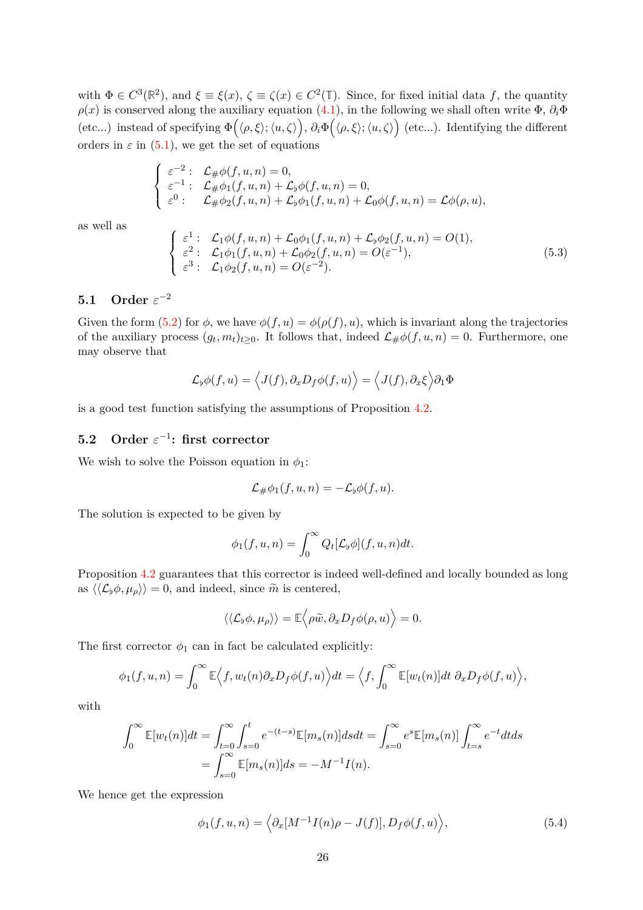with  $\Phi \in C^3(\mathbb{R}^2)$ , and  $\xi \equiv \xi(x)$ ,  $\zeta \equiv \zeta(x) \in C^2(\mathbb{T})$ . Since, for fixed initial data *f*, the quantity  $\rho(x)$  is conserved along the auxiliary equation [\(4.1\)](#page-19-1), in the following we shall often write  $\Phi$ ,  $\partial_i \Phi$ (etc...) instead of specifying  $\Phi(\langle \rho, \xi \rangle; \langle u, \zeta \rangle), \partial_i \Phi(\langle \rho, \xi \rangle; \langle u, \zeta \rangle)$  (etc...). Identifying the different orders in  $\varepsilon$  in [\(5](#page-24-3).1), we get the set of equations

$$
\label{eq:2.1} \left\{ \begin{array}{ll} \varepsilon^{-2}: & \mathcal{L}_\# \phi(f,u,n)=0, \\ \varepsilon^{-1}: & \mathcal{L}_\# \phi_1(f,u,n)+\mathcal{L}_\flat \phi(f,u,n)=0, \\ \varepsilon^0: & \mathcal{L}_\# \phi_2(f,u,n)+\mathcal{L}_\flat \phi_1(f,u,n)+\mathcal{L}_0 \phi(f,u,n)=\mathcal{L} \phi(\rho,u), \end{array} \right.
$$

as well as

<span id="page-25-3"></span>
$$
\begin{cases}\n\varepsilon^1: \mathcal{L}_1 \phi(f, u, n) + \mathcal{L}_0 \phi_1(f, u, n) + \mathcal{L}_b \phi_2(f, u, n) = O(1), \\
\varepsilon^2: \mathcal{L}_1 \phi_1(f, u, n) + \mathcal{L}_0 \phi_2(f, u, n) = O(\varepsilon^{-1}), \\
\varepsilon^3: \mathcal{L}_1 \phi_2(f, u, n) = O(\varepsilon^{-2}).\n\end{cases}
$$
\n(5.3)

## <span id="page-25-0"></span>**5.1** Order  $\varepsilon^{-2}$

Given the form [\(5.2\)](#page-24-4) for  $\phi$ , we have  $\phi(f, u) = \phi(\rho(f), u)$ , which is invariant along the trajectories of the auxiliary process  $(g_t, m_t)_{t \geq 0}$ . It follows that, indeed  $\mathcal{L}_{\#}\phi(f, u, n) = 0$ . Furthermore, one may observe that

$$
\mathcal{L}_{\phi}\phi(f, u) = \langle J(f), \partial_x D_f \phi(f, u) \rangle = \langle J(f), \partial_x \xi \rangle \partial_1 \Phi
$$

is a good test function satisfying the assumptions of Proposition [4.2.](#page-21-3)

## <span id="page-25-1"></span>**5.2** Order  $\varepsilon^{-1}$ : first corrector

We wish to solve the Poisson equation in  $\phi_1$ :

$$
\mathcal{L}_{\#}\phi_1(f, u, n) = -\mathcal{L}_{\flat}\phi(f, u).
$$

The solution is expected to be given by

$$
\phi_1(f, u, n) = \int_0^\infty Q_t[\mathcal{L}_\flat \phi](f, u, n) dt.
$$

Proposition [4.2](#page-21-3) guarantees that this corrector is indeed well-defined and locally bounded as long as  $\langle\langle\mathcal{L}_{\phi}\phi,\mu_{\rho}\rangle\rangle = 0$ , and indeed, since  $\tilde{m}$  is centered,

$$
\langle\langle \mathcal{L}_{\flat}\phi,\mu_{\rho}\rangle\rangle=\mathbb{E}\Big\langle\rho\widetilde{w},\partial_{x}D_{f}\phi(\rho,u)\Big\rangle=0.
$$

The first corrector  $\phi_1$  can in fact be calculated explicitly:

$$
\phi_1(f, u, n) = \int_0^\infty \mathbb{E}\Big\langle f, w_t(n)\partial_x D_f \phi(f, u)\Big\rangle dt = \Big\langle f, \int_0^\infty \mathbb{E}[w_t(n)]dt \ \partial_x D_f \phi(f, u)\Big\rangle,
$$

with

$$
\int_0^\infty \mathbb{E}[w_t(n)]dt = \int_{t=0}^\infty \int_{s=0}^t e^{-(t-s)} \mathbb{E}[m_s(n)]dsdt = \int_{s=0}^\infty e^{s} \mathbb{E}[m_s(n)] \int_{t=s}^\infty e^{-t}dtds
$$

$$
= \int_{s=0}^\infty \mathbb{E}[m_s(n)]ds = -M^{-1}I(n).
$$

We hence get the expression

<span id="page-25-2"></span>
$$
\phi_1(f, u, n) = \left\langle \partial_x [M^{-1} I(n) \rho - J(f)], D_f \phi(f, u) \right\rangle, \tag{5.4}
$$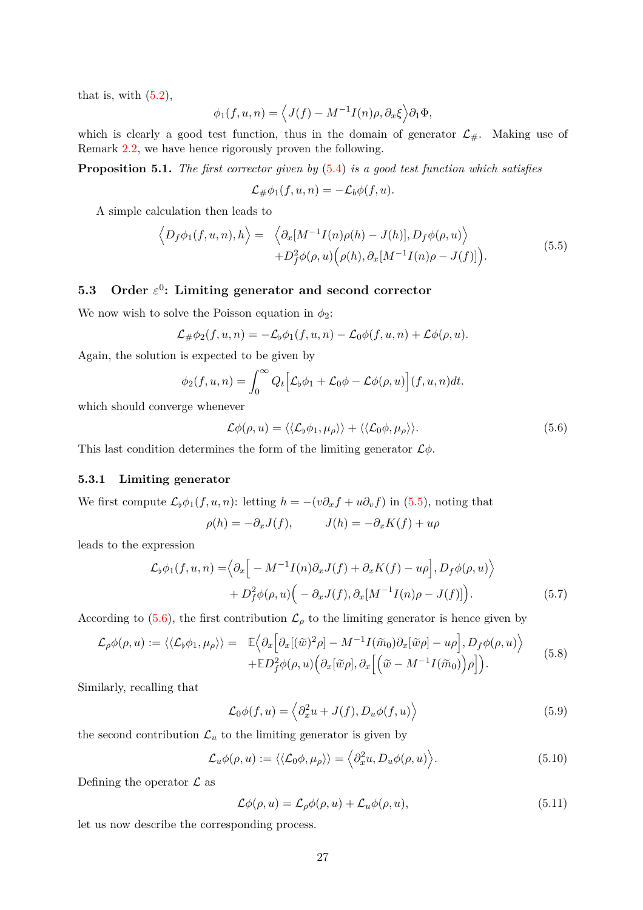that is, with  $(5.2)$ ,

$$
\phi_1(f, u, n) = \left\langle J(f) - M^{-1} I(n) \rho, \partial_x \xi \right\rangle \partial_1 \Phi,
$$

which is clearly a good test function, thus in the domain of generator  $\mathcal{L}_{\#}$ . Making use of Remark [2.2,](#page-7-2) we have hence rigorously proven the following.

**Proposition 5.1.** *The first corrector given by* [\(5](#page-25-2)*.*4) *is a good test function which satisfies*

$$
\mathcal{L}_{\#}\phi_1(f, u, n) = -\mathcal{L}_b\phi(f, u).
$$

A simple calculation then leads to

<span id="page-26-2"></span>
$$
\langle D_f \phi_1(f, u, n), h \rangle = \langle \partial_x [M^{-1} I(n) \rho(h) - J(h)], D_f \phi(\rho, u) \rangle + D_f^2 \phi(\rho, u) \Big( \rho(h), \partial_x [M^{-1} I(n) \rho - J(f)] \Big).
$$
(5.5)

## <span id="page-26-0"></span>**5.3 Order** *ε* 0 **: Limiting generator and second corrector**

We now wish to solve the Poisson equation in  $\phi_2$ :

$$
\mathcal{L}_{\#}\phi_2(f, u, n) = -\mathcal{L}_{\flat}\phi_1(f, u, n) - \mathcal{L}_0\phi(f, u, n) + \mathcal{L}\phi(\rho, u).
$$

Again, the solution is expected to be given by

$$
\phi_2(f, u, n) = \int_0^\infty Q_t \Big[ \mathcal{L}_\flat \phi_1 + \mathcal{L}_0 \phi - \mathcal{L} \phi(\rho, u) \Big] (f, u, n) dt.
$$

which should converge whenever

<span id="page-26-3"></span>
$$
\mathcal{L}\phi(\rho, u) = \langle \langle \mathcal{L}_b \phi_1, \mu_\rho \rangle \rangle + \langle \langle \mathcal{L}_0 \phi, \mu_\rho \rangle \rangle. \tag{5.6}
$$

This last condition determines the form of the limiting generator L*φ*.

### <span id="page-26-1"></span>**5.3.1 Limiting generator**

We first compute  $\mathcal{L}_{\flat}\phi_1(f, u, n)$ : letting  $h = -(v\partial_x f + u\partial_v f)$  in (5.[5\)](#page-26-2), noting that

$$
\rho(h) = -\partial_x J(f), \qquad J(h) = -\partial_x K(f) + u\rho
$$

leads to the expression

$$
\mathcal{L}_{\phi}\phi_1(f, u, n) = \Big\langle \partial_x \Big[ -M^{-1}I(n)\partial_x J(f) + \partial_x K(f) - u\rho \Big], D_f\phi(\rho, u) \Big\rangle + D_f^2\phi(\rho, u) \Big( -\partial_x J(f), \partial_x [M^{-1}I(n)\rho - J(f)] \Big).
$$
(5.7)

According to [\(5.6\)](#page-26-3), the first contribution  $\mathcal{L}_{\rho}$  to the limiting generator is hence given by

<span id="page-26-5"></span>
$$
\mathcal{L}_{\rho}\phi(\rho,u) := \langle \langle \mathcal{L}_{\flat}\phi_1, \mu_{\rho} \rangle \rangle = \mathbb{E} \Big\langle \partial_x \Big[ \partial_x [(\tilde{w})^2 \rho] - M^{-1} I(\tilde{m}_0) \partial_x [\tilde{w}\rho] - u\rho \Big], D_f \phi(\rho,u) \Big\rangle \n+ \mathbb{E} D_f^2 \phi(\rho,u) \Big( \partial_x [\tilde{w}\rho], \partial_x \Big[ \Big( \tilde{w} - M^{-1} I(\tilde{m}_0) \Big) \rho \Big] \Big).
$$
\n(5.8)

Similarly, recalling that

<span id="page-26-7"></span><span id="page-26-6"></span>
$$
\mathcal{L}_0\phi(f, u) = \left\langle \partial_x^2 u + J(f), D_u\phi(f, u) \right\rangle \tag{5.9}
$$

the second contribution  $\mathcal{L}_u$  to the limiting generator is given by

$$
\mathcal{L}_u \phi(\rho, u) := \langle \langle \mathcal{L}_0 \phi, \mu_\rho \rangle \rangle = \langle \partial_x^2 u, D_u \phi(\rho, u) \rangle.
$$
 (5.10)

Defining the operator  $\mathcal L$  as

<span id="page-26-8"></span><span id="page-26-4"></span>
$$
\mathcal{L}\phi(\rho, u) = \mathcal{L}_{\rho}\phi(\rho, u) + \mathcal{L}_{u}\phi(\rho, u), \qquad (5.11)
$$

let us now describe the corresponding process.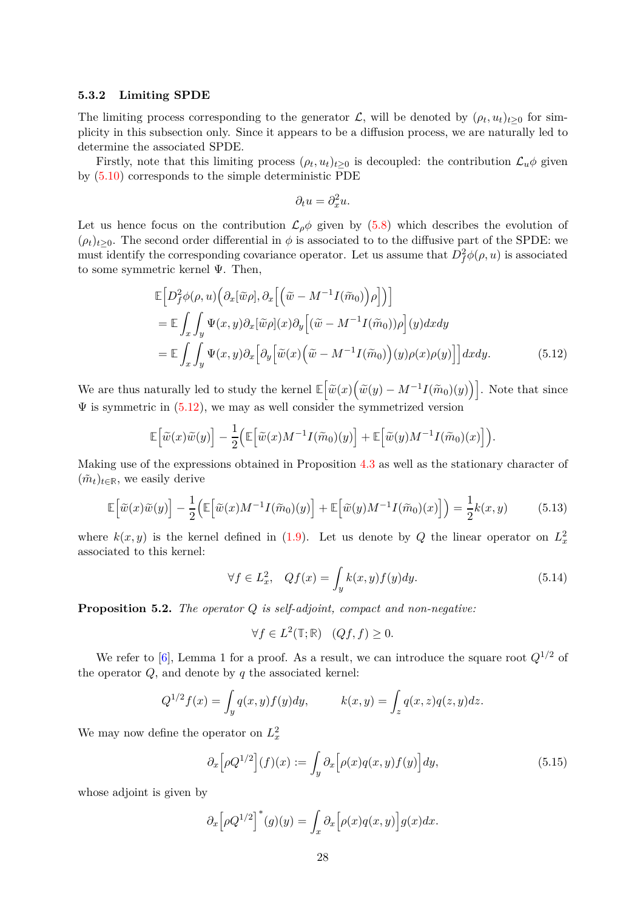### <span id="page-27-0"></span>**5.3.2 Limiting SPDE**

The limiting process corresponding to the generator  $\mathcal{L}$ , will be denoted by  $(\rho_t, u_t)_{t \geq 0}$  for simplicity in this subsection only. Since it appears to be a diffusion process, we are naturally led to determine the associated SPDE.

Firstly, note that this limiting process  $(\rho_t, u_t)_{t \geq 0}$  is decoupled: the contribution  $\mathcal{L}_u \phi$  given by [\(5.10\)](#page-26-4) corresponds to the simple deterministic PDE

<span id="page-27-1"></span>
$$
\partial_t u = \partial_x^2 u.
$$

Let us hence focus on the contribution  $\mathcal{L}_{\rho}\phi$  given by [\(5.8\)](#page-26-5) which describes the evolution of  $(\rho_t)_{t>0}$ . The second order differential in  $\phi$  is associated to to the diffusive part of the SPDE: we must identify the corresponding covariance operator. Let us assume that  $D_f^2 \phi(\rho, u)$  is associated to some symmetric kernel  $\Psi$ . Then,

$$
\mathbb{E}\Big[D_f^2\phi(\rho, u)\Big(\partial_x[\widetilde{w}\rho], \partial_x\Big[\Big(\widetilde{w} - M^{-1}I(\widetilde{m}_0)\Big)\rho\Big]\Big)\Big]
$$
\n
$$
= \mathbb{E}\int_x\int_y \Psi(x, y)\partial_x[\widetilde{w}\rho](x)\partial_y\Big[\Big(\widetilde{w} - M^{-1}I(\widetilde{m}_0))\rho\Big](y)dxdy
$$
\n
$$
= \mathbb{E}\int_x\int_y \Psi(x, y)\partial_x\Big[\partial_y\Big[\widetilde{w}(x)\Big(\widetilde{w} - M^{-1}I(\widetilde{m}_0)\Big)(y)\rho(x)\rho(y)\Big]\Big]dxdy.
$$
\n(5.12)

We are thus naturally led to study the kernel  $\mathbb{E}\left[\tilde{w}(x)\left(\tilde{w}(y) - M^{-1}I(\tilde{m}_0)(y)\right)\right]$ . Note that since  $\Psi$  is symmetric in  $(5.12)$ , we may as well consider the symmetrized version

$$
\mathbb{E}\Big[\widetilde{w}(x)\widetilde{w}(y)\Big] - \frac{1}{2}\Big(\mathbb{E}\Big[\widetilde{w}(x)M^{-1}I(\widetilde{m}_0)(y)\Big] + \mathbb{E}\Big[\widetilde{w}(y)M^{-1}I(\widetilde{m}_0)(x)\Big]\Big).
$$

Making use of the expressions obtained in Proposition [4.3](#page-23-4) as well as the stationary character of  $(\tilde{m}_t)_{t \in \mathbb{R}}$ , we easily derive

$$
\mathbb{E}\left[\tilde{w}(x)\tilde{w}(y)\right] - \frac{1}{2}\left(\mathbb{E}\left[\tilde{w}(x)M^{-1}I(\tilde{m}_0)(y)\right] + \mathbb{E}\left[\tilde{w}(y)M^{-1}I(\tilde{m}_0)(x)\right]\right) = \frac{1}{2}k(x,y) \tag{5.13}
$$

where  $k(x, y)$  is the kernel defined in [\(1.9\)](#page-3-2). Let us denote by *Q* the linear operator on  $L_x^2$ associated to this kernel:

$$
\forall f \in L_x^2, \quad Qf(x) = \int_y k(x, y) f(y) dy.
$$
 (5.14)

**Proposition 5.2.** *The operator Q is self-adjoint, compact and non-negative:*

<span id="page-27-3"></span><span id="page-27-2"></span>
$$
\forall f \in L^2(\mathbb{T}; \mathbb{R}) \quad (Qf, f) \ge 0.
$$

We refer to [\[6\]](#page-49-1), Lemma 1 for a proof. As a result, we can introduce the square root  $Q^{1/2}$  of the operator *Q*, and denote by *q* the associated kernel:

$$
Q^{1/2}f(x) = \int_y q(x, y)f(y)dy, \qquad k(x, y) = \int_z q(x, z)q(z, y)dz.
$$

We may now define the operator on  $L_x^2$ 

$$
\partial_x \Big[ \rho Q^{1/2} \Big] (f)(x) := \int_y \partial_x \Big[ \rho(x) q(x, y) f(y) \Big] dy, \tag{5.15}
$$

whose adjoint is given by

$$
\partial_x \Big[ \rho Q^{1/2} \Big]^* (g)(y) = \int_x \partial_x \Big[ \rho(x) q(x, y) \Big] g(x) dx.
$$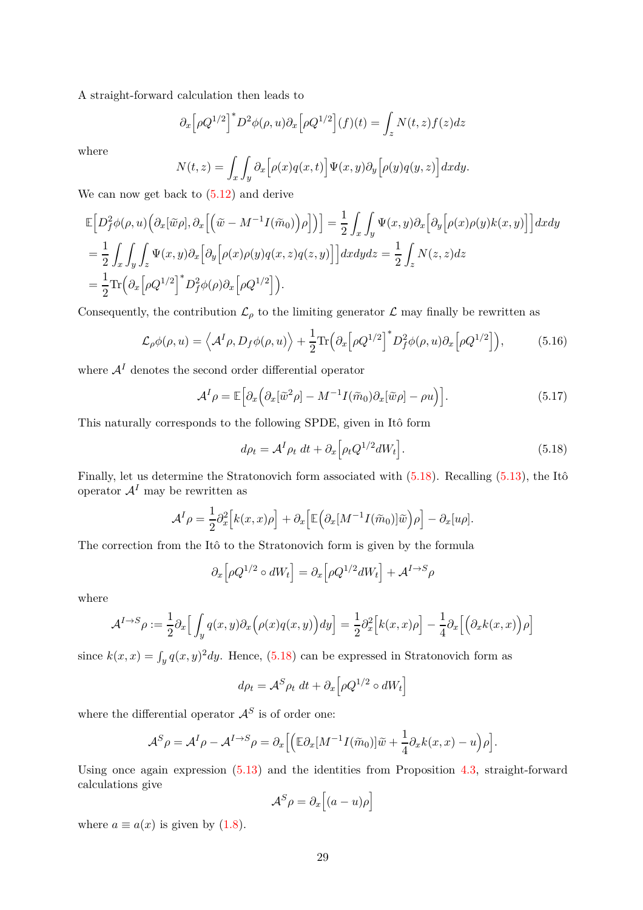A straight-forward calculation then leads to

$$
\partial_x \left[ \rho Q^{1/2} \right]^* D^2 \phi(\rho, u) \partial_x \left[ \rho Q^{1/2} \right] (f)(t) = \int_z N(t, z) f(z) dz
$$

where

$$
N(t,z) = \int_x \int_y \partial_x \Big[ \rho(x) q(x,t) \Big] \Psi(x,y) \partial_y \Big[ \rho(y) q(y,z) \Big] dx dy.
$$

We can now get back to [\(5.12\)](#page-27-1) and derive

$$
\mathbb{E}\Big[D_f^2\phi(\rho, u)\Big(\partial_x[\widetilde{w}\rho], \partial_x\Big[\Big(\widetilde{w}-M^{-1}I(\widetilde{m}_0)\Big)\rho\Big]\Big)\Big]=\frac{1}{2}\int_x\int_y\Psi(x, y)\partial_x\Big[\partial_y\Big[\rho(x)\rho(y)k(x, y)\Big]\Big]dxdy
$$
\n
$$
=\frac{1}{2}\int_x\int_y\int_z\Psi(x, y)\partial_x\Big[\partial_y\Big[\rho(x)\rho(y)q(x, z)q(z, y)\Big]\Big]dxdydz=\frac{1}{2}\int_zN(z, z)dz
$$
\n
$$
=\frac{1}{2}\text{Tr}\Big(\partial_x\Big[\rho Q^{1/2}\Big]^*D_f^2\phi(\rho)\partial_x\Big[\rho Q^{1/2}\Big]\Big).
$$

Consequently, the contribution  $\mathcal{L}_{\rho}$  to the limiting generator  $\mathcal{L}$  may finally be rewritten as

<span id="page-28-1"></span>
$$
\mathcal{L}_{\rho}\phi(\rho, u) = \left\langle \mathcal{A}^{I}\rho, D_{f}\phi(\rho, u) \right\rangle + \frac{1}{2} \text{Tr} \left( \partial_{x} \left[ \rho Q^{1/2} \right]^{*} D_{f}^{2}\phi(\rho, u) \partial_{x} \left[ \rho Q^{1/2} \right] \right), \tag{5.16}
$$

where  $A<sup>I</sup>$  denotes the second order differential operator

<span id="page-28-2"></span>
$$
\mathcal{A}^{I} \rho = \mathbb{E} \Big[ \partial_x \Big( \partial_x [\tilde{w}^2 \rho] - M^{-1} I(\tilde{m}_0) \partial_x [\tilde{w} \rho] - \rho u \Big) \Big]. \tag{5.17}
$$

This naturally corresponds to the following SPDE, given in Itô form

<span id="page-28-0"></span>
$$
d\rho_t = \mathcal{A}^I \rho_t dt + \partial_x \left[ \rho_t Q^{1/2} dW_t \right]. \tag{5.18}
$$

Finally, let us determine the Stratonovich form associated with [\(5.18\)](#page-28-0). Recalling [\(5.13\)](#page-27-2), the Itô operator  $A<sup>I</sup>$  may be rewritten as

$$
\mathcal{A}^{I} \rho = \frac{1}{2} \partial_x^2 \Big[ k(x, x) \rho \Big] + \partial_x \Big[ \mathbb{E} \Big( \partial_x [M^{-1} I(\widetilde{m}_0)] \widetilde{w} \Big) \rho \Big] - \partial_x [u \rho].
$$

The correction from the Itô to the Stratonovich form is given by the formula

$$
\partial_x \Big[ \rho Q^{1/2} \circ dW_t \Big] = \partial_x \Big[ \rho Q^{1/2} dW_t \Big] + \mathcal{A}^{I \to S} \rho
$$

where

$$
\mathcal{A}^{I \to S} \rho := \frac{1}{2} \partial_x \Big[ \int_y q(x, y) \partial_x \Big( \rho(x) q(x, y) \Big) dy \Big] = \frac{1}{2} \partial_x^2 \Big[ k(x, x) \rho \Big] - \frac{1}{4} \partial_x \Big[ \Big( \partial_x k(x, x) \Big) \rho \Big]
$$

since  $k(x, x) = \int_y q(x, y)^2 dy$ . Hence, [\(5.18\)](#page-28-0) can be expressed in Stratonovich form as

$$
d\rho_t = \mathcal{A}^S \rho_t dt + \partial_x \Big[ \rho Q^{1/2} \circ dW_t \Big]
$$

where the differential operator  $A<sup>S</sup>$  is of order one:

$$
\mathcal{A}^{S} \rho = \mathcal{A}^{I} \rho - \mathcal{A}^{I \to S} \rho = \partial_{x} \Big[ \Big( \mathbb{E} \partial_{x} [M^{-1} I(\widetilde{m}_{0})] \widetilde{w} + \frac{1}{4} \partial_{x} k(x, x) - u \Big) \rho \Big].
$$

Using once again expression [\(5.13\)](#page-27-2) and the identities from Proposition [4.3,](#page-23-4) straight-forward calculations give

$$
\mathcal{A}^S \rho = \partial_x \Big[ (a - u) \rho \Big]
$$

where  $a \equiv a(x)$  is given by [\(1.8\)](#page-3-1).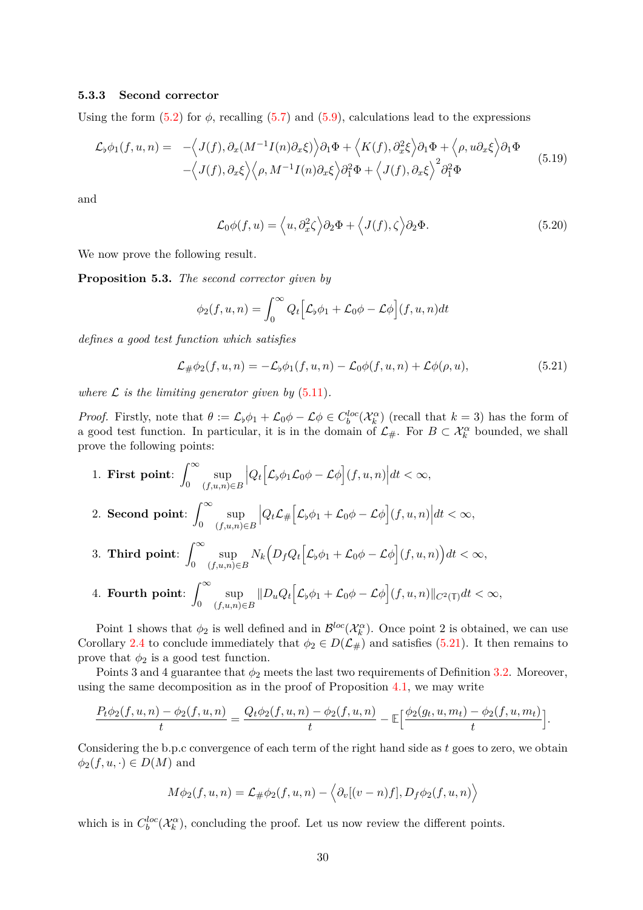#### <span id="page-29-0"></span>**5.3.3 Second corrector**

Using the form  $(5.2)$  for  $\phi$ , recalling  $(5.7)$  and  $(5.9)$ , calculations lead to the expressions

<span id="page-29-2"></span>
$$
\mathcal{L}_{\phi}\phi_1(f, u, n) = -\langle J(f), \partial_x(M^{-1}I(n)\partial_x\xi)\rangle \partial_1\Phi + \langle K(f), \partial_x^2\xi\rangle \partial_1\Phi + \langle \rho, u\partial_x\xi\rangle \partial_1\Phi -\langle J(f), \partial_x\xi\rangle \langle \rho, M^{-1}I(n)\partial_x\xi\rangle \partial_1^2\Phi + \langle J(f), \partial_x\xi\rangle^2 \partial_1^2\Phi
$$
(5.19)

and

<span id="page-29-3"></span>
$$
\mathcal{L}_0\phi(f, u) = \langle u, \partial_x^2 \zeta \rangle \partial_2 \Phi + \langle J(f), \zeta \rangle \partial_2 \Phi.
$$
 (5.20)

We now prove the following result.

**Proposition 5.3.** *The second corrector given by*

$$
\phi_2(f, u, n) = \int_0^\infty Q_t \Big[ \mathcal{L}_b \phi_1 + \mathcal{L}_0 \phi - \mathcal{L} \phi \Big] (f, u, n) dt
$$

*defines a good test function which satisfies*

<span id="page-29-1"></span>
$$
\mathcal{L}_{\#}\phi_2(f, u, n) = -\mathcal{L}_b\phi_1(f, u, n) - \mathcal{L}_0\phi(f, u, n) + \mathcal{L}\phi(\rho, u), \tag{5.21}
$$

*where*  $\mathcal{L}$  *is the limiting generator given by* [\(5.11\)](#page-26-8).

*Proof.* Firstly, note that  $\theta := \mathcal{L}_{\flat}\phi_1 + \mathcal{L}_0\phi - \mathcal{L}\phi \in C_b^{loc}(\mathcal{X}_k^{\alpha})$  (recall that  $k = 3$ ) has the form of a good test function. In particular, it is in the domain of  $\mathcal{L}_{\#}$ . For  $B \subset \mathcal{X}_{k}^{\alpha}$  bounded, we shall prove the following points:

1. **First point**:  $\int_0^\infty$ 0 sup (*f,u,n*)∈*B*  $\left| Q_t \Big[ \mathcal{L}_{\flat} \phi_1 \mathcal{L}_0 \phi - \mathcal{L} \phi \Big] (f, u, n) \right| dt < \infty,$ 2. **Second point**:  $\int^{\infty}$ 0 sup (*f,u,n*)∈*B*  $\left| Q_t \mathcal{L}_\# \Big[ \mathcal{L}_\flat \phi_1 + \mathcal{L}_0 \phi - \mathcal{L} \phi \Big] (f, u, n) \right| dt < \infty,$ 

3. Third point: 
$$
\int_0^\infty \sup_{(f,u,n)\in B} N_k \Big(D_f Q_t \Big[\mathcal{L}_\flat \phi_1 + \mathcal{L}_0 \phi - \mathcal{L} \phi\Big](f,u,n)\Big) dt < \infty,
$$

4. **Fourth point**:  $\int^{\infty}$ 0 sup (*f,u,n*)∈*B*  $||D_uQ_t[\mathcal{L}_b\phi_1 + \mathcal{L}_0\phi - \mathcal{L}\phi](f, u, n)||_{C^2(\mathbb{T})}dt < \infty$ ,

Point 1 shows that  $\phi_2$  is well defined and in  $\mathcal{B}^{loc}(\mathcal{X}_k^{\alpha})$ . Once point 2 is obtained, we can use Corollary [2.4](#page-6-4) to conclude immediately that  $\phi_2 \in D(\mathcal{L}_\#)$  and satisfies [\(5.21\)](#page-29-1). It then remains to prove that  $\phi_2$  is a good test function.

Points 3 and 4 guarantee that  $\phi_2$  meets the last two requirements of Definition [3.2.](#page-16-0) Moreover, using the same decomposition as in the proof of Proposition [4.1,](#page-20-4) we may write

$$
\frac{P_t\phi_2(f,u,n)-\phi_2(f,u,n)}{t}=\frac{Q_t\phi_2(f,u,n)-\phi_2(f,u,n)}{t}-\mathbb{E}\Big[\frac{\phi_2(g_t,u,m_t)-\phi_2(f,u,m_t)}{t}\Big].
$$

Considering the b.p.c convergence of each term of the right hand side as *t* goes to zero, we obtain  $\phi_2(f, u, \cdot) \in D(M)$  and

$$
M\phi_2(f, u, n) = \mathcal{L}_{\#}\phi_2(f, u, n) - \langle \partial_v[(v - n)f], D_f\phi_2(f, u, n) \rangle
$$

which is in  $C_b^{loc}(\mathcal{X}_k^{\alpha})$ , concluding the proof. Let us now review the different points.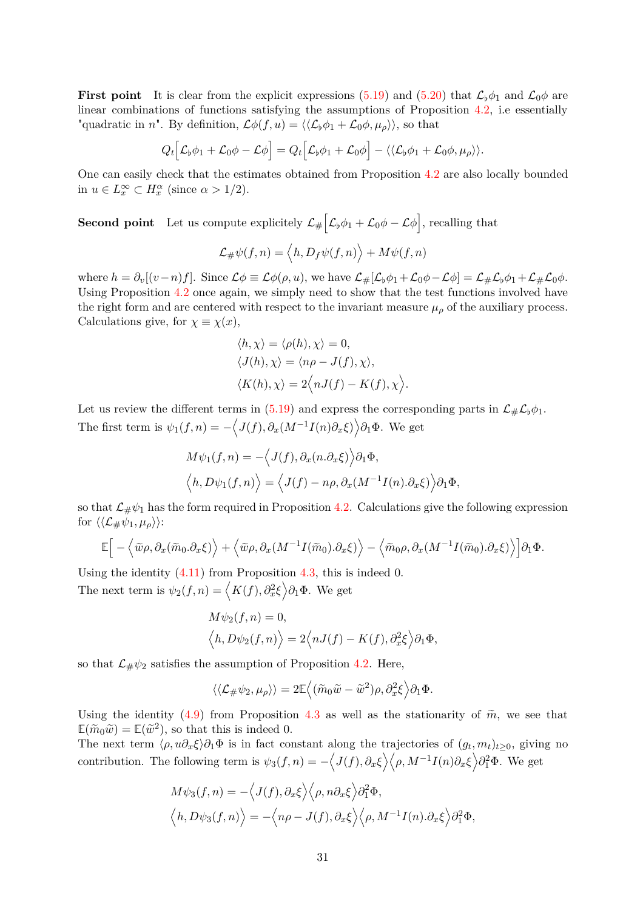**First point** It is clear from the explicit expressions [\(5.19\)](#page-29-2) and [\(5.20\)](#page-29-3) that  $\mathcal{L}_{\phi}\phi_1$  and  $\mathcal{L}_0\phi$  are linear combinations of functions satisfying the assumptions of Proposition [4.2,](#page-21-3) i.e essentially "quadratic in *n*". By definition,  $\mathcal{L}\phi(f, u) = \langle \langle \mathcal{L}_b \phi_1 + \mathcal{L}_0 \phi, \mu_o \rangle \rangle$ , so that

$$
Q_t[\mathcal{L}_b\phi_1+\mathcal{L}_0\phi-\mathcal{L}\phi]=Q_t[\mathcal{L}_b\phi_1+\mathcal{L}_0\phi]-\langle\langle\mathcal{L}_b\phi_1+\mathcal{L}_0\phi,\mu_\rho\rangle\rangle.
$$

One can easily check that the estimates obtained from Proposition [4.2](#page-21-3) are also locally bounded in  $u \in L_x^{\infty} \subset H_x^{\alpha}$  (since  $\alpha > 1/2$ ).

**Second point** Let us compute explicitely  $\mathcal{L}_{\#} \left[ \mathcal{L}_{\flat} \phi_1 + \mathcal{L}_0 \phi - \mathcal{L} \phi \right]$ , recalling that

$$
\mathcal{L}_{\#}\psi(f,n)=\left\langle h,D_f\psi(f,n)\right\rangle+M\psi(f,n)
$$

where  $h = \partial_v[(v-n)f]$ . Since  $\mathcal{L}\phi \equiv \mathcal{L}\phi(\rho, u)$ , we have  $\mathcal{L}_\#[\mathcal{L}_\flat\phi_1 + \mathcal{L}_0\phi - \mathcal{L}\phi] = \mathcal{L}_\# \mathcal{L}_\flat\phi_1 + \mathcal{L}_\# \mathcal{L}_0\phi$ . Using Proposition [4.2](#page-21-3) once again, we simply need to show that the test functions involved have the right form and are centered with respect to the invariant measure  $\mu_{\rho}$  of the auxiliary process. Calculations give, for  $\chi \equiv \chi(x)$ ,

$$
\langle h, \chi \rangle = \langle \rho(h), \chi \rangle = 0,
$$
  

$$
\langle J(h), \chi \rangle = \langle n\rho - J(f), \chi \rangle,
$$
  

$$
\langle K(h), \chi \rangle = 2 \langle nJ(f) - K(f), \chi \rangle.
$$

Let us review the different terms in [\(5.19\)](#page-29-2) and express the corresponding parts in  $\mathcal{L}_{\#}\mathcal{L}_{\flat}\phi_1$ . The first term is  $\psi_1(f, n) = -\langle J(f), \partial_x(M^{-1}I(n)\partial_x \xi) \rangle \partial_1 \Phi$ . We get

$$
M\psi_1(f,n) = -\langle J(f), \partial_x(n.\partial_x \xi) \rangle \partial_1 \Phi,
$$
  

$$
\langle h, D\psi_1(f,n) \rangle = \langle J(f) - n\rho, \partial_x(M^{-1}I(n).\partial_x \xi) \rangle \partial_1 \Phi,
$$

so that  $\mathcal{L}_{\#}\psi_1$  has the form required in Proposition [4.2.](#page-21-3) Calculations give the following expression for  $\langle\langle\mathcal{L}_{\#}\psi_1,\mu_\rho\rangle\rangle$ :

$$
\mathbb{E}\Big[-\Big\langle \widetilde{w}\rho,\partial_x(\widetilde{m}_0.\partial_x\xi)\Big\rangle+\Big\langle \widetilde{w}\rho,\partial_x(M^{-1}I(\widetilde{m}_0).\partial_x\xi)\Big\rangle-\Big\langle \widetilde{m}_0\rho,\partial_x(M^{-1}I(\widetilde{m}_0).\partial_x\xi)\Big\rangle\Big]\partial_1\Phi.
$$

Using the identity [\(4.11\)](#page-23-3) from Proposition [4.3,](#page-23-4) this is indeed 0. The next term is  $\psi_2(f, n) = \langle K(f), \partial_x^2 \xi \rangle \partial_1 \Phi$ . We get

$$
M\psi_2(f,n) = 0,
$$
  

$$
\langle h, D\psi_2(f,n) \rangle = 2\langle nJ(f) - K(f), \partial_x^2 \xi \rangle \partial_1 \Phi,
$$

so that  $\mathcal{L}_{\#}\psi_2$  satisfies the assumption of Proposition [4.2.](#page-21-3) Here,

$$
\langle\langle\mathcal{L}_\#\psi_2,\mu_\rho\rangle\rangle=2\mathbb{E}\Big\langle(\widetilde{m}_0\widetilde{w}-\widetilde{w}^2)\rho,\partial_x^2\xi\Big\rangle\partial_1\Phi.
$$

Using the identity [\(4.9\)](#page-23-1) from Proposition [4.3](#page-23-4) as well as the stationarity of  $\tilde{m}$ , we see that  $\mathbb{E}(\widetilde{m}_0\widetilde{w}) = \mathbb{E}(\widetilde{w}^2)$ , so that this is indeed 0.

The next term  $\langle \rho, u \partial_x \xi \rangle \partial_1 \Phi$  is in fact constant along the trajectories of  $(g_t, m_t)_{t \geq 0}$ , giving no contribution. The following term is  $\psi_3(f, n) = -\langle J(f), \partial_x \xi \rangle \langle \rho, M^{-1}I(n) \partial_x \xi \rangle \partial_1^2 \Phi$ . We get

$$
M\psi_3(f,n) = -\langle J(f), \partial_x \xi \rangle \langle \rho, n \partial_x \xi \rangle \partial_1^2 \Phi,
$$
  

$$
\langle h, D\psi_3(f,n) \rangle = -\langle n\rho - J(f), \partial_x \xi \rangle \langle \rho, M^{-1}I(n) \partial_x \xi \rangle \partial_1^2 \Phi,
$$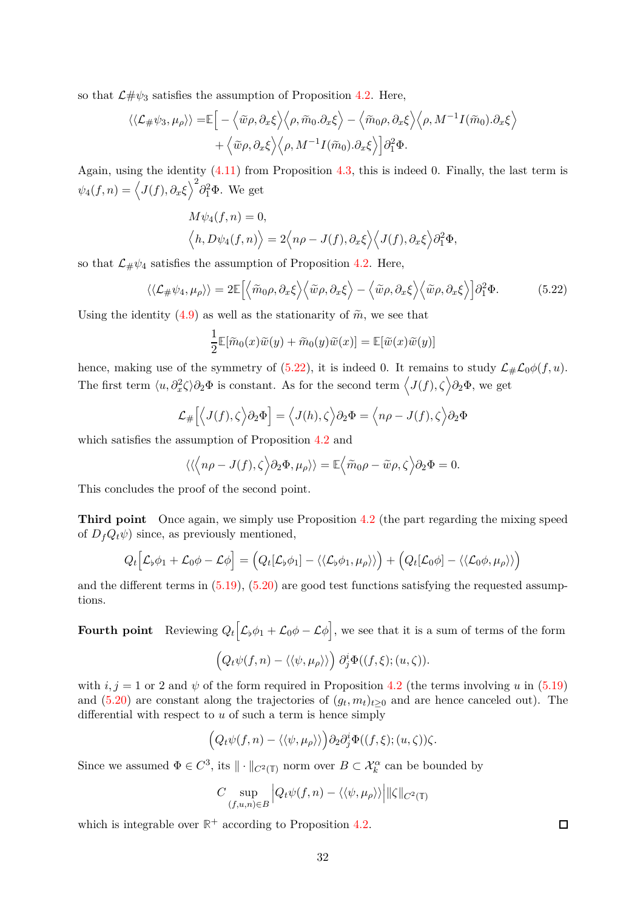so that  $\mathcal{L}\#\psi_3$  satisfies the assumption of Proposition [4.2.](#page-21-3) Here,

$$
\langle\langle \mathcal{L}_{\#} \psi_3, \mu_{\rho} \rangle\rangle = \mathbb{E} \Big[ - \Big\langle \widetilde{w} \rho, \partial_x \xi \Big\rangle \Big\langle \rho, \widetilde{m}_0 \partial_x \xi \Big\rangle - \Big\langle \widetilde{m}_0 \rho, \partial_x \xi \Big\rangle \Big\langle \rho, M^{-1} I(\widetilde{m}_0) \cdot \partial_x \xi \Big\rangle + \Big\langle \widetilde{w} \rho, \partial_x \xi \Big\rangle \Big\langle \rho, M^{-1} I(\widetilde{m}_0) \cdot \partial_x \xi \Big\rangle \Big] \partial_1^2 \Phi.
$$

Again, using the identity [\(4.11\)](#page-23-3) from Proposition [4.3,](#page-23-4) this is indeed 0. Finally, the last term is  $ψ_4(f, n) = \langle J(f), \partial_x \xi \rangle^2 \partial_1^2 \Phi$ . We get

$$
M\psi_4(f,n) = 0,
$$
  

$$
\langle h, D\psi_4(f,n) \rangle = 2\langle n\rho - J(f), \partial_x \xi \rangle \langle J(f), \partial_x \xi \rangle \partial_1^2 \Phi,
$$

so that  $\mathcal{L}_{\#}\psi_4$  satisfies the assumption of Proposition [4.2.](#page-21-3) Here,

$$
\langle\langle \mathcal{L}_{\#}\psi_4,\mu_{\rho}\rangle\rangle = 2\mathbb{E}\Big[\Big\langle\widetilde{m}_0\rho,\partial_x\xi\Big\rangle\Big\langle\widetilde{w}\rho,\partial_x\xi\Big\rangle - \Big\langle\widetilde{w}\rho,\partial_x\xi\Big\rangle\Big\langle\widetilde{w}\rho,\partial_x\xi\Big\rangle\Big]\partial_1^2\Phi. \tag{5.22}
$$

Using the identity [\(4.9\)](#page-23-1) as well as the stationarity of  $\tilde{m}$ , we see that

<span id="page-31-0"></span>
$$
\frac{1}{2}\mathbb{E}[\widetilde{m}_0(x)\widetilde{w}(y) + \widetilde{m}_0(y)\widetilde{w}(x)] = \mathbb{E}[\widetilde{w}(x)\widetilde{w}(y)]
$$

hence, making use of the symmetry of  $(5.22)$ , it is indeed 0. It remains to study  $\mathcal{L}_{\#}\mathcal{L}_0\phi(f,u)$ . The first term  $\langle u, \partial_x^2 \zeta \rangle \partial_2 \Phi$  is constant. As for the second term  $\langle J(f), \zeta \rangle \partial_2 \Phi$ , we get

$$
\mathcal{L}_{\#} \Big[ \Big\langle J(f), \zeta \Big\rangle \partial_2 \Phi \Big] = \Big\langle J(h), \zeta \Big\rangle \partial_2 \Phi = \Big\langle n\rho - J(f), \zeta \Big\rangle \partial_2 \Phi
$$

which satisfies the assumption of Proposition [4.2](#page-21-3) and

$$
\langle \langle \langle n\rho - J(f), \zeta \rangle \partial_2 \Phi, \mu_\rho \rangle \rangle = \mathbb{E} \langle \tilde{m}_0 \rho - \tilde{w} \rho, \zeta \rangle \partial_2 \Phi = 0.
$$

This concludes the proof of the second point.

**Third point** Once again, we simply use Proposition [4.2](#page-21-3) (the part regarding the mixing speed of  $D_f Q_t \psi$  since, as previously mentioned,

$$
Q_t \Big[\mathcal{L}_\flat \phi_1 + \mathcal{L}_0 \phi - \mathcal{L} \phi\Big] = \Big(Q_t [\mathcal{L}_\flat \phi_1] - \langle\langle \mathcal{L}_\flat \phi_1, \mu_\rho\rangle\rangle\Big) + \Big(Q_t [\mathcal{L}_0 \phi] - \langle\langle \mathcal{L}_0 \phi, \mu_\rho\rangle\rangle\Big)
$$

and the different terms in [\(5.19\)](#page-29-2), [\(5.20\)](#page-29-3) are good test functions satisfying the requested assumptions.

Fourth point Reviewing  $Q_t\left[\mathcal{L}_{\flat}\phi_1+\mathcal{L}_0\phi-\mathcal{L}\phi\right]$ , we see that it is a sum of terms of the form

$$
\left(Q_t\psi(f,n)-\langle\langle\psi,\mu_\rho\rangle\rangle\right)\partial_j^i\Phi((f,\xi);(u,\zeta)).
$$

with  $i, j = 1$  or 2 and  $\psi$  of the form required in Proposition [4.2](#page-21-3) (the terms involving *u* in [\(5.19\)](#page-29-2) and [\(5.20\)](#page-29-3) are constant along the trajectories of  $(g_t, m_t)_{t\geq0}$  and are hence canceled out). The differential with respect to *u* of such a term is hence simply

$$
(Q_t\psi(f,n)-\langle\langle\psi,\mu_\rho\rangle\rangle\Big)\partial_2\partial_j^i\Phi((f,\xi);(u,\zeta))\zeta.
$$

Since we assumed  $\Phi \in C^3$ , its  $\|\cdot\|_{C^2(\mathbb{T})}$  norm over  $B \subset \mathcal{X}_k^{\alpha}$  can be bounded by

$$
C\sup_{(f,u,n)\in B}\Big|Q_t\psi(f,n)-\langle\langle\psi,\mu_\rho\rangle\rangle\Big|\|\zeta\|_{C^2(\mathbb{T})}
$$

which is integrable over  $\mathbb{R}^+$  according to Proposition [4.2.](#page-21-3)

 $\Box$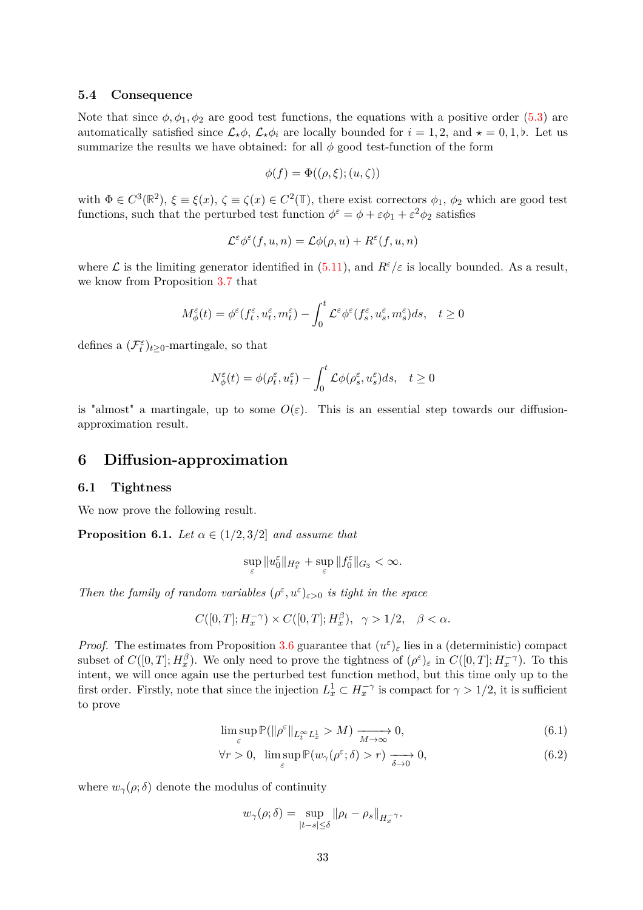#### <span id="page-32-0"></span>**5.4 Consequence**

Note that since  $\phi$ ,  $\phi_1$ ,  $\phi_2$  are good test functions, the equations with a positive order [\(5.3\)](#page-25-3) are automatically satisfied since  $\mathcal{L}_{\star}\phi$ ,  $\mathcal{L}_{\star}\phi_i$  are locally bounded for  $i = 1, 2$ , and  $\star = 0, 1, \flat$ . Let us summarize the results we have obtained: for all  $\phi$  good test-function of the form

$$
\phi(f) = \Phi((\rho, \xi); (u, \zeta))
$$

with  $\Phi \in C^3(\mathbb{R}^2)$ ,  $\xi \equiv \xi(x)$ ,  $\zeta \equiv \zeta(x) \in C^2(\mathbb{T})$ , there exist correctors  $\phi_1$ ,  $\phi_2$  which are good test functions, such that the perturbed test function  $\phi^{\varepsilon} = \phi + \varepsilon \phi_1 + \varepsilon^2 \phi_2$  satisfies

$$
\mathcal{L}^{\varepsilon} \phi^{\varepsilon}(f, u, n) = \mathcal{L} \phi(\rho, u) + R^{\varepsilon}(f, u, n)
$$

where  $\mathcal L$  is the limiting generator identified in [\(5.11\)](#page-26-8), and  $R^{\varepsilon}/\varepsilon$  is locally bounded. As a result, we know from Proposition [3.7](#page-17-1) that

$$
M_{\phi}^{\varepsilon}(t) = \phi^{\varepsilon}(f_{t}^{\varepsilon}, u_{t}^{\varepsilon}, m_{t}^{\varepsilon}) - \int_{0}^{t} \mathcal{L}^{\varepsilon} \phi^{\varepsilon}(f_{s}^{\varepsilon}, u_{s}^{\varepsilon}, m_{s}^{\varepsilon}) ds, \quad t \ge 0
$$

defines a  $(\mathcal{F}_t^{\varepsilon})_{t \geq 0}$ -martingale, so that

$$
N^{\varepsilon}_{\phi}(t) = \phi(\rho^{\varepsilon}_t, u^{\varepsilon}_t) - \int_0^t \mathcal{L}\phi(\rho^{\varepsilon}_s, u^{\varepsilon}_s)ds, \quad t \ge 0
$$

is "almost" a martingale, up to some  $O(\varepsilon)$ . This is an essential step towards our diffusionapproximation result.

## <span id="page-32-2"></span><span id="page-32-1"></span>**6 Diffusion-approximation**

### **6.1 Tightness**

We now prove the following result.

**Proposition 6.1.** *Let*  $\alpha \in (1/2, 3/2]$  *and assume that* 

$$
\sup_{\varepsilon} \|u_0^{\varepsilon}\|_{H_x^{\alpha}} + \sup_{\varepsilon} \|f_0^{\varepsilon}\|_{G_3} < \infty.
$$

*Then the family of random variables*  $(\rho^{\varepsilon}, u^{\varepsilon})_{\varepsilon > 0}$  *is tight in the space* 

$$
C([0,T];H^{-\gamma}_x)\times C([0,T];H^{\beta}_x), \ \ \gamma>1/2, \quad \beta<\alpha.
$$

*Proof.* The estimates from Proposition [3.6](#page-15-4) guarantee that  $(u^{\varepsilon})_{\varepsilon}$  lies in a (deterministic) compact subset of  $C([0,T]; H_x^{\beta})$ . We only need to prove the tightness of  $(\rho^{\varepsilon})_{\varepsilon}$  in  $C([0,T]; H_x^{-\gamma})$ . To this intent, we will once again use the perturbed test function method, but this time only up to the first order. Firstly, note that since the injection  $L_x^1 \subset H_x^{-\gamma}$  is compact for  $\gamma > 1/2$ , it is sufficient to prove

$$
\limsup_{\varepsilon} \mathbb{P}(\|\rho^{\varepsilon}\|_{L_t^{\infty} L_x^1} > M) \xrightarrow[M \to \infty]{} 0,
$$
\n(6.1)

$$
\forall r > 0, \ \limsup_{\varepsilon} \mathbb{P}(w_{\gamma}(\rho^{\varepsilon}; \delta) > r) \xrightarrow[\delta \to 0]{} 0,
$$
\n(6.2)

where  $w_\gamma(\rho;\delta)$  denote the modulus of continuity

<span id="page-32-4"></span><span id="page-32-3"></span>
$$
w_{\gamma}(\rho;\delta) = \sup_{|t-s| \leq \delta} ||\rho_t - \rho_s||_{H_x^{-\gamma}}.
$$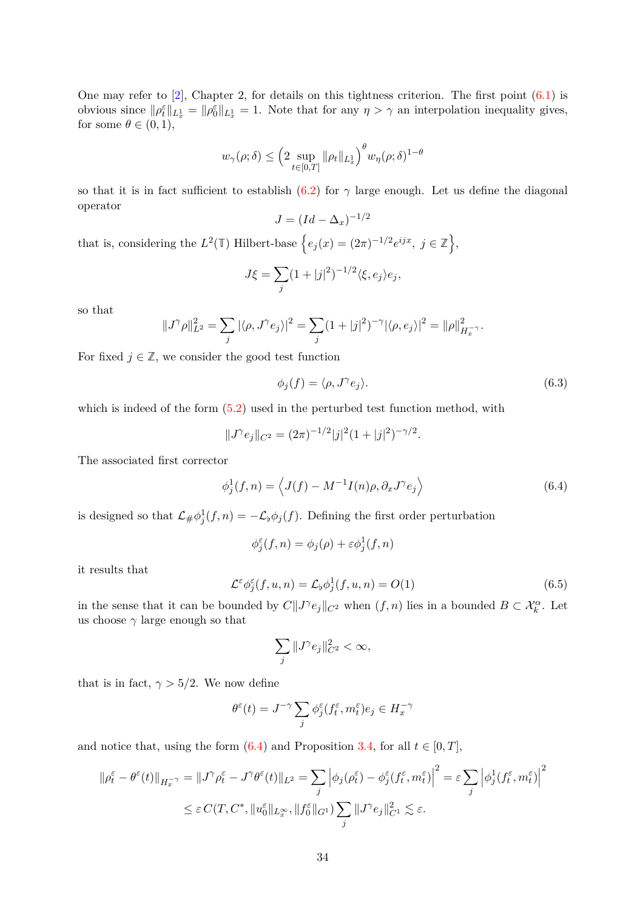One may refer to  $[2]$ , Chapter 2, for details on this tightness criterion. The first point  $(6.1)$  is obvious since  $\|\rho_t^{\varepsilon}\|_{L_x^1} = \|\rho_0^{\varepsilon}\|_{L_x^1} = 1$ . Note that for any  $\eta > \gamma$  an interpolation inequality gives, for some  $\theta \in (0,1)$ ,

$$
w_\gamma(\rho;\delta) \leq \Big( 2 \sup_{t \in [0,T]} \|\rho_t\|_{L^1_x} \Big)^\theta w_\eta(\rho;\delta)^{1-\theta}
$$

so that it is in fact sufficient to establish [\(6.2\)](#page-32-4) for  $\gamma$  large enough. Let us define the diagonal operator

$$
J = (Id - \Delta_x)^{-1/2}
$$

that is, considering the  $L^2(\mathbb{T})$  Hilbert-base  $\{e_j(x) = (2\pi)^{-1/2}e^{ijx}, j \in \mathbb{Z}\},\$ 

$$
J\xi = \sum_j (1+|j|^2)^{-1/2} \langle \xi, e_j \rangle e_j,
$$

so that

$$
||J^{\gamma}\rho||_{L^{2}}^{2} = \sum_{j} |\langle \rho, J^{\gamma}e_{j} \rangle|^{2} = \sum_{j} (1 + |j|^{2})^{-\gamma} |\langle \rho, e_{j} \rangle|^{2} = ||\rho||_{H_{x}^{-\gamma}}^{2}.
$$

For fixed  $j \in \mathbb{Z}$ , we consider the good test function

<span id="page-33-0"></span>
$$
\phi_j(f) = \langle \rho, J^\gamma e_j \rangle. \tag{6.3}
$$

which is indeed of the form  $(5.2)$  used in the perturbed test function method, with

$$
||J^{\gamma}e_j||_{C^2} = (2\pi)^{-1/2}|j|^2(1+|j|^2)^{-\gamma/2}.
$$

The associated first corrector

$$
\phi_j^1(f, n) = \left\langle J(f) - M^{-1} I(n) \rho, \partial_x J^{\gamma} e_j \right\rangle \tag{6.4}
$$

is designed so that  $\mathcal{L}_{\#}\phi_j^1(f,n) = -\mathcal{L}_{\flat}\phi_j(f)$ . Defining the first order perturbation

$$
\phi_j^{\varepsilon}(f,n) = \phi_j(\rho) + \varepsilon \phi_j^1(f,n)
$$

it results that

<span id="page-33-1"></span>
$$
\mathcal{L}^{\varepsilon} \phi_j^{\varepsilon}(f, u, n) = \mathcal{L}_{\flat} \phi_j^1(f, u, n) = O(1)
$$
\n(6.5)

in the sense that it can be bounded by  $C\|J^{\gamma}e_j\|_{C^2}$  when  $(f, n)$  lies in a bounded  $B \subset \mathcal{X}_k^{\alpha}$ . Let us choose  $\gamma$  large enough so that

$$
\sum_{j} \|J^{\gamma}e_j\|_{C^2}^2 < \infty,
$$

that is in fact,  $\gamma > 5/2$ . We now define

$$
\theta^{\varepsilon}(t) = J^{-\gamma} \sum_{j} \phi_{j}^{\varepsilon}(f_{t}^{\varepsilon}, m_{t}^{\varepsilon}) e_{j} \in H_{x}^{-\gamma}
$$

and notice that, using the form  $(6.4)$  and Proposition [3.4,](#page-14-2) for all  $t \in [0, T]$ ,

$$
\|\rho_t^{\varepsilon} - \theta^{\varepsilon}(t)\|_{H_x^{-\gamma}} = \|J^{\gamma}\rho_t^{\varepsilon} - J^{\gamma}\theta^{\varepsilon}(t)\|_{L^2} = \sum_j \left|\phi_j(\rho_t^{\varepsilon}) - \phi_j^{\varepsilon}(f_t^{\varepsilon}, m_t^{\varepsilon})\right|^2 = \varepsilon \sum_j \left|\phi_j^1(f_t^{\varepsilon}, m_t^{\varepsilon})\right|^2
$$
  

$$
\leq \varepsilon C(T, C^*, \|u_0^{\varepsilon}\|_{L_x^{\infty}}, \|f_0^{\varepsilon}\|_{G^1}) \sum_j \|J^{\gamma}e_j\|_{C^1}^2 \lesssim \varepsilon.
$$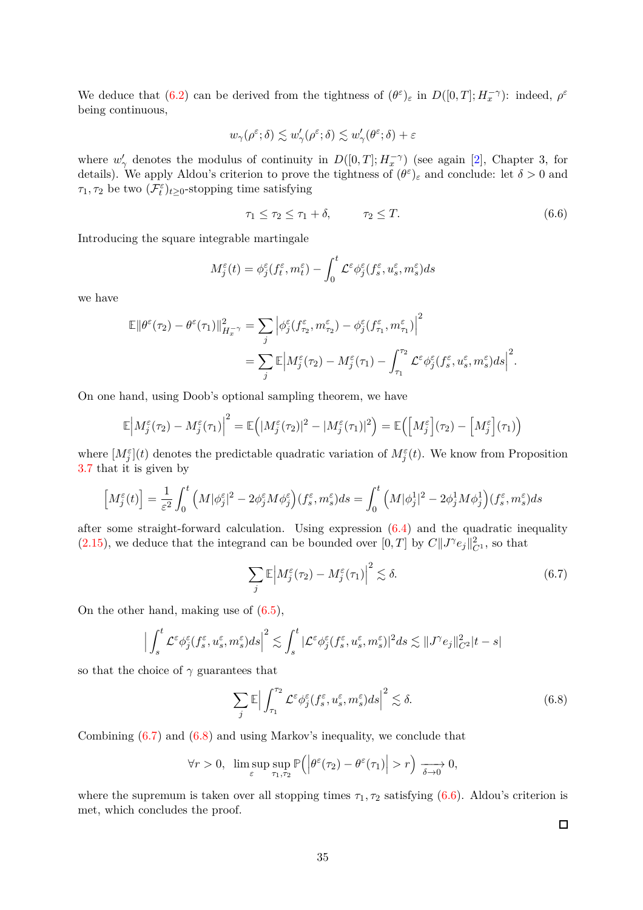We deduce that [\(6.2\)](#page-32-4) can be derived from the tightness of  $(\theta^{\varepsilon})_{\varepsilon}$  in  $D([0,T]; H_x^{-\gamma})$ : indeed,  $\rho^{\varepsilon}$ being continuous,

$$
w_\gamma(\rho^\varepsilon;\delta) \lesssim w_\gamma'(\rho^\varepsilon;\delta) \lesssim w_\gamma'(\theta^\varepsilon;\delta) + \varepsilon
$$

where  $w'_{\gamma}$  denotes the modulus of continuity in  $D([0,T]; H^{-\gamma}_{x})$  (see again [\[2\]](#page-49-9), Chapter 3, for details). We apply Aldou's criterion to prove the tightness of  $(\theta^{\varepsilon})_{\varepsilon}$  and conclude: let  $\delta > 0$  and *τ*<sub>1</sub>, *τ*<sub>2</sub> be two  $(\mathcal{F}_t^{\varepsilon})_{t \geq 0}$ -stopping time satisfying

<span id="page-34-2"></span>
$$
\tau_1 \le \tau_2 \le \tau_1 + \delta, \qquad \tau_2 \le T. \tag{6.6}
$$

Introducing the square integrable martingale

$$
M_j^{\varepsilon}(t) = \phi_j^{\varepsilon}(f_t^{\varepsilon}, m_t^{\varepsilon}) - \int_0^t \mathcal{L}^{\varepsilon} \phi_j^{\varepsilon}(f_s^{\varepsilon}, u_s^{\varepsilon}, m_s^{\varepsilon}) ds
$$

we have

$$
\mathbb{E} \left\| \theta^{\varepsilon}(\tau_2) - \theta^{\varepsilon}(\tau_1) \right\|_{H_x^{-\gamma}}^2 = \sum_j \left| \phi_j^{\varepsilon}(f_{\tau_2}^{\varepsilon}, m_{\tau_2}^{\varepsilon}) - \phi_j^{\varepsilon}(f_{\tau_1}^{\varepsilon}, m_{\tau_1}^{\varepsilon}) \right|^2
$$
  
= 
$$
\sum_j \mathbb{E} \left| M_j^{\varepsilon}(\tau_2) - M_j^{\varepsilon}(\tau_1) - \int_{\tau_1}^{\tau_2} \mathcal{L}^{\varepsilon} \phi_j^{\varepsilon}(f_s^{\varepsilon}, u_s^{\varepsilon}, m_s^{\varepsilon}) ds \right|^2.
$$

On one hand, using Doob's optional sampling theorem, we have

$$
\mathbb{E}\Big|M_j^{\varepsilon}(\tau_2) - M_j^{\varepsilon}(\tau_1)\Big|^2 = \mathbb{E}\Big(|M_j^{\varepsilon}(\tau_2)|^2 - |M_j^{\varepsilon}(\tau_1)|^2\Big) = \mathbb{E}\Big(\Big[M_j^{\varepsilon}\Big](\tau_2) - \Big[M_j^{\varepsilon}\Big](\tau_1)\Big)
$$

where  $[M_j^{\varepsilon}(t)]$  denotes the predictable quadratic variation of  $M_j^{\varepsilon}(t)$ . We know from Proposition [3.7](#page-17-1) that it is given by

$$
\left[M_j^{\varepsilon}(t)\right] = \frac{1}{\varepsilon^2} \int_0^t \left(M|\phi_j^{\varepsilon}|^2 - 2\phi_j^{\varepsilon}M\phi_j^{\varepsilon}\right)(f_s^{\varepsilon}, m_s^{\varepsilon})ds = \int_0^t \left(M|\phi_j^1|^2 - 2\phi_j^1M\phi_j^1\right)(f_s^{\varepsilon}, m_s^{\varepsilon})ds
$$

after some straight-forward calculation. Using expression [\(6.4\)](#page-33-0) and the quadratic inequality [\(2.15\)](#page-8-6), we deduce that the integrand can be bounded over  $[0, T]$  by  $C||J^{\gamma}e_j||_{C^1}^2$ , so that

$$
\sum_{j} \mathbb{E} \left| M_j^{\varepsilon}(\tau_2) - M_j^{\varepsilon}(\tau_1) \right|^2 \lesssim \delta. \tag{6.7}
$$

On the other hand, making use of [\(6.5\)](#page-33-1),

$$
\Big|\int_s^t\mathcal{L}^\varepsilon \phi_j^\varepsilon(f^\varepsilon_s,u^\varepsilon_s,m^\varepsilon_s)ds\Big|^2\lesssim \int_s^t|\mathcal{L}^\varepsilon \phi_j^\varepsilon(f^\varepsilon_s,u^\varepsilon_s,m^\varepsilon_s)|^2ds\lesssim \|J^\gamma e_j\|^2_{C^2}|t-s|
$$

so that the choice of  $\gamma$  guarantees that

$$
\sum_{j} \mathbb{E} \Big| \int_{\tau_1}^{\tau_2} \mathcal{L}^{\varepsilon} \phi_j^{\varepsilon} (f_s^{\varepsilon}, u_s^{\varepsilon}, m_s^{\varepsilon}) ds \Big|^2 \lesssim \delta. \tag{6.8}
$$

Combining [\(6.7\)](#page-34-0) and [\(6.8\)](#page-34-1) and using Markov's inequality, we conclude that

$$
\forall r > 0, \ \limsup_{\varepsilon} \sup_{\tau_1, \tau_2} \mathbb{P}\left( \left| \theta^{\varepsilon}(\tau_2) - \theta^{\varepsilon}(\tau_1) \right| > r \right) \xrightarrow[\delta \to 0]{} 0,
$$

where the supremum is taken over all stopping times  $\tau_1, \tau_2$  satisfying  $(6.6)$ . Aldou's criterion is met, which concludes the proof.

<span id="page-34-1"></span><span id="page-34-0"></span> $\Box$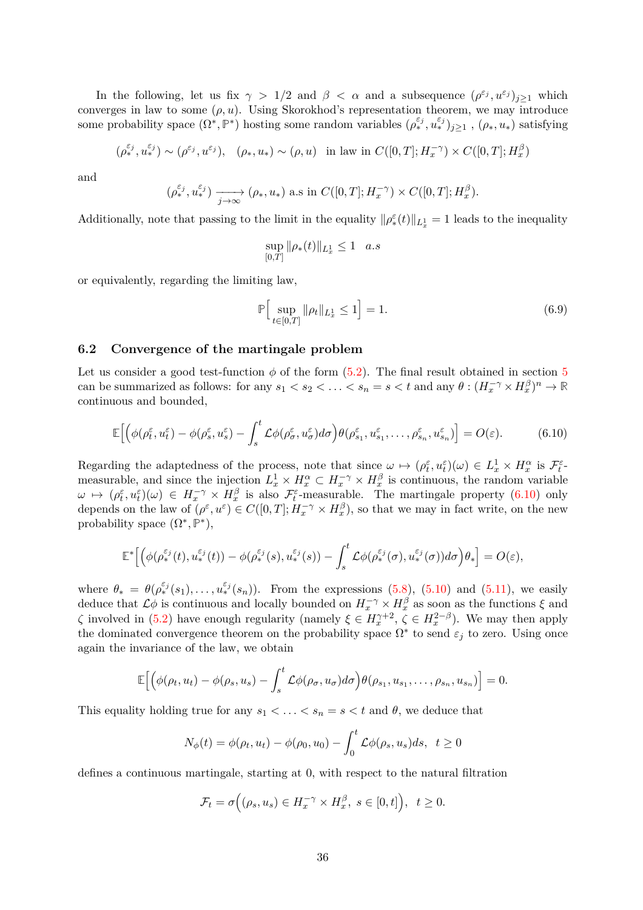In the following, let us fix  $\gamma > 1/2$  and  $\beta < \alpha$  and a subsequence  $(\rho^{\varepsilon_j}, u^{\varepsilon_j})_{j \geq 1}$  which converges in law to some  $(\rho, u)$ . Using Skorokhod's representation theorem, we may introduce some probability space  $(\Omega^*, \mathbb{P}^*)$  hosting some random variables  $(\rho_*^{\varepsilon_j}, u_*^{\varepsilon_j})_{j\geq 1}$ ,  $(\rho_*, u_*)$  satisfying

$$
(\rho^{\varepsilon_j}_*, u^{\varepsilon_j}_*) \sim (\rho^{\varepsilon_j}, u^{\varepsilon_j}), \quad (\rho_*, u_*) \sim (\rho, u) \quad \text{in law in } C([0, T]; H^{-\gamma}_x) \times C([0, T]; H^{\beta}_x)
$$

and

$$
(\rho_*^{\varepsilon_j}, u_*^{\varepsilon_j}) \xrightarrow[j \to \infty]{} (\rho_*, u_*) \text{ a.s in } C([0,T]; H^{-\gamma}_x) \times C([0,T]; H_x^{\beta}).
$$

Additionally, note that passing to the limit in the equality  $\|\rho_*^{\varepsilon}(t)\|_{L^1_x} = 1$  leads to the inequality

$$
\sup_{[0,T]} \|\rho_*(t)\|_{L^1_x} \le 1 \quad a.s
$$

or equivalently, regarding the limiting law,

<span id="page-35-2"></span><span id="page-35-1"></span>
$$
\mathbb{P}\Big[\sup_{t\in[0,T]}\|\rho_t\|_{L^1_x} \le 1\Big] = 1.\tag{6.9}
$$

### <span id="page-35-0"></span>**6.2 Convergence of the martingale problem**

Let us consider a good test-function  $\phi$  of the form  $(5.2)$ . The final result obtained in section [5](#page-24-0) can be summarized as follows: for any  $s_1 < s_2 < \ldots < s_n = s < t$  and any  $\theta : (H_x^{-\gamma} \times H_x^{\beta})^n \to \mathbb{R}$ continuous and bounded,

$$
\mathbb{E}\Big[\Big(\phi(\rho_t^{\varepsilon}, u_t^{\varepsilon}) - \phi(\rho_s^{\varepsilon}, u_s^{\varepsilon}) - \int_s^t \mathcal{L}\phi(\rho_\sigma^{\varepsilon}, u_\sigma^{\varepsilon})d\sigma\Big)\theta(\rho_{s_1}^{\varepsilon}, u_{s_1}^{\varepsilon}, \dots, \rho_{s_n}^{\varepsilon}, u_{s_n}^{\varepsilon})\Big] = O(\varepsilon). \tag{6.10}
$$

Regarding the adaptedness of the process, note that since  $\omega \mapsto (\rho_t^{\varepsilon}, u_t^{\varepsilon})(\omega) \in L_x^1 \times H_x^{\alpha}$  is  $\mathcal{F}_t^{\varepsilon}$ measurable, and since the injection  $L_x^1 \times H_x^{\alpha} \subset H_x^{-\gamma} \times H_x^{\beta}$  is continuous, the random variable  $\omega \mapsto (\rho_t^{\varepsilon}, u_t^{\varepsilon})(\omega) \in H_x^{-\gamma} \times H_x^{\beta}$  is also  $\mathcal{F}_t^{\varepsilon}$ -measurable. The martingale property [\(6.10\)](#page-35-1) only depends on the law of  $(\rho^{\varepsilon}, u^{\varepsilon}) \in C([0, T]; H_x^{-\gamma} \times H_x^{\beta})$ , so that we may in fact write, on the new probability space  $(\Omega^*, \mathbb{P}^*)$ ,

$$
\mathbb{E}^* \Big[ \Big( \phi(\rho_*^{\varepsilon_j}(t), u_*^{\varepsilon_j}(t)) - \phi(\rho_*^{\varepsilon_j}(s), u_*^{\varepsilon_j}(s)) - \int_s^t \mathcal{L} \phi(\rho_*^{\varepsilon_j}(\sigma), u_*^{\varepsilon_j}(\sigma)) d\sigma \Big) \theta_* \Big] = O(\varepsilon),
$$

where  $\theta_* = \theta(\rho_*^{\varepsilon_j}(s_1), \ldots, \mu_*^{\varepsilon_j}(s_n))$ . From the expressions [\(5.8\)](#page-26-5), [\(5.10\)](#page-26-4) and [\(5.11\)](#page-26-8), we easily deduce that  $\mathcal{L}\phi$  is continuous and locally bounded on  $H_x^{-\gamma} \times H_x^{\beta}$  as soon as the functions  $\xi$  and *ζ* involved in [\(5.2\)](#page-24-4) have enough regularity (namely  $\xi \in H_x^{\gamma+2}$ ,  $\zeta \in H_x^{2-\beta}$ ). We may then apply the dominated convergence theorem on the probability space  $\Omega^*$  to send  $\varepsilon_j$  to zero. Using once again the invariance of the law, we obtain

$$
\mathbb{E}\Big[\Big(\phi(\rho_t,u_t)-\phi(\rho_s,u_s)-\int_s^t\mathcal{L}\phi(\rho_\sigma,u_\sigma)d\sigma\Big)\theta(\rho_{s_1},u_{s_1},\ldots,\rho_{s_n},u_{s_n})\Big]=0.
$$

This equality holding true for any  $s_1 < \ldots < s_n = s < t$  and  $\theta$ , we deduce that

$$
N_{\phi}(t) = \phi(\rho_t, u_t) - \phi(\rho_0, u_0) - \int_0^t \mathcal{L}\phi(\rho_s, u_s)ds, \quad t \ge 0
$$

defines a continuous martingale, starting at 0, with respect to the natural filtration

$$
\mathcal{F}_t = \sigma\Big( (\rho_s, u_s) \in H_x^{-\gamma} \times H_x^{\beta}, \ s \in [0, t] \Big), \ \ t \ge 0.
$$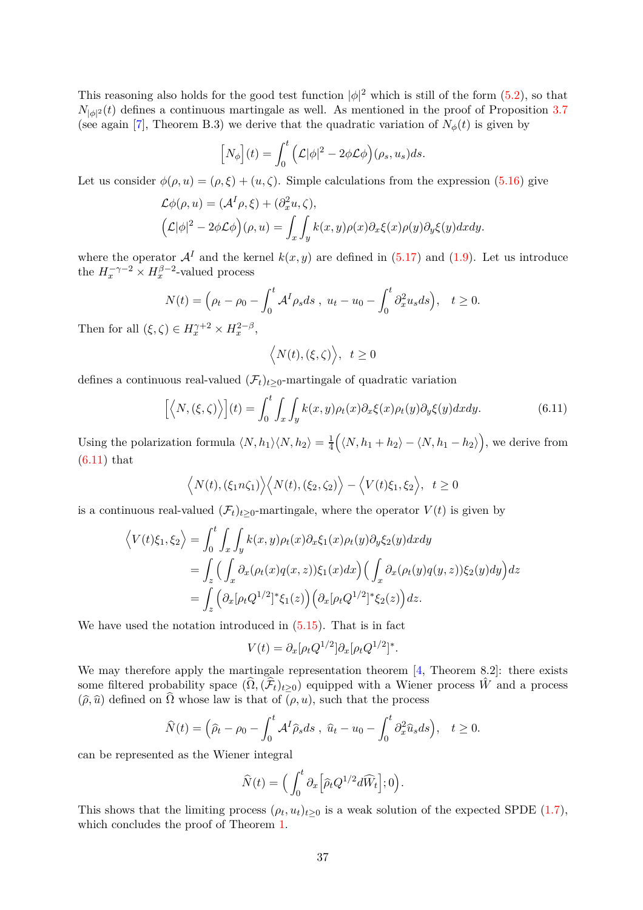This reasoning also holds for the good test function  $|\phi|^2$  which is still of the form  $(5.2)$ , so that  $N_{|\phi|^2}(t)$  defines a continuous martingale as well. As mentioned in the proof of Proposition [3.7](#page-17-1) (see again [\[7\]](#page-49-2), Theorem B.3) we derive that the quadratic variation of  $N_{\phi}(t)$  is given by

$$
[N_{\phi}](t) = \int_0^t (\mathcal{L}|\phi|^2 - 2\phi \mathcal{L}\phi)(\rho_s, u_s)ds.
$$

Let us consider  $\phi(\rho, u) = (\rho, \xi) + (u, \zeta)$ . Simple calculations from the expression [\(5.16\)](#page-28-1) give

$$
\mathcal{L}\phi(\rho, u) = (\mathcal{A}^I \rho, \xi) + (\partial_x^2 u, \zeta),
$$
  

$$
(\mathcal{L}|\phi|^2 - 2\phi \mathcal{L}\phi)(\rho, u) = \int_x \int_y k(x, y)\rho(x)\partial_x\xi(x)\rho(y)\partial_y\xi(y)dxdy.
$$

where the operator  $\mathcal{A}^I$  and the kernel  $k(x, y)$  are defined in [\(5.17\)](#page-28-2) and [\(1.9\)](#page-3-2). Let us introduce the  $H_x^{-\gamma-2} \times H_x^{\beta-2}$ -valued process

$$
N(t) = \left(\rho_t - \rho_0 - \int_0^t \mathcal{A}^I \rho_s ds \, , \, u_t - u_0 - \int_0^t \partial_x^2 u_s ds\right), \quad t \ge 0.
$$

Then for all  $(\xi, \zeta) \in H_x^{\gamma+2} \times H_x^{2-\beta}$ ,

<span id="page-36-0"></span>
$$
\Big\langle N(t),(\xi,\zeta)\Big\rangle,\;\;t\geq0
$$

defines a continuous real-valued  $(\mathcal{F}_t)_{t>0}$ -martingale of quadratic variation

$$
\left[ \left\langle N, \left( \xi, \zeta \right) \right\rangle \right] (t) = \int_0^t \int_x \int_y k(x, y) \rho_t(x) \partial_x \xi(x) \rho_t(y) \partial_y \xi(y) dx dy. \tag{6.11}
$$

Using the polarization formula  $\langle N, h_1 \rangle \langle N, h_2 \rangle = \frac{1}{4}$ 4  $(\langle N, h_1 + h_2 \rangle - \langle N, h_1 - h_2 \rangle)$ , we derive from [\(6.11\)](#page-36-0) that

$$
\langle N(t), (\xi_1 n \zeta_1) \rangle \langle N(t), (\xi_2, \zeta_2) \rangle - \langle V(t) \xi_1, \xi_2 \rangle, t \ge 0
$$

is a continuous real-valued  $(\mathcal{F}_t)_{t>0}$ -martingale, where the operator  $V(t)$  is given by

$$
\langle V(t)\xi_1,\xi_2\rangle = \int_0^t \int_x \int_y k(x,y)\rho_t(x)\partial_x\xi_1(x)\rho_t(y)\partial_y\xi_2(y)dxdy
$$
  
= 
$$
\int_z \Big(\int_x \partial_x(\rho_t(x)q(x,z))\xi_1(x)dx\Big) \Big(\int_x \partial_x(\rho_t(y)q(y,z))\xi_2(y)dy\Big)dz
$$
  
= 
$$
\int_z \Big(\partial_x[\rho_t Q^{1/2}]^* \xi_1(z)\Big) \Big(\partial_x[\rho_t Q^{1/2}]^* \xi_2(z)\Big)dz.
$$

We have used the notation introduced in  $(5.15)$ . That is in fact

$$
V(t) = \partial_x [\rho_t Q^{1/2}] \partial_x [\rho_t Q^{1/2}]^*.
$$

We may therefore apply the martingale representation theorem [\[4,](#page-49-5) Theorem 8.2]: there exists some filtered probability space  $(\widehat{\Omega},(\widehat{\mathcal{F}}_t)_{t\geq0})$  equipped with a Wiener process  $\hat{W}$  and a process  $(\widehat{\rho}, \widehat{u})$  defined on  $\widehat{\Omega}$  whose law is that of  $(\rho, u)$ , such that the process

$$
\widehat{N}(t) = \left(\widehat{\rho}_t - \rho_0 - \int_0^t \mathcal{A}^I \widehat{\rho}_s ds \ , \ \widehat{u}_t - u_0 - \int_0^t \partial_x^2 \widehat{u}_s ds\right), \quad t \ge 0.
$$

can be represented as the Wiener integral

$$
\widehat{N}(t) = \Big(\int_0^t \partial_x \Big[\widehat{\rho}_t Q^{1/2} d\widehat{W}_t\Big]; 0\Big).
$$

This shows that the limiting process  $(\rho_t, u_t)_{t \geq 0}$  is a weak solution of the expected SPDE [\(1.7\)](#page-3-0), which concludes the proof of Theorem [1.](#page-2-2)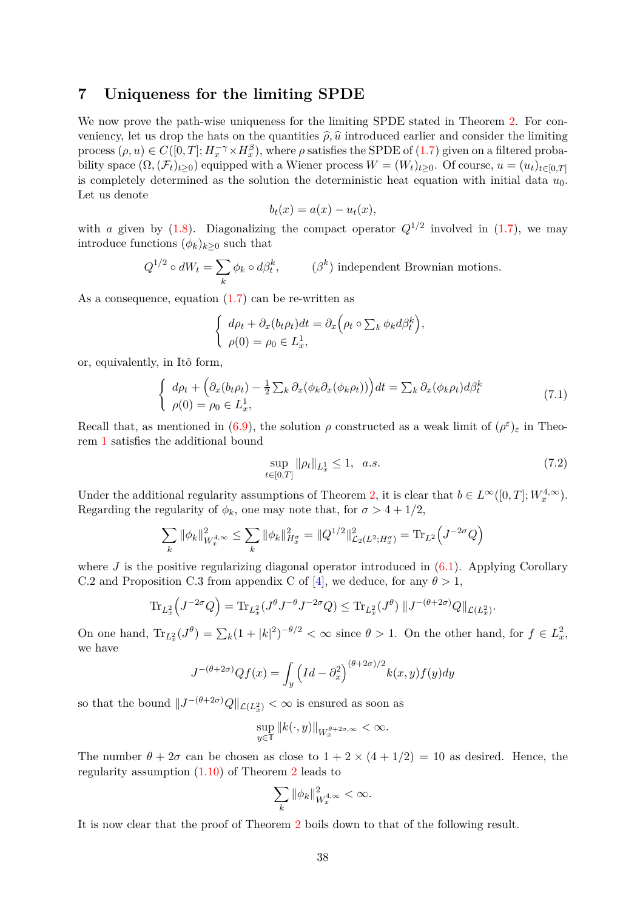### <span id="page-37-0"></span>**7 Uniqueness for the limiting SPDE**

We now prove the path-wise uniqueness for the limiting SPDE stated in Theorem [2.](#page-3-3) For conveniency, let us drop the hats on the quantities  $\hat{\rho}, \hat{u}$  introduced earlier and consider the limiting process  $(\rho, u) \in C([0, T]; H_x^{-\gamma} \times H_x^{\beta})$ , where  $\rho$  satisfies the SPDE of  $(1.7)$  given on a filtered probability space  $(\Omega, (\mathcal{F}_t)_{t>0})$  equipped with a Wiener process  $W = (W_t)_{t\geq 0}$ . Of course,  $u = (u_t)_{t\in[0,T]}$ is completely determined as the solution the deterministic heat equation with initial data *u*0. Let us denote

$$
b_t(x) = a(x) - u_t(x),
$$

with *a* given by  $(1.8)$ . Diagonalizing the compact operator  $Q^{1/2}$  involved in  $(1.7)$ , we may introduce functions  $(\phi_k)_{k>0}$  such that

$$
Q^{1/2} \circ dW_t = \sum_k \phi_k \circ d\beta_t^k, \qquad (\beta^k) \text{ independent Brownian motions.}
$$

As a consequence, equation [\(1.7\)](#page-3-0) can be re-written as

$$
\begin{cases} d\rho_t + \partial_x(b_t \rho_t) dt = \partial_x \Big(\rho_t \circ \sum_k \phi_k d\beta_t^k \Big), \\ \rho(0) = \rho_0 \in L_x^1, \end{cases}
$$

or, equivalently, in Itô form,

<span id="page-37-1"></span>
$$
\begin{cases}\nd\rho_t + \left(\partial_x(b_t\rho_t) - \frac{1}{2}\sum_k \partial_x(\phi_k \partial_x(\phi_k \rho_t))\right) dt = \sum_k \partial_x(\phi_k \rho_t) d\beta_t^k \\
\rho(0) = \rho_0 \in L_x^1,\n\end{cases} \n(7.1)
$$

Recall that, as mentioned in [\(6.9\)](#page-35-2), the solution  $\rho$  constructed as a weak limit of  $(\rho^{\varepsilon})_{\varepsilon}$  in Theorem [1](#page-2-2) satisfies the additional bound

<span id="page-37-2"></span>
$$
\sup_{t \in [0,T]} \|\rho_t\|_{L^1_x} \le 1, \quad a.s. \tag{7.2}
$$

Under the additional regularity assumptions of Theorem [2,](#page-3-3) it is clear that  $b \in L^{\infty}([0, T]; W_x^{4,\infty})$ . Regarding the regularity of  $\phi_k$ , one may note that, for  $\sigma > 4 + 1/2$ ,

$$
\sum_{k} \|\phi_k\|_{W_x^{4,\infty}}^2 \le \sum_{k} \|\phi_k\|_{H_x^{\sigma}}^2 = \|Q^{1/2}\|_{\mathcal{L}_2(L^2;H_x^{\sigma})}^2 = \text{Tr}_L2\left(J^{-2\sigma}Q\right)
$$

where  $J$  is the positive regularizing diagonal operator introduced in  $(6.1)$ . Applying Corollary C.2 and Proposition C.3 from appendix C of [\[4\]](#page-49-5), we deduce, for any  $\theta > 1$ ,

$$
\mathrm{Tr}_{L_x^2}\left(J^{-2\sigma}Q\right)=\mathrm{Tr}_{L_x^2}(J^{\theta}J^{-\theta}J^{-2\sigma}Q)\leq \mathrm{Tr}_{L_x^2}(J^{\theta})\,\|J^{-(\theta+2\sigma)}Q\|_{\mathcal{L}(L_x^2)}.
$$

On one hand,  $\text{Tr}_{L_x^2}(J^{\theta}) = \sum_k (1 + |k|^2)^{-\theta/2} < \infty$  since  $\theta > 1$ . On the other hand, for  $f \in L_x^2$ , we have

$$
J^{-(\theta+2\sigma)}Qf(x) = \int_y \left( Id - \partial_x^2 \right)^{(\theta+2\sigma)/2} k(x, y) f(y) dy
$$

so that the bound  $||J^{-(\theta+2\sigma)}Q||_{\mathcal{L}(L^2_x)} < \infty$  is ensured as soon as

$$
\sup_{y\in\mathbb{T}}\|k(\cdot,y)\|_{W^{\theta+2\sigma,\infty}_x}<\infty.
$$

The number  $\theta + 2\sigma$  can be chosen as close to  $1 + 2 \times (4 + 1/2) = 10$  as desired. Hence, the regularity assumption [\(1.10\)](#page-3-4) of Theorem [2](#page-3-3) leads to

$$
\sum_{k} \|\phi_k\|_{W_x^{4,\infty}}^2 < \infty.
$$

It is now clear that the proof of Theorem [2](#page-3-3) boils down to that of the following result.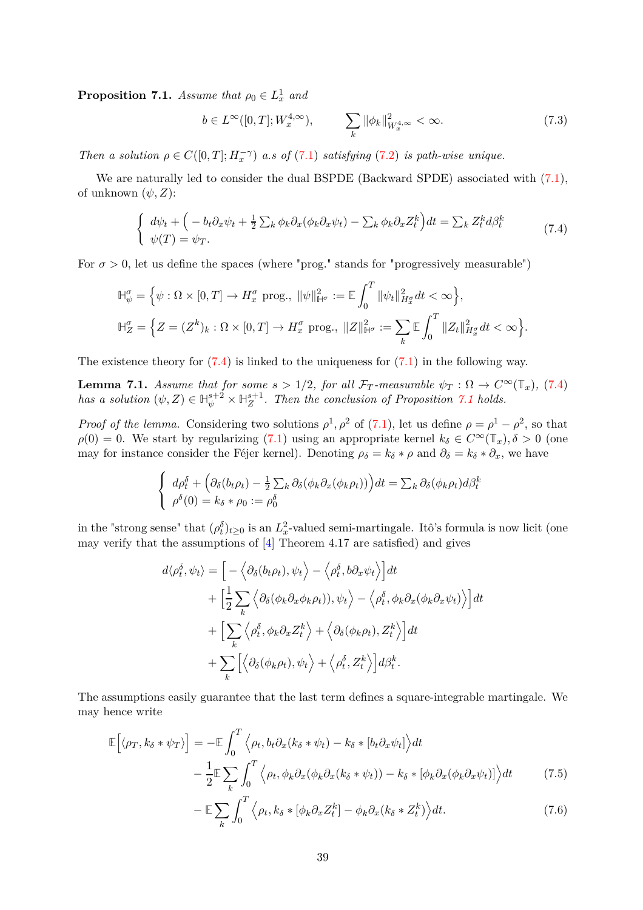<span id="page-38-1"></span>**Proposition 7.1.** *Assume that*  $\rho_0 \in L^1_x$  *and* 

<span id="page-38-3"></span>
$$
b \in L^{\infty}([0,T]; W^{4,\infty}_x), \qquad \sum_{k} \|\phi_k\|_{W^{4,\infty}_x}^2 < \infty. \tag{7.3}
$$

*Then a solution*  $\rho \in C([0, T]; H_x^{-\gamma})$  *a.s of* [\(7.1\)](#page-37-1) *satisfying* [\(7.2\)](#page-37-2) *is path-wise unique.* 

We are naturally led to consider the dual BSPDE (Backward SPDE) associated with  $(7.1)$ , of unknown  $(\psi, Z)$ :

<span id="page-38-0"></span>
$$
\begin{cases}\nd\psi_t + \left(-b_t \partial_x \psi_t + \frac{1}{2} \sum_k \phi_k \partial_x (\phi_k \partial_x \psi_t) - \sum_k \phi_k \partial_x Z_t^k\right) dt = \sum_k Z_t^k d\beta_t^k \\
\psi(T) = \psi_T.\n\end{cases} \tag{7.4}
$$

For  $\sigma > 0$ , let us define the spaces (where "prog." stands for "progressively measurable")

$$
\mathbb{H}_{\psi}^{\sigma} = \left\{ \psi : \Omega \times [0, T] \to H_x^{\sigma} \text{ prog.}, \ \|\psi\|_{\mathbb{H}^{\sigma}}^2 := \mathbb{E} \int_0^T \|\psi_t\|_{H_x^{\sigma}}^2 dt < \infty \right\},\
$$

$$
\mathbb{H}_Z^{\sigma} = \left\{ Z = (Z^k)_k : \Omega \times [0, T] \to H_x^{\sigma} \text{ prog.}, \ \|Z\|_{\mathbb{H}^{\sigma}}^2 := \sum_k \mathbb{E} \int_0^T \|Z_t\|_{H_x^{\sigma}}^2 dt < \infty \right\}.
$$

The existence theory for  $(7.4)$  is linked to the uniqueness for  $(7.1)$  in the following way.

<span id="page-38-5"></span>**Lemma 7.1.** *Assume that for some*  $s > 1/2$ *, for all*  $\mathcal{F}_T$ -measurable  $\psi_T : \Omega \to C^\infty(\mathbb{T}_x)$ *,* [\(7.4\)](#page-38-0) *has a solution*  $(\psi, Z) \in \mathbb{H}_{\psi}^{s+2} \times \mathbb{H}_{Z}^{s+1}$ . Then the conclusion of Proposition [7.1](#page-38-1) holds.

*Proof of the lemma.* Considering two solutions  $\rho^1$ ,  $\rho^2$  of [\(7.1\)](#page-37-1), let us define  $\rho = \rho^1 - \rho^2$ , so that  $\rho(0) = 0$ . We start by regularizing [\(7.1\)](#page-37-1) using an appropriate kernel  $k_{\delta} \in C^{\infty}(\mathbb{T}_x), \delta > 0$  (one may for instance consider the Féjer kernel). Denoting  $\rho_{\delta} = k_{\delta} * \rho$  and  $\partial_{\delta} = k_{\delta} * \partial_x$ , we have

$$
\begin{cases} d\rho_t^{\delta} + \left(\partial_{\delta}(b_t \rho_t) - \frac{1}{2} \sum_k \partial_{\delta}(\phi_k \partial_x(\phi_k \rho_t))\right) dt = \sum_k \partial_{\delta}(\phi_k \rho_t) d\beta_t^k \\ \rho^{\delta}(0) = k_{\delta} * \rho_0 := \rho_0^{\delta} \end{cases}
$$

in the "strong sense" that  $(\rho_t^{\delta})_{t\geq 0}$  is an  $L_x^2$ -valued semi-martingale. Itô's formula is now licit (one may verify that the assumptions of  $[4]$  Theorem 4.17 are satisfied) and gives

$$
d\langle \rho_t^{\delta}, \psi_t \rangle = \Big[ -\Big\langle \partial_{\delta}(b_t \rho_t), \psi_t \Big\rangle - \Big\langle \rho_t^{\delta}, b \partial_x \psi_t \Big\rangle \Big] dt + \Big[ \frac{1}{2} \sum_k \Big\langle \partial_{\delta}(\phi_k \partial_x \phi_k \rho_t)), \psi_t \Big\rangle - \Big\langle \rho_t^{\delta}, \phi_k \partial_x(\phi_k \partial_x \psi_t) \Big\rangle \Big] dt + \Big[ \sum_k \Big\langle \rho_t^{\delta}, \phi_k \partial_x Z_t^k \Big\rangle + \Big\langle \partial_{\delta}(\phi_k \rho_t), Z_t^k \Big\rangle \Big] dt + \sum_k \Big[ \Big\langle \partial_{\delta}(\phi_k \rho_t), \psi_t \Big\rangle + \Big\langle \rho_t^{\delta}, Z_t^k \Big\rangle \Big] d\beta_t^k.
$$

The assumptions easily guarantee that the last term defines a square-integrable martingale. We may hence write

$$
\mathbb{E}\Big[\langle \rho_T, k_\delta * \psi_T \rangle \Big] = -\mathbb{E} \int_0^T \Big\langle \rho_t, b_t \partial_x (k_\delta * \psi_t) - k_\delta * [b_t \partial_x \psi_t] \Big\rangle dt \n- \frac{1}{2} \mathbb{E} \sum_k \int_0^T \Big\langle \rho_t, \phi_k \partial_x (\phi_k \partial_x (k_\delta * \psi_t)) - k_\delta * [\phi_k \partial_x (\phi_k \partial_x \psi_t)] \Big\rangle dt
$$
\n(7.5)

<span id="page-38-4"></span><span id="page-38-2"></span>
$$
-\mathbb{E}\sum_{k}\int_{0}^{T}\left\langle \rho_{t},k_{\delta}\ast\left[\phi_{k}\partial_{x}Z_{t}^{k}\right]-\phi_{k}\partial_{x}(k_{\delta}\ast Z_{t}^{k})\right\rangle dt.\tag{7.6}
$$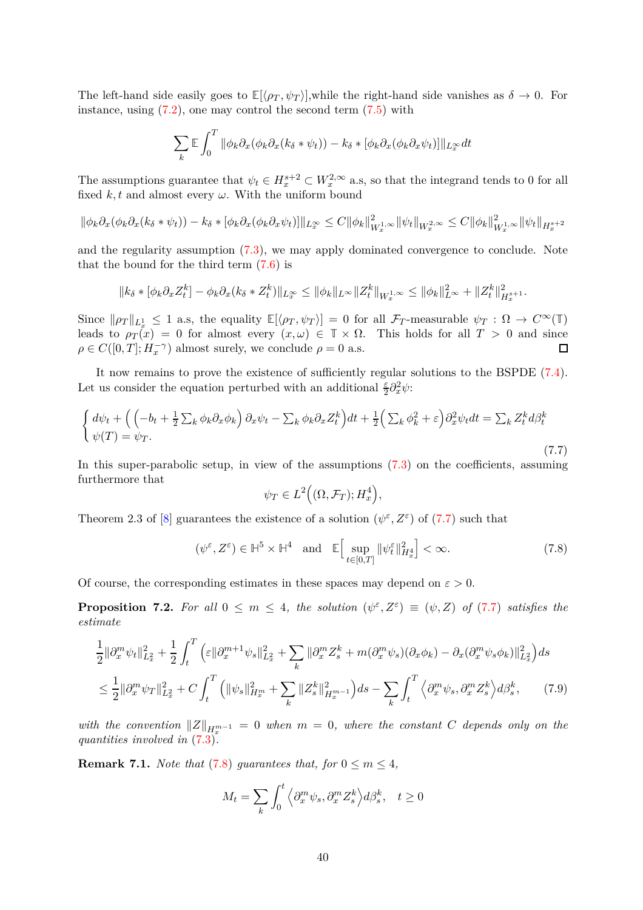The left-hand side easily goes to  $\mathbb{E}[\langle \rho_T, \psi_T \rangle]$ , while the right-hand side vanishes as  $\delta \to 0$ . For instance, using  $(7.2)$ , one may control the second term  $(7.5)$  with

$$
\sum_{k} \mathbb{E} \int_{0}^{T} \|\phi_{k}\partial_{x}(\phi_{k}\partial_{x}(k_{\delta}*\psi_{t})) - k_{\delta} * [\phi_{k}\partial_{x}(\phi_{k}\partial_{x}\psi_{t})]\|_{L_{x}^{\infty}} dt
$$

The assumptions guarantee that  $\psi_t \in H^{s+2}_x \subset W^{2,\infty}_x$  a.s, so that the integrand tends to 0 for all fixed  $k, t$  and almost every  $\omega$ . With the uniform bound

$$
\|\phi_k\partial_x(\phi_k\partial_x(k_\delta*\psi_t))-k_\delta*[\phi_k\partial_x(\phi_k\partial_x\psi_t)]\|_{L^\infty_x}\leq C\|\phi_k\|^2_{W^{1,\infty}_x}\|\psi_t\|_{W^{2,\infty}_x}\leq C\|\phi_k\|^2_{W^{1,\infty}_x}\|\psi_t\|_{H^{s+2}_x}
$$

and the regularity assumption [\(7.3\)](#page-38-3), we may apply dominated convergence to conclude. Note that the bound for the third term [\(7.6\)](#page-38-4) is

$$
||k_{\delta} * [\phi_k \partial_x Z_t^k] - \phi_k \partial_x (k_{\delta} * Z_t^k) ||_{L_x^{\infty}} \le ||\phi_k||_{L^{\infty}} ||Z_t^k||_{W_x^{1,\infty}} \le ||\phi_k||_{L^{\infty}}^2 + ||Z_t^k||_{H_x^{s+1}}^2.
$$

Since  $\|\rho_T\|_{L^1_x} \leq 1$  a.s, the equality  $\mathbb{E}[\langle \rho_T, \psi_T \rangle] = 0$  for all  $\mathcal{F}_T$ -measurable  $\psi_T : \Omega \to C^{\infty}(\mathbb{T})$ leads to  $\rho_T(x) = 0$  for almost every  $(x, \omega) \in \mathbb{T} \times \Omega$ . This holds for all  $T > 0$  and since  $\rho \in C([0, T]; H_x^{-\gamma})$  almost surely, we conclude  $\rho = 0$  a.s.  $\Box$ 

It now remains to prove the existence of sufficiently regular solutions to the BSPDE [\(7.4\)](#page-38-0). Let us consider the equation perturbed with an additional  $\frac{\varepsilon}{2} \partial_x^2 \psi$ :

<span id="page-39-0"></span>
$$
\begin{cases} d\psi_t + \left( \left( -b_t + \frac{1}{2} \sum_k \phi_k \partial_x \phi_k \right) \partial_x \psi_t - \sum_k \phi_k \partial_x Z_t^k \right) dt + \frac{1}{2} \left( \sum_k \phi_k^2 + \varepsilon \right) \partial_x^2 \psi_t dt = \sum_k Z_t^k d\beta_t^k \\ \psi(T) = \psi_T. \end{cases} \tag{7.7}
$$

In this super-parabolic setup, in view of the assumptions [\(7.3\)](#page-38-3) on the coefficients, assuming furthermore that

<span id="page-39-1"></span>
$$
\psi_T \in L^2\Big((\Omega, \mathcal{F}_T); H^4_x\Big),
$$

Theorem 2.3 of [\[8\]](#page-49-10) guarantees the existence of a solution  $(\psi^{\varepsilon}, Z^{\varepsilon})$  of [\(7.7\)](#page-39-0) such that

$$
(\psi^{\varepsilon}, Z^{\varepsilon}) \in \mathbb{H}^{5} \times \mathbb{H}^{4} \quad \text{and} \quad \mathbb{E}\Big[\sup_{t \in [0,T]} \|\psi_{t}^{\varepsilon}\|_{H^{4}_{x}}^{2}\Big] < \infty. \tag{7.8}
$$

Of course, the corresponding estimates in these spaces may depend on  $\varepsilon > 0$ .

<span id="page-39-2"></span>**Proposition 7.2.** For all  $0 \leq m \leq 4$ , the solution  $(\psi^{\varepsilon}, Z^{\varepsilon}) \equiv (\psi, Z)$  of [\(7.7\)](#page-39-0) satisfies the *estimate*

$$
\frac{1}{2} \|\partial_x^m \psi_t\|_{L_x^2}^2 + \frac{1}{2} \int_t^T \left( \varepsilon \|\partial_x^{m+1} \psi_s\|_{L_x^2}^2 + \sum_k \|\partial_x^m Z_s^k + m(\partial_x^m \psi_s)(\partial_x \phi_k) - \partial_x(\partial_x^m \psi_s \phi_k)\|_{L_x^2}^2 \right) ds
$$
\n
$$
\leq \frac{1}{2} \|\partial_x^m \psi_T\|_{L_x^2}^2 + C \int_t^T \left( \|\psi_s\|_{H_x^m}^2 + \sum_k \|Z_s^k\|_{H_x^{m-1}}^2 \right) ds - \sum_k \int_t^T \left( \partial_x^m \psi_s, \partial_x^m Z_s^k \right) d\beta_s^k, \tag{7.9}
$$

 $\lVert Z \rVert_{H_x^{m-1}} = 0$  when  $m = 0$ , where the constant *C* depends only on the *quantities involved in* [\(7.3\)](#page-38-3)*.*

<span id="page-39-4"></span>**Remark 7.1.** *Note that* [\(7.8\)](#page-39-1) *guarantees that, for*  $0 \le m \le 4$ *,* 

<span id="page-39-3"></span>
$$
M_t = \sum_{k} \int_0^t \left\langle \partial_x^m \psi_s, \partial_x^m Z_s^k \right\rangle d\beta_s^k, \quad t \ge 0
$$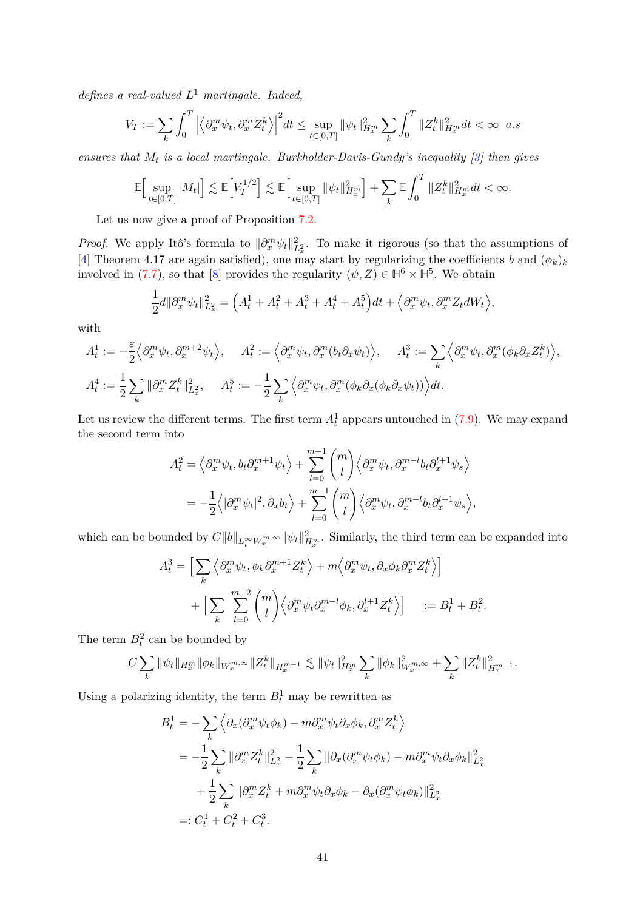*defines a real-valued L* <sup>1</sup> *martingale. Indeed,*

$$
V_T := \sum_{k} \int_0^T \left| \left\langle \partial_x^m \psi_t, \partial_x^m Z_t^k \right\rangle \right|^2 dt \le \sup_{t \in [0,T]} \|\psi_t\|_{H_x^m}^2 \sum_{k} \int_0^T \|Z_t^k\|_{H_x^m}^2 dt < \infty \ \ a.s
$$

*ensures that M<sup>t</sup> is a local martingale. Burkholder-Davis-Gundy's inequality [\[3\]](#page-49-11) then gives*

$$
\mathbb{E}\Big[\sup_{t\in[0,T]}|M_t|\Big]\lesssim \mathbb{E}\Big[V_T^{1/2}\Big]\lesssim \mathbb{E}\Big[\sup_{t\in[0,T]} \|\psi_t\|_{H_x^m}^2\Big]+\sum_k\mathbb{E}\int_0^T \|Z_t^k\|_{H_x^m}^2dt<\infty.
$$

Let us now give a proof of Proposition [7.2.](#page-39-2)

*Proof.* We apply Itô's formula to  $\|\partial_x^m \psi_t\|_{L_x^2}^2$ . To make it rigorous (so that the assumptions of [\[4\]](#page-49-5) Theorem 4.17 are again satisfied), one may start by regularizing the coefficients *b* and  $(\phi_k)_k$ involved in [\(7.7\)](#page-39-0), so that [\[8\]](#page-49-10) provides the regularity  $(\psi, Z) \in \mathbb{H}^6 \times \mathbb{H}^5$ . We obtain

$$
\frac{1}{2}d\|\partial_x^m\psi_t\|_{L_x^2}^2 = \left(A_t^1 + A_t^2 + A_t^3 + A_t^4 + A_t^5\right)dt + \left\langle \partial_x^m\psi_t, \partial_x^m Z_t dW_t \right\rangle,
$$

with

$$
A_t^1 := -\frac{\varepsilon}{2} \left\langle \partial_x^m \psi_t, \partial_x^{m+2} \psi_t \right\rangle, \quad A_t^2 := \left\langle \partial_x^m \psi_t, \partial_x^m (b_t \partial_x \psi_t) \right\rangle, \quad A_t^3 := \sum_k \left\langle \partial_x^m \psi_t, \partial_x^m (\phi_k \partial_x Z_t^k) \right\rangle,
$$
  

$$
A_t^4 := \frac{1}{2} \sum_k \|\partial_x^m Z_t^k\|_{L_x^2}^2, \quad A_t^5 := -\frac{1}{2} \sum_k \left\langle \partial_x^m \psi_t, \partial_x^m (\phi_k \partial_x (\phi_k \partial_x \psi_t)) \right\rangle dt.
$$

Let us review the different terms. The first term  $A_t^1$  appears untouched in  $(7.9)$ . We may expand the second term into

$$
A_t^2 = \left\langle \partial_x^m \psi_t, b_t \partial_x^{m+1} \psi_t \right\rangle + \sum_{l=0}^{m-1} {m \choose l} \left\langle \partial_x^m \psi_t, \partial_x^{m-l} b_t \partial_x^{l+1} \psi_s \right\rangle
$$
  
= 
$$
-\frac{1}{2} \left\langle |\partial_x^m \psi_t|^2, \partial_x b_t \right\rangle + \sum_{l=0}^{m-1} {m \choose l} \left\langle \partial_x^m \psi_t, \partial_x^{m-l} b_t \partial_x^{l+1} \psi_s \right\rangle,
$$

which can be bounded by  $C||b||_{L_t^{\infty}W_x^{m,\infty}}||\psi_t||_{H_x^m}^2$ . Similarly, the third term can be expanded into

$$
A_t^3 = \Big[ \sum_k \Big\langle \partial_x^m \psi_t, \phi_k \partial_x^{m+1} Z_t^k \Big\rangle + m \Big\langle \partial_x^m \psi_t, \partial_x \phi_k \partial_x^m Z_t^k \Big\rangle \Big] + \Big[ \sum_k \sum_{l=0}^{m-2} {m \choose l} \Big\langle \partial_x^m \psi_t \partial_x^{m-l} \phi_k, \partial_x^{l+1} Z_t^k \Big\rangle \Big] \quad := B_t^1 + B_t^2.
$$

The term  $B_t^2$  can be bounded by

$$
C\sum_{k} \|\psi_t\|_{H_x^m} \|\phi_k\|_{W_x^{m,\infty}} \|Z_t^k\|_{H_x^{m-1}} \lesssim \|\psi_t\|_{H_x^m}^2 \sum_{k} \|\phi_k\|_{W_x^{m,\infty}}^2 + \sum_{k} \|Z_t^k\|_{H_x^{m-1}}^2.
$$

Using a polarizing identity, the term  $B_t^1$  may be rewritten as

$$
B_t^1 = -\sum_k \left\langle \partial_x (\partial_x^m \psi_t \phi_k) - m \partial_x^m \psi_t \partial_x \phi_k, \partial_x^m Z_t^k \right\rangle
$$
  
= 
$$
-\frac{1}{2} \sum_k \|\partial_x^m Z_t^k\|_{L_x^2}^2 - \frac{1}{2} \sum_k \|\partial_x (\partial_x^m \psi_t \phi_k) - m \partial_x^m \psi_t \partial_x \phi_k\|_{L_x^2}^2
$$
  
+ 
$$
\frac{1}{2} \sum_k \|\partial_x^m Z_t^k + m \partial_x^m \psi_t \partial_x \phi_k - \partial_x (\partial_x^m \psi_t \phi_k)\|_{L_x^2}^2
$$
  
=: 
$$
C_t^1 + C_t^2 + C_t^3.
$$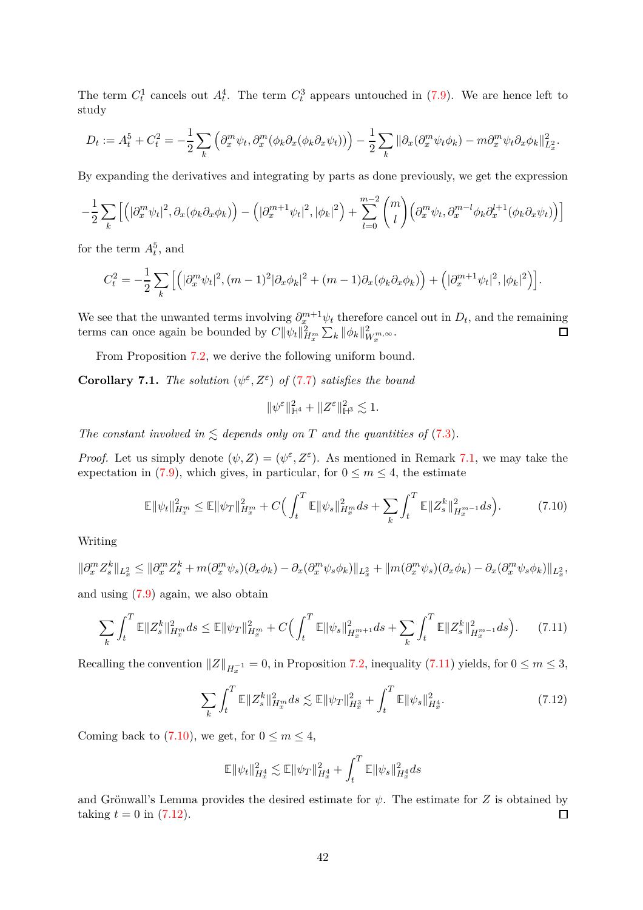The term  $C_t^1$  cancels out  $A_t^4$ . The term  $C_t^3$  appears untouched in [\(7.9\)](#page-39-3). We are hence left to study

$$
D_t := A_t^5 + C_t^2 = -\frac{1}{2} \sum_k \left( \partial_x^m \psi_t, \partial_x^m (\phi_k \partial_x (\phi_k \partial_x \psi_t)) \right) - \frac{1}{2} \sum_k \|\partial_x (\partial_x^m \psi_t \phi_k) - m \partial_x^m \psi_t \partial_x \phi_k\|_{L_x^2}^2.
$$

By expanding the derivatives and integrating by parts as done previously, we get the expression

$$
-\frac{1}{2}\sum_{k}\left[\left(|\partial_{x}^{m}\psi_{t}|^{2},\partial_{x}(\phi_{k}\partial_{x}\phi_{k})\right)-\left(|\partial_{x}^{m+1}\psi_{t}|^{2},|\phi_{k}|^{2}\right)+\sum_{l=0}^{m-2}\binom{m}{l}\left(\partial_{x}^{m}\psi_{t},\partial_{x}^{m-l}\phi_{k}\partial_{x}^{l+1}(\phi_{k}\partial_{x}\psi_{t})\right)\right]
$$

for the term  $A_t^5$ , and

$$
C_t^2 = -\frac{1}{2} \sum_k \left[ \left( |\partial_x^m \psi_t|^2, (m-1)^2 |\partial_x \phi_k|^2 + (m-1) \partial_x (\phi_k \partial_x \phi_k) \right) + \left( |\partial_x^{m+1} \psi_t|^2, |\phi_k|^2 \right) \right].
$$

We see that the unwanted terms involving  $\partial_x^{m+1} \psi_t$  therefore cancel out in  $D_t$ , and the remaining terms can once again be bounded by  $C||\psi_t||_{H_x^m}^2 \sum_k ||\phi_k||_{W_x^m,\infty}^2$ .  $\Box$ 

From Proposition [7.2,](#page-39-2) we derive the following uniform bound.

<span id="page-41-3"></span>**Corollary 7.1.** *The solution*  $(\psi^{\varepsilon}, Z^{\varepsilon})$  *of* [\(7.7\)](#page-39-0) *satisfies the bound* 

<span id="page-41-1"></span>
$$
\|\psi^{\varepsilon}\|_{\mathbb{H}^{4}}^{2}+\|Z^{\varepsilon}\|_{\mathbb{H}^{3}}^{2}\lesssim 1.
$$

*The constant involved in*  $\leq$  *depends only on T and the quantities of* [\(7.3\)](#page-38-3)*.* 

*Proof.* Let us simply denote  $(\psi, Z) = (\psi^{\varepsilon}, Z^{\varepsilon})$ . As mentioned in Remark [7.1,](#page-39-4) we may take the expectation in [\(7.9\)](#page-39-3), which gives, in particular, for  $0 \le m \le 4$ , the estimate

$$
\mathbb{E} \|\psi_t\|_{H_x^m}^2 \le \mathbb{E} \|\psi_T\|_{H_x^m}^2 + C \Big(\int_t^T \mathbb{E} \|\psi_s\|_{H_x^m}^2 ds + \sum_k \int_t^T \mathbb{E} \|Z_s^k\|_{H_x^{m-1}}^2 ds\Big). \tag{7.10}
$$

Writing

$$
\|\partial_x^m Z_s^k\|_{L_x^2} \le \|\partial_x^m Z_s^k + m(\partial_x^m \psi_s)(\partial_x \phi_k) - \partial_x(\partial_x^m \psi_s \phi_k)\|_{L_x^2} + \|m(\partial_x^m \psi_s)(\partial_x \phi_k) - \partial_x(\partial_x^m \psi_s \phi_k)\|_{L_x^2},
$$

and using [\(7.9\)](#page-39-3) again, we also obtain

$$
\sum_{k} \int_{t}^{T} \mathbb{E} \|Z_{s}^{k}\|_{H_{x}^{m}}^{2} ds \leq \mathbb{E} \|\psi_{T}\|_{H_{x}^{m}}^{2} + C \Big(\int_{t}^{T} \mathbb{E} \|\psi_{s}\|_{H_{x}^{m+1}}^{2} ds + \sum_{k} \int_{t}^{T} \mathbb{E} \|Z_{s}^{k}\|_{H_{x}^{m-1}}^{2} ds\Big). \tag{7.11}
$$

Recalling the convention  $||Z||_{H^{-1}_x} = 0$ , in Proposition [7.2,](#page-39-2) inequality [\(7.11\)](#page-41-0) yields, for  $0 \le m \le 3$ ,

$$
\sum_{k} \int_{t}^{T} \mathbb{E} \|Z_{s}^{k}\|_{H_{x}^{m}}^{2} ds \lesssim \mathbb{E} \|\psi_{T}\|_{H_{x}^{3}}^{2} + \int_{t}^{T} \mathbb{E} \|\psi_{s}\|_{H_{x}^{4}}^{2}.
$$
\n(7.12)

Coming back to [\(7.10\)](#page-41-1), we get, for  $0 \le m \le 4$ ,

<span id="page-41-2"></span><span id="page-41-0"></span>
$$
\mathbb{E}\|\psi_t\|_{H^4_x}^2\lesssim \mathbb{E}\|\psi_T\|_{H^4_x}^2+\int_t^T\mathbb{E}\|\psi_s\|_{H^4_x}^2ds
$$

and Grönwall's Lemma provides the desired estimate for  $\psi$ . The estimate for *Z* is obtained by taking  $t = 0$  in  $(7.12)$ .  $\Box$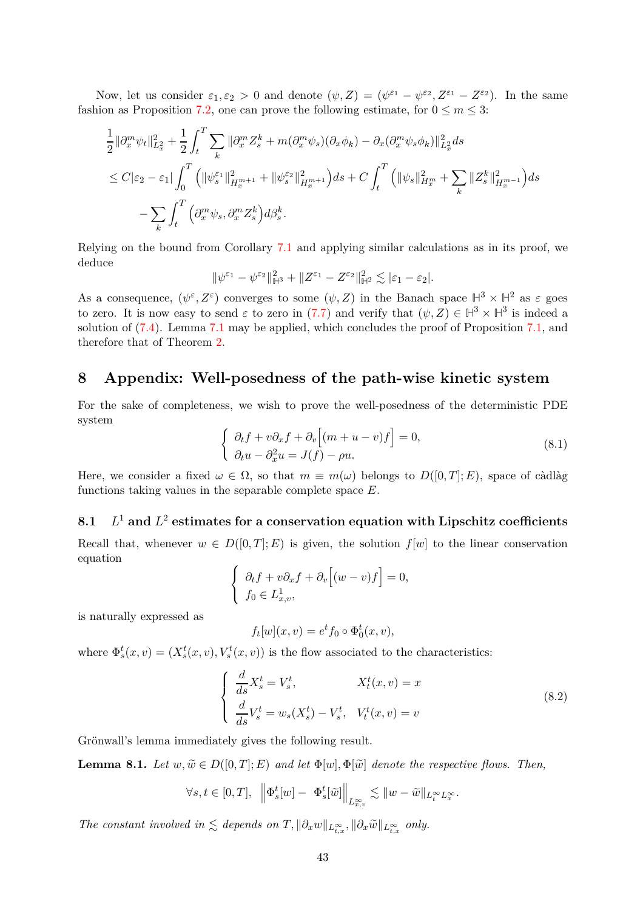Now, let us consider  $\varepsilon_1, \varepsilon_2 > 0$  and denote  $(\psi, Z) = (\psi^{\varepsilon_1} - \psi^{\varepsilon_2}, Z^{\varepsilon_1} - Z^{\varepsilon_2})$ . In the same fashion as Proposition [7.2,](#page-39-2) one can prove the following estimate, for  $0 \le m \le 3$ :

$$
\begin{split}\n&\frac{1}{2} \|\partial_x^m \psi_t\|_{L_x^2}^2 + \frac{1}{2} \int_t^T \sum_k \|\partial_x^m Z_s^k + m(\partial_x^m \psi_s)(\partial_x \phi_k) - \partial_x(\partial_x^m \psi_s \phi_k)\|_{L_x^2}^2 ds \\
&\leq C |\varepsilon_2 - \varepsilon_1| \int_0^T \left( \|\psi_s^{\varepsilon_1}\|_{H_x^{m+1}}^2 + \|\psi_s^{\varepsilon_2}\|_{H_x^{m+1}}^2 \right) ds + C \int_t^T \left( \|\psi_s\|_{H_x^m}^2 + \sum_k \|Z_s^k\|_{H_x^{m-1}}^2 \right) ds \\
&\quad - \sum_k \int_t^T \left( \partial_x^m \psi_s, \partial_x^m Z_s^k \right) d\beta_s^k.\n\end{split}
$$

Relying on the bound from Corollary [7.1](#page-41-3) and applying similar calculations as in its proof, we deduce

$$
\|\psi^{\varepsilon_1}-\psi^{\varepsilon_2}\|^2_{\mathbb{H}^3}+\|Z^{\varepsilon_1}-Z^{\varepsilon_2}\|^2_{\mathbb{H}^2}\lesssim |\varepsilon_1-\varepsilon_2|.
$$

As a consequence,  $(\psi^{\varepsilon}, Z^{\varepsilon})$  converges to some  $(\psi, Z)$  in the Banach space  $\mathbb{H}^3 \times \mathbb{H}^2$  as  $\varepsilon$  goes to zero. It is now easy to send  $\varepsilon$  to zero in [\(7.7\)](#page-39-0) and verify that  $(\psi, Z) \in \mathbb{H}^3 \times \mathbb{H}^3$  is indeed a solution of [\(7.4\)](#page-38-0). Lemma [7.1](#page-38-5) may be applied, which concludes the proof of Proposition [7.1,](#page-38-1) and therefore that of Theorem [2.](#page-3-3)

## <span id="page-42-0"></span>**8 Appendix: Well-posedness of the path-wise kinetic system**

For the sake of completeness, we wish to prove the well-posedness of the deterministic PDE system

<span id="page-42-3"></span>
$$
\begin{cases} \partial_t f + v \partial_x f + \partial_v [(m+u-v)f] = 0, \\ \partial_t u - \partial_x^2 u = J(f) - \rho u. \end{cases}
$$
\n(8.1)

Here, we consider a fixed  $\omega \in \Omega$ , so that  $m \equiv m(\omega)$  belongs to  $D([0,T]; E)$ , space of càdlàg functions taking values in the separable complete space *E*.

#### <span id="page-42-1"></span>**8.1** *L*  $^{-1}$  and  $L^2$  estimates for a conservation equation with Lipschitz coefficients

Recall that, whenever  $w \in D([0,T];E)$  is given, the solution  $f[w]$  to the linear conservation equation

$$
\begin{cases} \partial_t f + v \partial_x f + \partial_v [(w - v) f] = 0, \\ f_0 \in L^1_{x,v}, \end{cases}
$$

is naturally expressed as

$$
f_t[w](x,v) = e^t f_0 \circ \Phi_0^t(x,v),
$$

where  $\Phi_s^t(x, v) = (X_s^t(x, v), V_s^t(x, v))$  is the flow associated to the characteristics:

<span id="page-42-4"></span>
$$
\begin{cases}\n\frac{d}{ds}X_s^t = V_s^t, & X_t^t(x, v) = x \\
\frac{d}{ds}V_s^t = w_s(X_s^t) - V_s^t, & V_t^t(x, v) = v\n\end{cases}
$$
\n(8.2)

Grönwall's lemma immediately gives the following result.

<span id="page-42-2"></span>**Lemma 8.1.** *Let*  $w, \tilde{w} \in D([0,T]; E)$  *and let*  $\Phi[w], \Phi[\tilde{w}]$  *denote the respective flows. Then,* 

$$
\forall s, t \in [0, T], \ \left\| \Phi_s^t[w] - \Phi_s^t[\tilde{w}] \right\|_{L^{\infty}_{x,v}} \lesssim \|w - \tilde{w}\|_{L^{\infty}_t L^{\infty}_x}.
$$

*The constant involved in*  $\lesssim$  *depends on*  $T$ ,  $\|\partial_x w\|_{L^{\infty}_{t,x}}, \|\partial_x \tilde{w}\|_{L^{\infty}_{t,x}}$  *only.*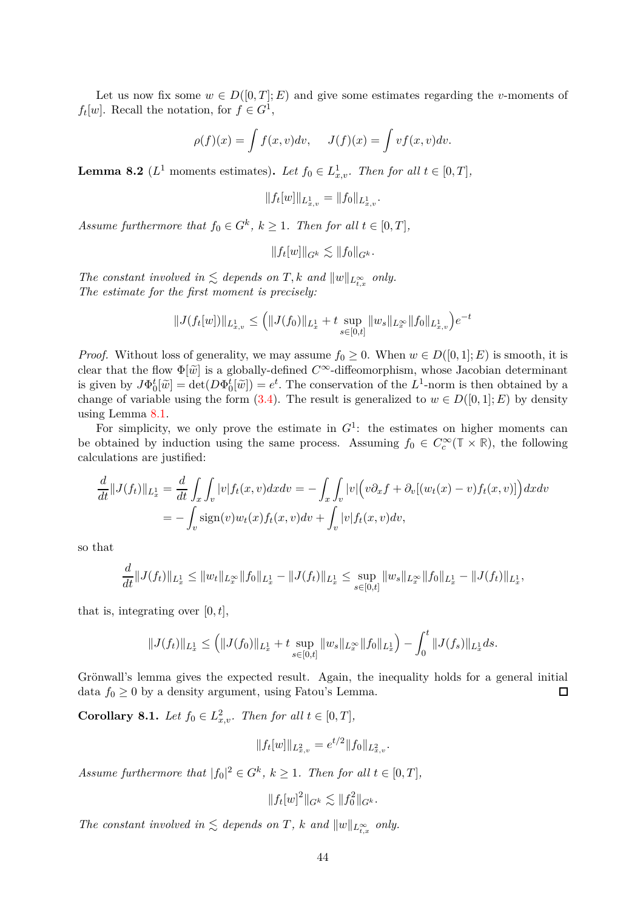Let us now fix some  $w \in D([0,T]; E)$  and give some estimates regarding the *v*-moments of  $f_t[w]$ . Recall the notation, for  $f \in G^1$ ,

$$
\rho(f)(x) = \int f(x, v) dv, \quad J(f)(x) = \int v f(x, v) dv.
$$

<span id="page-43-0"></span>**Lemma 8.2** ( $L^1$  moments estimates). Let  $f_0 \in L^1_{x,v}$ . Then for all  $t \in [0,T]$ ,

$$
||f_t[w]||_{L^1_{x,v}} = ||f_0||_{L^1_{x,v}}.
$$

*Assume furthermore that*  $f_0 \in G^k$ ,  $k \geq 1$ *. Then for all*  $t \in [0, T]$ *,* 

$$
||f_t[w]||_{G^k} \lesssim ||f_0||_{G^k}.
$$

*The constant involved in*  $\lesssim$  *depends on T*, *k and*  $||w||_{L^{\infty}_{t,x}}$  *only. The estimate for the first moment is precisely:*

$$
||J(f_t[w])||_{L^1_{x,v}} \leq (||J(f_0)||_{L^1_x} + t \sup_{s \in [0,t]} ||w_s||_{L^\infty_x} ||f_0||_{L^1_{x,v}})e^{-t}
$$

*Proof.* Without loss of generality, we may assume  $f_0 \geq 0$ . When  $w \in D([0,1]; E)$  is smooth, it is clear that the flow  $\Phi[\tilde{w}]$  is a globally-defined  $C^{\infty}$ -diffeomorphism, whose Jacobian determinant is given by  $J\Phi_0^t[\tilde{w}] = \det(D\Phi_0^t[\tilde{w}]) = e^t$ . The conservation of the  $L^1$ -norm is then obtained by a change of variable using the form [\(3.4\)](#page-11-3). The result is generalized to  $w \in D([0,1]; E)$  by density using Lemma [8.1.](#page-42-2)

For simplicity, we only prove the estimate in  $G<sup>1</sup>$ : the estimates on higher moments can be obtained by induction using the same process. Assuming  $f_0 \in C_c^{\infty}(\mathbb{T} \times \mathbb{R})$ , the following calculations are justified:

$$
\frac{d}{dt} ||J(f_t)||_{L^1_x} = \frac{d}{dt} \int_x \int_v |v| f_t(x, v) dx dv = - \int_x \int_v |v| \Big( v \partial_x f + \partial_v [(w_t(x) - v) f_t(x, v)] \Big) dx dv
$$
  
= 
$$
- \int_v \text{sign}(v) w_t(x) f_t(x, v) dv + \int_v |v| f_t(x, v) dv,
$$

so that

$$
\frac{d}{dt}||J(f_t)||_{L^1_x} \leq ||w_t||_{L^\infty_x}||f_0||_{L^1_x} - ||J(f_t)||_{L^1_x} \leq \sup_{s \in [0,t]} ||w_s||_{L^\infty_x}||f_0||_{L^1_x} - ||J(f_t)||_{L^1_x},
$$

that is, integrating over  $[0, t]$ ,

$$
||J(f_t)||_{L^1_x} \leq \left( ||J(f_0)||_{L^1_x} + t \sup_{s \in [0,t]} ||w_s||_{L^\infty_x} ||f_0||_{L^1_x} \right) - \int_0^t ||J(f_s)||_{L^1_x} ds.
$$

Grönwall's lemma gives the expected result. Again, the inequality holds for a general initial data  $f_0 \geq 0$  by a density argument, using Fatou's Lemma.  $\Box$ 

<span id="page-43-1"></span>**Corollary 8.1.** *Let*  $f_0 \in L^2_{x,v}$ *. Then for all*  $t \in [0, T]$ *,* 

$$
||f_t[w]||_{L^2_{x,v}} = e^{t/2} ||f_0||_{L^2_{x,v}}.
$$

*Assume furthermore that*  $|f_0|^2 \in G^k$ ,  $k \ge 1$ *. Then for all*  $t \in [0, T]$ *,* 

$$
||f_t[w]^2||_{G^k} \lesssim ||f_0^2||_{G^k}.
$$

*The constant involved in*  $\lesssim$  *depends on T*, *k and*  $||w||_{L^{\infty}_{t,x}}$  *only.*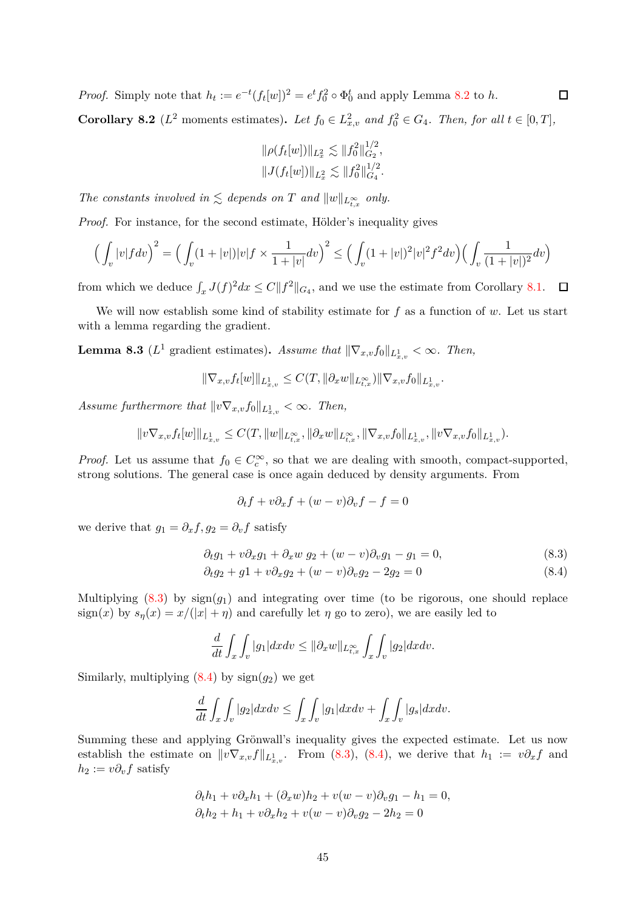*Proof.* Simply note that  $h_t := e^{-t} (f_t[w])^2 = e^t f_0^2 \circ \Phi_0^t$  and apply Lemma [8.2](#page-43-0) to *h*.

<span id="page-44-3"></span>**Corollary 8.2** ( $L^2$  moments estimates). Let  $f_0 \in L^2_{x,v}$  and  $f_0^2 \in G_4$ . Then, for all  $t \in [0,T]$ ,

$$
\|\rho(f_t[w])\|_{L_x^2} \lesssim \|f_0^2\|_{G_2}^{1/2},
$$
  

$$
\|J(f_t[w])\|_{L_x^2} \lesssim \|f_0^2\|_{G_4}^{1/2}.
$$

*The constants involved in*  $\lesssim$  *depends on T and*  $||w||_{L^{\infty}_{t,x}}$  *only.* 

*Proof.* For instance, for the second estimate, Hölder's inequality gives

$$
\left(\int_{v} |v| f dv\right)^{2} = \left(\int_{v} (1 + |v|) |v| f \times \frac{1}{1 + |v|} dv\right)^{2} \le \left(\int_{v} (1 + |v|)^{2} |v|^{2} f^{2} dv\right) \left(\int_{v} \frac{1}{(1 + |v|)^{2}} dv\right)
$$

from which we deduce  $\int_x J(f)^2 dx \leq C ||f^2||_{G_4}$ , and we use the estimate from Corollary [8.1.](#page-43-1)

We will now establish some kind of stability estimate for *f* as a function of *w*. Let us start with a lemma regarding the gradient.

<span id="page-44-2"></span>**Lemma 8.3** ( $L^1$  gradient estimates). *Assume that*  $\|\nabla_{x,v} f_0\|_{L^1_{x,v}} < \infty$ . Then,

$$
\|\nabla_{x,v} f_t[w]\|_{L^1_{x,v}} \le C(T, \|\partial_x w\|_{L^\infty_{t,x}}) \|\nabla_{x,v} f_0\|_{L^1_{x,v}}.
$$

*Assume furthermore that*  $||v\nabla_{x,v} f_0||_{L^1_{x,v}} < \infty$ . Then,

$$
||v\nabla_{x,v}f_t[w]||_{L^1_{x,v}} \leq C(T, ||w||_{L^\infty_{t,x}}, ||\partial_x w||_{L^\infty_{t,x}}, ||\nabla_{x,v}f_0||_{L^1_{x,v}}, ||v\nabla_{x,v}f_0||_{L^1_{x,v}}).
$$

*Proof.* Let us assume that  $f_0 \in C_c^{\infty}$ , so that we are dealing with smooth, compact-supported, strong solutions. The general case is once again deduced by density arguments. From

<span id="page-44-1"></span><span id="page-44-0"></span>
$$
\partial_t f + v \partial_x f + (w - v) \partial_v f - f = 0
$$

we derive that  $g_1 = \partial_x f, g_2 = \partial_v f$  satisfy

$$
\partial_t g_1 + v \partial_x g_1 + \partial_x w g_2 + (w - v) \partial_v g_1 - g_1 = 0, \tag{8.3}
$$

$$
\partial_t g_2 + g_1 + v \partial_x g_2 + (w - v) \partial_v g_2 - 2g_2 = 0 \tag{8.4}
$$

Multiplying  $(8.3)$  by  $sign(g_1)$  and integrating over time (to be rigorous, one should replace sign(*x*) by  $s_n(x) = x/(|x| + \eta)$  and carefully let  $\eta$  go to zero), we are easily led to

$$
\frac{d}{dt} \int_x \int_v |g_1| dx dv \le ||\partial_x w||_{L^\infty_{t,x}} \int_x \int_v |g_2| dx dv.
$$

Similarly, multiplying  $(8.4)$  by  $sign(g_2)$  we get

$$
\frac{d}{dt} \int_x \int_v |g_2| dx dv \le \int_x \int_v |g_1| dx dv + \int_x \int_v |g_s| dx dv.
$$

Summing these and applying Grönwall's inequality gives the expected estimate. Let us now establish the estimate on  $\|v\nabla_{x,v}f\|_{L^1_{x,v}}$ . From [\(8.3\)](#page-44-0), [\(8.4\)](#page-44-1), we derive that  $h_1 := v\partial_x f$  and  $h_2 := v \partial_v f$  satisfy

$$
\partial_t h_1 + v \partial_x h_1 + (\partial_x w) h_2 + v(w - v) \partial_v g_1 - h_1 = 0,
$$
  

$$
\partial_t h_2 + h_1 + v \partial_x h_2 + v(w - v) \partial_v g_2 - 2h_2 = 0
$$

 $\Box$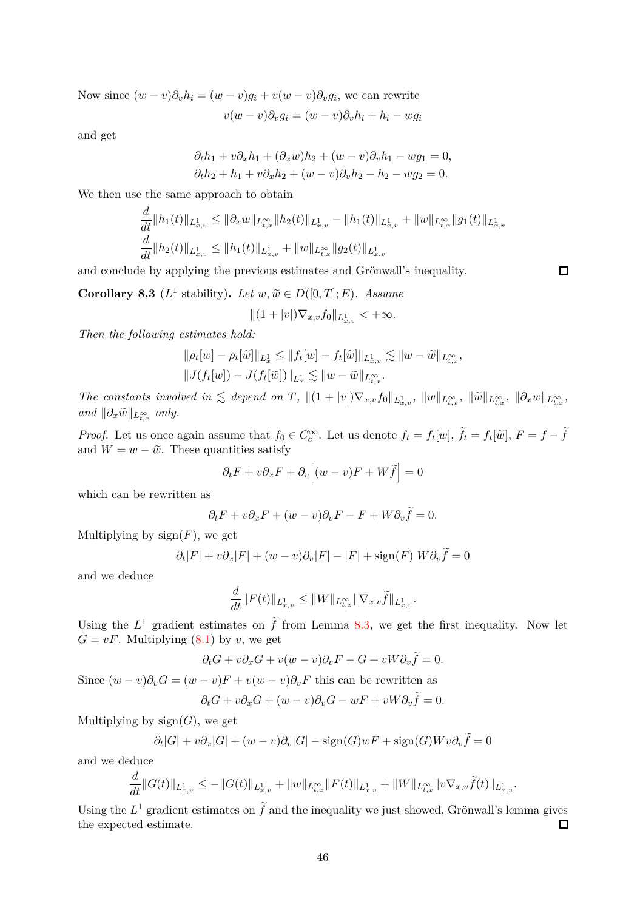Now since  $(w - v)\partial_v h_i = (w - v)g_i + v(w - v)\partial_v g_i$ , we can rewrite

$$
v(w - v)\partial_v g_i = (w - v)\partial_v h_i + h_i - w g_i
$$

and get

$$
\partial_t h_1 + v \partial_x h_1 + (\partial_x w) h_2 + (w - v) \partial_v h_1 - w g_1 = 0,
$$
  

$$
\partial_t h_2 + h_1 + v \partial_x h_2 + (w - v) \partial_v h_2 - h_2 - w g_2 = 0.
$$

We then use the same approach to obtain

*d*

$$
\frac{d}{dt}||h_1(t)||_{L^1_{x,v}} \le ||\partial_x w||_{L^{\infty}_{t,x}}||h_2(t)||_{L^1_{x,v}} - ||h_1(t)||_{L^1_{x,v}} + ||w||_{L^{\infty}_{t,x}}||g_1(t)||_{L^1_{x,v}} \n\frac{d}{dt}||h_2(t)||_{L^1_{x,v}} \le ||h_1(t)||_{L^1_{x,v}} + ||w||_{L^{\infty}_{t,x}}||g_2(t)||_{L^1_{x,v}}
$$

 $\Box$ 

and conclude by applying the previous estimates and Grönwall's inequality.

<span id="page-45-0"></span>**Corollary 8.3** ( $L^1$  stability). *Let*  $w, \tilde{w} \in D([0, T]; E)$ *. Assume* 

$$
||(1+|v|)\nabla_{x,v}f_0||_{L^1_{x,v}}<+\infty.
$$

*Then the following estimates hold:*

$$
\|\rho_t[w] - \rho_t[\widetilde{w}]\|_{L_x^1} \le \|f_t[w] - f_t[\widetilde{w}]\|_{L_{x,v}^1} \lesssim \|w - \widetilde{w}\|_{L_{t,x}^\infty},
$$
  

$$
\|J(f_t[w]) - J(f_t[\widetilde{w}])\|_{L_x^1} \lesssim \|w - \widetilde{w}\|_{L_{t,x}^\infty}.
$$

The constants involved in  $\lesssim$  depend on T,  $||(1+|v|)\nabla_{x,v}f_0||_{L^1_{x,v}}, ||w||_{L^\infty_{t,x}}, ||\widetilde{w}||_{L^\infty_{t,x}}, ||\partial_x w||_{L^\infty_{t,x}},$  $and \|\partial_x \tilde{w}\|_{L^{\infty}_{t,x}} \text{ only.}$ 

*Proof.* Let us once again assume that  $f_0 \in C_c^{\infty}$ . Let us denote  $f_t = f_t[w]$ ,  $\tilde{f}_t = f_t[\tilde{w}]$ ,  $F = f - \tilde{f}$ and  $W = w - \tilde{w}$ . These quantities satisfy

$$
\partial_t F + v \partial_x F + \partial_v [(w - v)F + W\tilde{f}] = 0
$$

which can be rewritten as

$$
\partial_t F + v \partial_x F + (w - v) \partial_v F - F + W \partial_v \tilde{f} = 0.
$$

Multiplying by  $sign(F)$ , we get

$$
\partial_t |F| + v \partial_x |F| + (w - v) \partial_v |F| - |F| + \text{sign}(F) W \partial_v \tilde{f} = 0
$$

and we deduce

$$
\frac{d}{dt} ||F(t)||_{L^1_{x,v}} \leq ||W||_{L^\infty_{t,x}} ||\nabla_{x,v} \tilde{f}||_{L^1_{x,v}}.
$$

Using the  $L^1$  gradient estimates on  $\tilde{f}$  from Lemma [8.3,](#page-44-2) we get the first inequality. Now let  $G = vF$ . Multiplying  $(8.1)$  by *v*, we get

$$
\partial_t G + v \partial_x G + v(w - v) \partial_v F - G + v W \partial_v \tilde{f} = 0.
$$

Since  $(w - v)\partial_v G = (w - v)F + v(w - v)\partial_v F$  this can be rewritten as

$$
\partial_t G + v \partial_x G + (w - v) \partial_v G - w F + v W \partial_v f = 0.
$$

Multiplying by  $sign(G)$ , we get

$$
\partial_t |G| + v \partial_x |G| + (w - v) \partial_v |G| - \text{sign}(G) w F + \text{sign}(G) W v \partial_v \tilde{f} = 0
$$

and we deduce

$$
\frac{d}{dt}||G(t)||_{L^1_{x,v}} \leq -||G(t)||_{L^1_{x,v}} + ||w||_{L^\infty_{t,x}}||F(t)||_{L^1_{x,v}} + ||W||_{L^\infty_{t,x}}||v\nabla_{x,v}\widetilde{f}(t)||_{L^1_{x,v}}.
$$

Using the  $L^1$  gradient estimates on  $\tilde{f}$  and the inequality we just showed, Grönwall's lemma gives the expected estimate.  $\Box$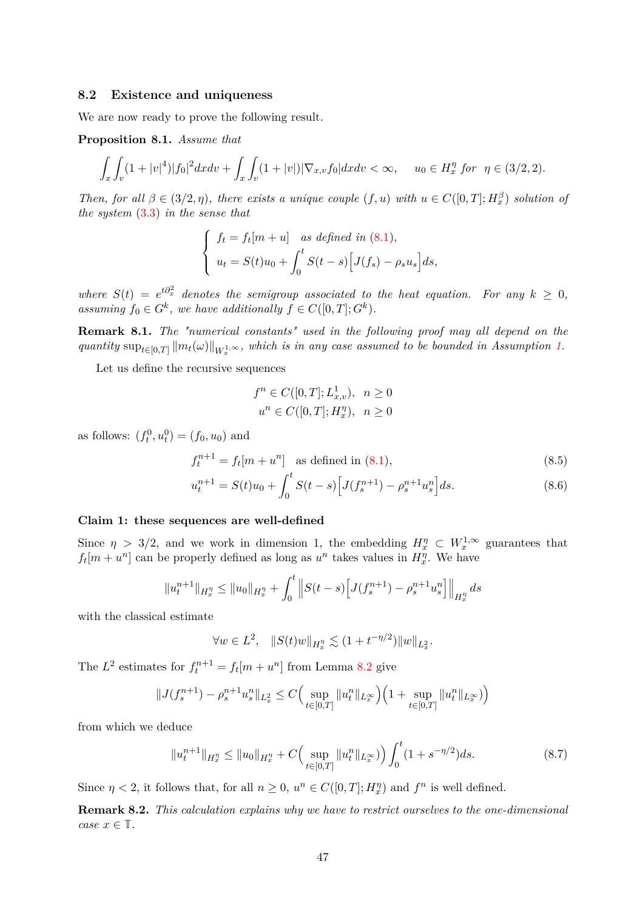### <span id="page-46-0"></span>**8.2 Existence and uniqueness**

We are now ready to prove the following result.

**Proposition 8.1.** *Assume that*

$$
\int_{x} \int_{v} (1+|v|^4)|f_0|^2 dx dv + \int_{x} \int_{v} (1+|v|)|\nabla_{x,v} f_0| dx dv < \infty, \quad u_0 \in H_x^{\eta} \text{ for } \eta \in (3/2, 2).
$$

*Then, for all*  $\beta \in (3/2, \eta)$ *, there exists a unique couple*  $(f, u)$  *with*  $u \in C([0, T]; H_x^{\beta})$  *solution of the system* [\(3.3\)](#page-11-2) *in the sense that*

$$
\begin{cases}\nf_t = f_t[m+u] \quad \text{as defined in (8.1)},\\ \nu_t = S(t)u_0 + \int_0^t S(t-s) \Big[ J(f_s) - \rho_s u_s \Big] ds,\n\end{cases}
$$

*where*  $S(t) = e^{t\partial_x^2}$  *denotes the semigroup associated to the heat equation. For any*  $k \geq 0$ *, assuming*  $f_0 \in G^k$ , we have additionally  $f \in C([0, T]; G^k)$ .

**Remark 8.1.** *The "numerical constants" used in the following proof may all depend on the*  $q$ uantity  $\sup_{t\in[0,T]}\|m_t(\omega)\|_{W^{1,\infty}_x}$ , which is in any case assumed to be bounded in Assumption [1.](#page-7-1)

Let us define the recursive sequences

$$
f^{n} \in C([0, T]; L^{1}_{x,v}), \ \ n \ge 0
$$
  

$$
u^{n} \in C([0, T]; H^{\eta}_{x}), \ \ n \ge 0
$$

as follows:  $(f_t^0, u_t^0) = (f_0, u_0)$  and

$$
f_t^{n+1} = f_t[m + u^n] \text{ as defined in (8.1),}
$$
\n(8.5)

$$
u_t^{n+1} = S(t)u_0 + \int_0^t S(t-s) \Big[ J(f_s^{n+1}) - \rho_s^{n+1} u_s^n \Big] ds.
$$
 (8.6)

#### **Claim 1: these sequences are well-defined**

Since  $\eta > 3/2$ , and we work in dimension 1, the embedding  $H_x^{\eta} \subset W_x^{1,\infty}$  guarantees that  $f_t[m + u^n]$  can be properly defined as long as  $u^n$  takes values in  $H_x^n$ . We have

$$
||u_t^{n+1}||_{H_x^n} \le ||u_0||_{H_x^n} + \int_0^t ||S(t-s)[J(f_s^{n+1}) - \rho_s^{n+1}u_s^n]||_{H_x^n} ds
$$

with the classical estimate

<span id="page-46-2"></span>
$$
\forall w \in L^2, \quad ||S(t)w||_{H^{\eta}_x} \lesssim (1 + t^{-\eta/2}) ||w||_{L^2_x}.
$$

The  $L^2$  estimates for  $f_t^{n+1} = f_t[m + u^n]$  from Lemma [8.2](#page-44-3) give

$$
\|J(f^{n+1}_s) - \rho^{n+1}_s u^n_s\|_{L^2_x} \le C \Big(\sup_{t \in [0,T]} \|u^n_t\|_{L^\infty_x} \Big) \Big(1 + \sup_{t \in [0,T]} \|u^n_t\|_{L^\infty_x} ) \Big)
$$

from which we deduce

$$
||u_t^{n+1}||_{H_x^n} \le ||u_0||_{H_x^n} + C\Big(\sup_{t \in [0,T]} ||u_t^n||_{L_x^\infty}\Big) \Big) \int_0^t (1+s^{-\eta/2}) ds. \tag{8.7}
$$

Since  $\eta < 2$ , it follows that, for all  $n \geq 0$ ,  $u^n \in C([0, T]; H_x^n)$  and  $f^n$  is well defined.

<span id="page-46-1"></span>**Remark 8.2.** *This calculation explains why we have to restrict ourselves to the one-dimensional case*  $x \in \mathbb{T}$ *.*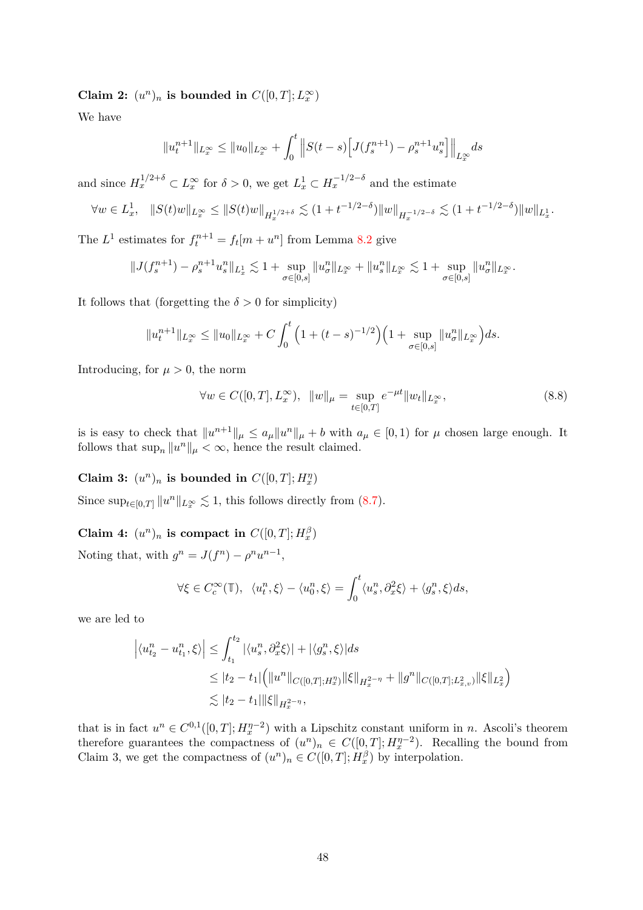Claim 2:  $(u^n)_n$  is bounded in  $C([0,T];L^\infty_x)$ 

We have

$$
||u_t^{n+1}||_{L_x^{\infty}} \le ||u_0||_{L_x^{\infty}} + \int_0^t ||S(t-s)[J(f_s^{n+1}) - \rho_s^{n+1} u_s^n]||_{L_x^{\infty}} ds
$$

and since  $H_x^{1/2+\delta} \subset L_x^{\infty}$  for  $\delta > 0$ , we get  $L_x^1 \subset H_x^{-1/2-\delta}$  and the estimate

$$
\forall w \in L_x^1, \quad \|S(t)w\|_{L_x^{\infty}} \le \|S(t)w\|_{H_x^{1/2+\delta}} \lesssim (1+t^{-1/2-\delta})\|w\|_{H_x^{-1/2-\delta}} \lesssim (1+t^{-1/2-\delta})\|w\|_{L_x^1}.
$$

The  $L^1$  estimates for  $f_t^{n+1} = f_t[m + u^n]$  from Lemma [8.2](#page-43-0) give

$$
||J(f_s^{n+1}) - \rho_s^{n+1} u_s^n||_{L_x^1} \lesssim 1 + \sup_{\sigma \in [0,s]} ||u_\sigma^n||_{L_x^\infty} + ||u_s^n||_{L_x^\infty} \lesssim 1 + \sup_{\sigma \in [0,s]} ||u_\sigma^n||_{L_x^\infty}.
$$

It follows that (forgetting the  $\delta > 0$  for simplicity)

$$
||u_t^{n+1}||_{L_x^{\infty}} \le ||u_0||_{L_x^{\infty}} + C \int_0^t \left(1 + (t-s)^{-1/2}\right) \left(1 + \sup_{\sigma \in [0,s]} ||u_{\sigma}^n||_{L_x^{\infty}}\right) ds.
$$

Introducing, for  $\mu > 0$ , the norm

<span id="page-47-0"></span>
$$
\forall w \in C([0, T], L_x^{\infty}), \ \|w\|_{\mu} = \sup_{t \in [0, T]} e^{-\mu t} \|w_t\|_{L_x^{\infty}}, \tag{8.8}
$$

is is easy to check that  $||u^{n+1}||_{\mu} \le a_{\mu}||u^{n}||_{\mu} + b$  with  $a_{\mu} \in [0,1)$  for  $\mu$  chosen large enough. It follows that  $\sup_n \|u^n\|_{\mu} < \infty$ , hence the result claimed.

Claim 3:  $(u^n)_n$  is bounded in  $C([0, T]; H_x^n)$ 

Since  $\sup_{t\in[0,T]}\|u^n\|_{L^\infty_x} \lesssim 1$ , this follows directly from [\(8.7\)](#page-46-2).

Claim 4:  $(u^n)_n$  is compact in  $C([0,T]; H_x^{\beta})$ 

Noting that, with  $g^n = J(f^n) - \rho^n u^{n-1}$ ,

$$
\forall \xi \in C_c^{\infty}(\mathbb{T}), \ \langle u_t^n, \xi \rangle - \langle u_0^n, \xi \rangle = \int_0^t \langle u_s^n, \partial_x^2 \xi \rangle + \langle g_s^n, \xi \rangle ds,
$$

we are led to

$$
\left| \langle u_{t_2}^n - u_{t_1}^n, \xi \rangle \right| \leq \int_{t_1}^{t_2} |\langle u_s^n, \partial_x^2 \xi \rangle| + |\langle g_s^n, \xi \rangle| ds
$$
  
\n
$$
\leq |t_2 - t_1| \Big( \|u^n\|_{C([0,T]; H^{\eta}_x)} \|\xi\|_{H^{2-\eta}_x} + \|g^n\|_{C([0,T]; L^2_{x,v})} \|\xi\|_{L^2_x} \Big)
$$
  
\n
$$
\lesssim |t_2 - t_1| \|\xi\|_{H^{2-\eta}_x},
$$

that is in fact  $u^n \in C^{0,1}([0,T]; H_x^{\eta-2})$  with a Lipschitz constant uniform in *n*. Ascoli's theorem therefore guarantees the compactness of  $(u^n)_n \in C([0,T]; H_x^{\eta-2})$ . Recalling the bound from Claim 3, we get the compactness of  $(u^n)_n \in C([0,T]; H_x^{\beta})$  by interpolation.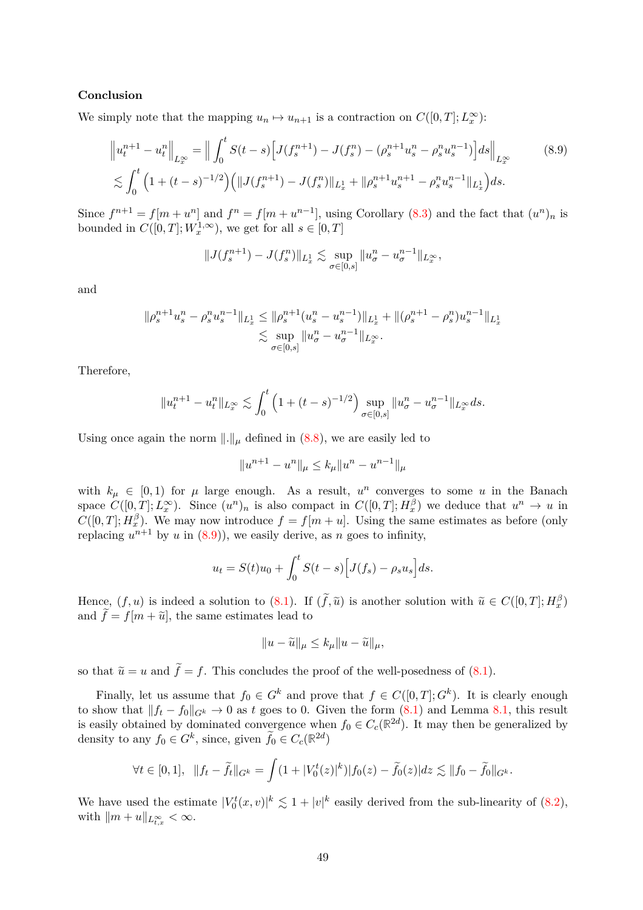### **Conclusion**

We simply note that the mapping  $u_n \mapsto u_{n+1}$  is a contraction on  $C([0,T]; L_x^{\infty})$ :

$$
\left\|u_t^{n+1} - u_t^n\right\|_{L_x^{\infty}} = \left\|\int_0^t S(t-s) \Big[J(f_s^{n+1}) - J(f_s^n) - (\rho_s^{n+1}u_s^n - \rho_s^n u_s^{n-1})\Big]ds\right\|_{L_x^{\infty}} \tag{8.9}
$$

$$
\lesssim \int_0^t \left(1 + (t-s)^{-1/2}\right) \left(\|J(f_s^{n+1}) - J(f_s^n)\|_{L_x^1} + \|\rho_s^{n+1}u_s^{n+1} - \rho_s^n u_s^{n-1}\|_{L_x^1}\right)ds.
$$

Since  $f^{n+1} = f[m + u^n]$  and  $f^n = f[m + u^{n-1}]$ , using Corollary [\(8.3\)](#page-45-0) and the fact that  $(u^n)_n$  is bounded in  $C([0, T]; W_x^{1, \infty})$ , we get for all  $s \in [0, T]$ 

<span id="page-48-0"></span>
$$
||J(f_s^{n+1}) - J(f_s^n)||_{L_x^1} \lesssim \sup_{\sigma \in [0,s]} ||u_{\sigma}^n - u_{\sigma}^{n-1}||_{L_x^{\infty}},
$$

and

$$
\|\rho_s^{n+1}u_s^n - \rho_s^n u_s^{n-1}\|_{L_x^1} \le \|\rho_s^{n+1}(u_s^n - u_s^{n-1})\|_{L_x^1} + \|(\rho_s^{n+1} - \rho_s^n)u_s^{n-1}\|_{L_x^1}
$$
  

$$
\lesssim \sup_{\sigma \in [0,s]} \|u_\sigma^n - u_\sigma^{n-1}\|_{L_x^\infty}.
$$

Therefore,

$$
||u_t^{n+1} - u_t^n||_{L_x^{\infty}} \lesssim \int_0^t \left(1 + (t-s)^{-1/2}\right) \sup_{\sigma \in [0,s]} ||u_{\sigma}^n - u_{\sigma}^{n-1}||_{L_x^{\infty}} ds.
$$

Using once again the norm  $\|.\|_{\mu}$  defined in [\(8.8\)](#page-47-0), we are easily led to

$$
||u^{n+1} - u^n||_{\mu} \le k_{\mu} ||u^n - u^{n-1}||_{\mu}
$$

with  $k_{\mu} \in [0,1)$  for  $\mu$  large enough. As a result,  $u^{n}$  converges to some *u* in the Banach space  $C([0,T]; L_x^{\infty})$ . Since  $(u^n)_n$  is also compact in  $C([0,T]; H_x^{\beta})$  we deduce that  $u^n \to u$  in  $C([0,T]; H_x^{\beta})$ . We may now introduce  $f = f[m + u]$ . Using the same estimates as before (only replacing  $u^{n+1}$  by  $u$  in  $(8.9)$ ), we easily derive, as  $n$  goes to infinity,

$$
u_t = S(t)u_0 + \int_0^t S(t-s) \Big[ J(f_s) - \rho_s u_s \Big] ds.
$$

Hence,  $(f, u)$  is indeed a solution to  $(8.1)$ . If  $(\tilde{f}, \tilde{u})$  is another solution with  $\tilde{u} \in C([0, T]; H_x^{\beta})$ and  $\tilde{f} = f[m + \tilde{u}]$ , the same estimates lead to

$$
||u - \widetilde{u}||_{\mu} \le k_{\mu} ||u - \widetilde{u}||_{\mu},
$$

so that  $\tilde{u} = u$  and  $\tilde{f} = f$ . This concludes the proof of the well-posedness of [\(8.1\)](#page-42-3).

Finally, let us assume that  $f_0 \in G^k$  and prove that  $f \in C([0,T]; G^k)$ . It is clearly enough to show that  $||f_t - f_0||_{G^k} \to 0$  as *t* goes to 0. Given the form [\(8.1\)](#page-42-1) and Lemma [8.1,](#page-42-2) this result is easily obtained by dominated convergence when  $f_0 \in C_c(\mathbb{R}^{2d})$ . It may then be generalized by density to any  $f_0 \in G^k$ , since, given  $\tilde{f}_0 \in C_c(\mathbb{R}^{2d})$ 

$$
\forall t \in [0,1], \quad \|f_t - \tilde{f}_t\|_{G^k} = \int (1 + |V_0^t(z)|^k) |f_0(z) - \tilde{f}_0(z)| dz \lesssim \|f_0 - \tilde{f}_0\|_{G^k}.
$$

We have used the estimate  $|V_0^t(x,v)|^k \lesssim 1 + |v|^k$  easily derived from the sub-linearity of [\(8.2\)](#page-42-4), with  $\|m + u\|_{L^{\infty}_{t,x}} < \infty$ .